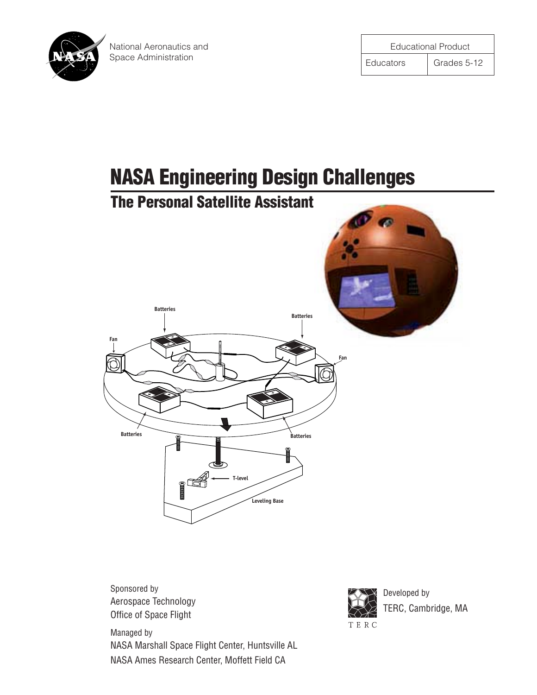

# **NASA Engineering Design Challenges**

# **The Personal Satellite Assistant**



Sponsored by Aerospace Technology Office of Space Flight

Managed by NASA Marshall Space Flight Center, Huntsville AL NASA Ames Research Center, Moffett Field CA



Developed by TERC, Cambridge, MA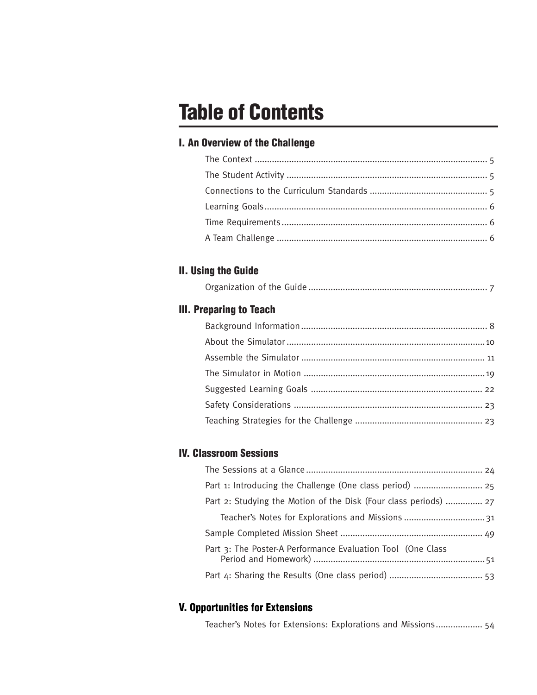# **Table of Contents**

### **I. An Overview of the Challenge**

### **II. Using the Guide**

|--|--|

### **III. Preparing to Teach**

### **IV. Classroom Sessions**

| Part 1: Introducing the Challenge (One class period)  25         |  |
|------------------------------------------------------------------|--|
| Part 2: Studying the Motion of the Disk (Four class periods)  27 |  |
|                                                                  |  |
|                                                                  |  |
| Part 3: The Poster-A Performance Evaluation Tool (One Class      |  |
|                                                                  |  |

### **V. Opportunities for Extensions**

Teacher's Notes for Extensions: Explorations and Missions................... 54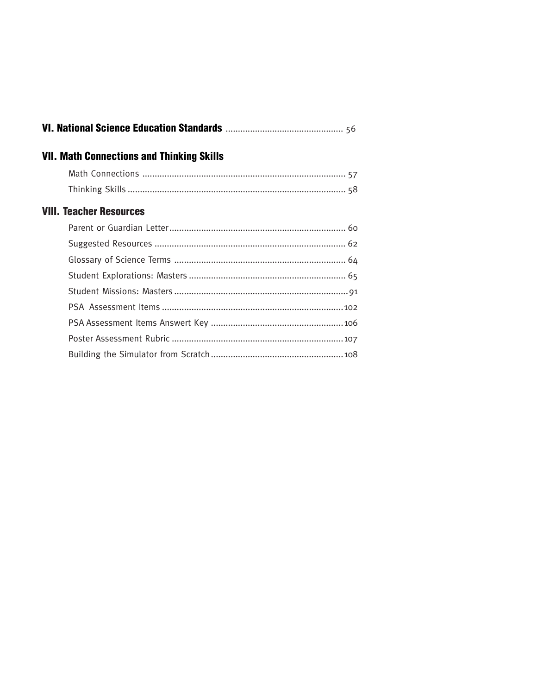| <b>VII. Math Connections and Thinking Skills</b> |  |
|--------------------------------------------------|--|
|                                                  |  |
|                                                  |  |
| <b>VIII. Teacher Resources</b>                   |  |
|                                                  |  |
|                                                  |  |
|                                                  |  |
|                                                  |  |
|                                                  |  |
|                                                  |  |
|                                                  |  |
|                                                  |  |
|                                                  |  |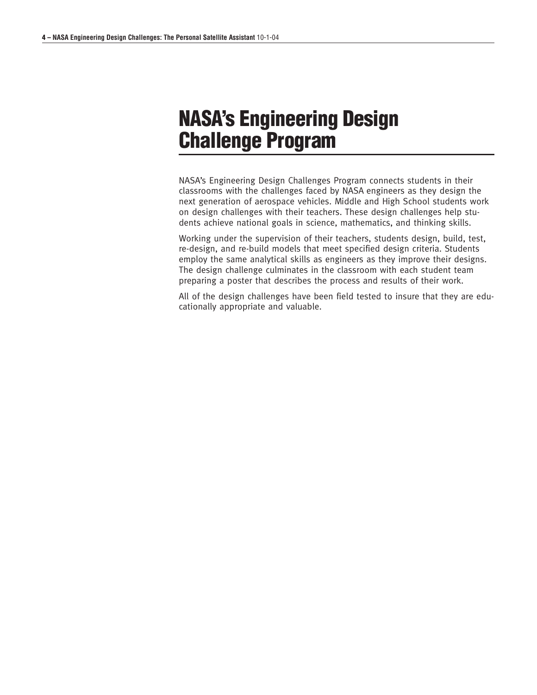# **NASA's Engineering Design Challenge Program**

NASA's Engineering Design Challenges Program connects students in their classrooms with the challenges faced by NASA engineers as they design the next generation of aerospace vehicles. Middle and High School students work on design challenges with their teachers. These design challenges help students achieve national goals in science, mathematics, and thinking skills.

Working under the supervision of their teachers, students design, build, test, re-design, and re-build models that meet specified design criteria. Students employ the same analytical skills as engineers as they improve their designs. The design challenge culminates in the classroom with each student team preparing a poster that describes the process and results of their work.

All of the design challenges have been field tested to insure that they are educationally appropriate and valuable.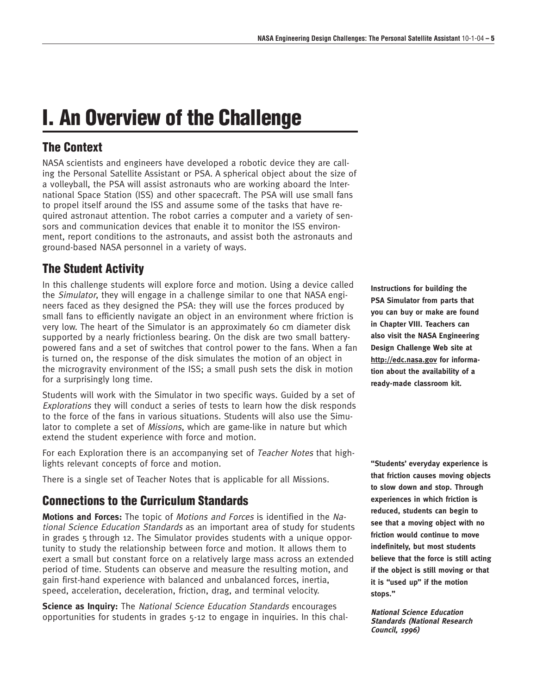# **I. An Overview of the Challenge**

# **The Context**

NASA scientists and engineers have developed a robotic device they are calling the Personal Satellite Assistant or PSA. A spherical object about the size of a volleyball, the PSA will assist astronauts who are working aboard the International Space Station (ISS) and other spacecraft. The PSA will use small fans to propel itself around the ISS and assume some of the tasks that have required astronaut attention. The robot carries a computer and a variety of sensors and communication devices that enable it to monitor the ISS environment, report conditions to the astronauts, and assist both the astronauts and ground-based NASA personnel in a variety of ways.

# **The Student Activity**

In this challenge students will explore force and motion. Using a device called the Simulator, they will engage in a challenge similar to one that NASA engineers faced as they designed the PSA: they will use the forces produced by small fans to efficiently navigate an object in an environment where friction is very low. The heart of the Simulator is an approximately 60 cm diameter disk supported by a nearly frictionless bearing. On the disk are two small batterypowered fans and a set of switches that control power to the fans. When a fan is turned on, the response of the disk simulates the motion of an object in the microgravity environment of the ISS; a small push sets the disk in motion for a surprisingly long time.

Students will work with the Simulator in two specific ways. Guided by a set of Explorations they will conduct a series of tests to learn how the disk responds to the force of the fans in various situations. Students will also use the Simulator to complete a set of Missions, which are game-like in nature but which extend the student experience with force and motion.

For each Exploration there is an accompanying set of Teacher Notes that highlights relevant concepts of force and motion.

There is a single set of Teacher Notes that is applicable for all Missions.

# **Connections to the Curriculum Standards**

**Motions and Forces:** The topic of Motions and Forces is identified in the National Science Education Standards as an important area of study for students in grades 5 through 12. The Simulator provides students with a unique opportunity to study the relationship between force and motion. It allows them to exert a small but constant force on a relatively large mass across an extended period of time. Students can observe and measure the resulting motion, and gain first-hand experience with balanced and unbalanced forces, inertia, speed, acceleration, deceleration, friction, drag, and terminal velocity.

**Science as Inquiry:** The *National Science Education Standards* encourages opportunities for students in grades 5-12 to engage in inquiries. In this chal**Instructions for building the PSA Simulator from parts that you can buy or make are found in Chapter VIII. Teachers can also visit the NASA Engineering Design Challenge Web site at http://edc.nasa.gov for information about the availability of a ready-made classroom kit.**

**"Students' everyday experience is that friction causes moving objects to slow down and stop. Through experiences in which friction is reduced, students can begin to see that a moving object with no friction would continue to move indefinitely, but most students believe that the force is still acting if the object is still moving or that it is "used up" if the motion stops."**

**National Science Education Standards (National Research Council, 1996)**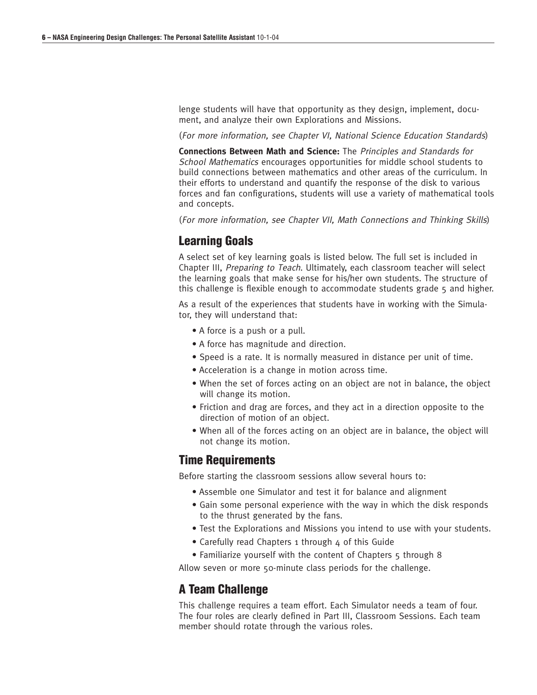lenge students will have that opportunity as they design, implement, document, and analyze their own Explorations and Missions.

(For more information, see Chapter VI, National Science Education Standards)

**Connections Between Math and Science:** The Principles and Standards for School Mathematics encourages opportunities for middle school students to build connections between mathematics and other areas of the curriculum. In their efforts to understand and quantify the response of the disk to various forces and fan configurations, students will use a variety of mathematical tools and concepts.

(For more information, see Chapter VII, Math Connections and Thinking Skills)

#### **Learning Goals**

A select set of key learning goals is listed below. The full set is included in Chapter III, Preparing to Teach. Ultimately, each classroom teacher will select the learning goals that make sense for his/her own students. The structure of this challenge is flexible enough to accommodate students grade 5 and higher.

As a result of the experiences that students have in working with the Simulator, they will understand that:

- A force is a push or a pull.
- A force has magnitude and direction.
- Speed is a rate. It is normally measured in distance per unit of time.
- Acceleration is a change in motion across time.
- When the set of forces acting on an object are not in balance, the object will change its motion.
- Friction and drag are forces, and they act in a direction opposite to the direction of motion of an object.
- When all of the forces acting on an object are in balance, the object will not change its motion.

#### **Time Requirements**

Before starting the classroom sessions allow several hours to:

- Assemble one Simulator and test it for balance and alignment
- Gain some personal experience with the way in which the disk responds to the thrust generated by the fans.
- Test the Explorations and Missions you intend to use with your students.
- Carefully read Chapters 1 through 4 of this Guide
- Familiarize yourself with the content of Chapters 5 through 8

Allow seven or more 50-minute class periods for the challenge.

#### **A Team Challenge**

This challenge requires a team effort. Each Simulator needs a team of four. The four roles are clearly defined in Part III, Classroom Sessions. Each team member should rotate through the various roles.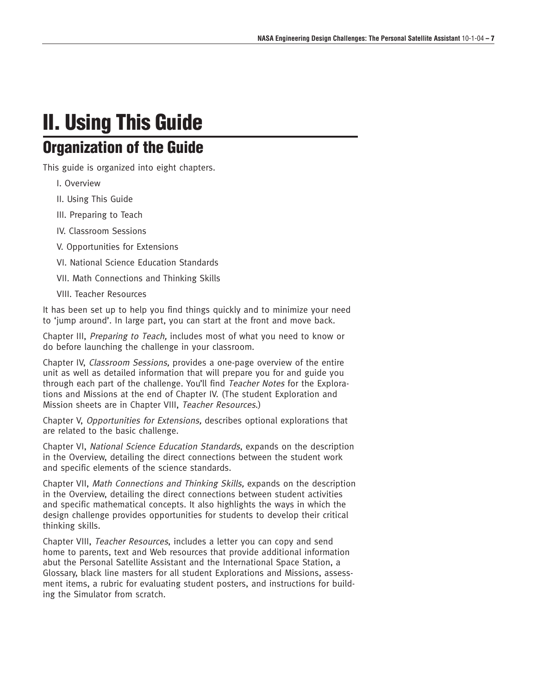# **II. Using This Guide Organization of the Guide**

This guide is organized into eight chapters.

I. Overview

II. Using This Guide

III. Preparing to Teach

IV. Classroom Sessions

V. Opportunities for Extensions

VI. National Science Education Standards

VII. Math Connections and Thinking Skills

VIII. Teacher Resources

It has been set up to help you find things quickly and to minimize your need to 'jump around'. In large part, you can start at the front and move back.

Chapter III, Preparing to Teach, includes most of what you need to know or do before launching the challenge in your classroom.

Chapter IV, Classroom Sessions, provides a one-page overview of the entire unit as well as detailed information that will prepare you for and guide you through each part of the challenge. You'll find Teacher Notes for the Explorations and Missions at the end of Chapter IV. (The student Exploration and Mission sheets are in Chapter VIII, Teacher Resources.)

Chapter V, Opportunities for Extensions, describes optional explorations that are related to the basic challenge.

Chapter VI, National Science Education Standards, expands on the description in the Overview, detailing the direct connections between the student work and specific elements of the science standards.

Chapter VII, Math Connections and Thinking Skills, expands on the description in the Overview, detailing the direct connections between student activities and specific mathematical concepts. It also highlights the ways in which the design challenge provides opportunities for students to develop their critical thinking skills.

Chapter VIII, Teacher Resources, includes a letter you can copy and send home to parents, text and Web resources that provide additional information abut the Personal Satellite Assistant and the International Space Station, a Glossary, black line masters for all student Explorations and Missions, assessment items, a rubric for evaluating student posters, and instructions for building the Simulator from scratch.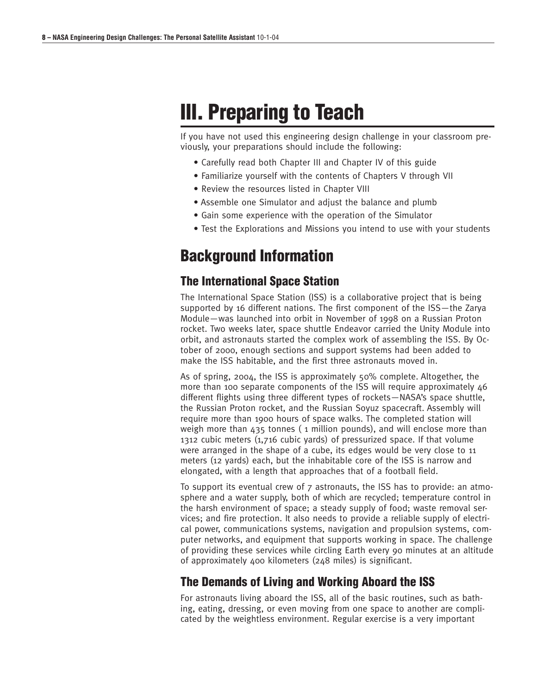# **III. Preparing to Teach**

If you have not used this engineering design challenge in your classroom previously, your preparations should include the following:

- Carefully read both Chapter III and Chapter IV of this guide
- Familiarize yourself with the contents of Chapters V through VII
- Review the resources listed in Chapter VIII
- Assemble one Simulator and adjust the balance and plumb
- Gain some experience with the operation of the Simulator
- Test the Explorations and Missions you intend to use with your students

# **Background Information**

#### **The International Space Station**

The International Space Station (ISS) is a collaborative project that is being supported by 16 different nations. The first component of the ISS—the Zarya Module—was launched into orbit in November of 1998 on a Russian Proton rocket. Two weeks later, space shuttle Endeavor carried the Unity Module into orbit, and astronauts started the complex work of assembling the ISS. By October of 2000, enough sections and support systems had been added to make the ISS habitable, and the first three astronauts moved in.

As of spring, 2004, the ISS is approximately 50% complete. Altogether, the more than 100 separate components of the ISS will require approximately 46 different flights using three different types of rockets—NASA's space shuttle, the Russian Proton rocket, and the Russian Soyuz spacecraft. Assembly will require more than 1900 hours of space walks. The completed station will weigh more than 435 tonnes ( 1 million pounds), and will enclose more than 1312 cubic meters (1,716 cubic yards) of pressurized space. If that volume were arranged in the shape of a cube, its edges would be very close to 11 meters (12 yards) each, but the inhabitable core of the ISS is narrow and elongated, with a length that approaches that of a football field.

To support its eventual crew of 7 astronauts, the ISS has to provide: an atmosphere and a water supply, both of which are recycled; temperature control in the harsh environment of space; a steady supply of food; waste removal services; and fire protection. It also needs to provide a reliable supply of electrical power, communications systems, navigation and propulsion systems, computer networks, and equipment that supports working in space. The challenge of providing these services while circling Earth every 90 minutes at an altitude of approximately 400 kilometers (248 miles) is significant.

### **The Demands of Living and Working Aboard the ISS**

For astronauts living aboard the ISS, all of the basic routines, such as bathing, eating, dressing, or even moving from one space to another are complicated by the weightless environment. Regular exercise is a very important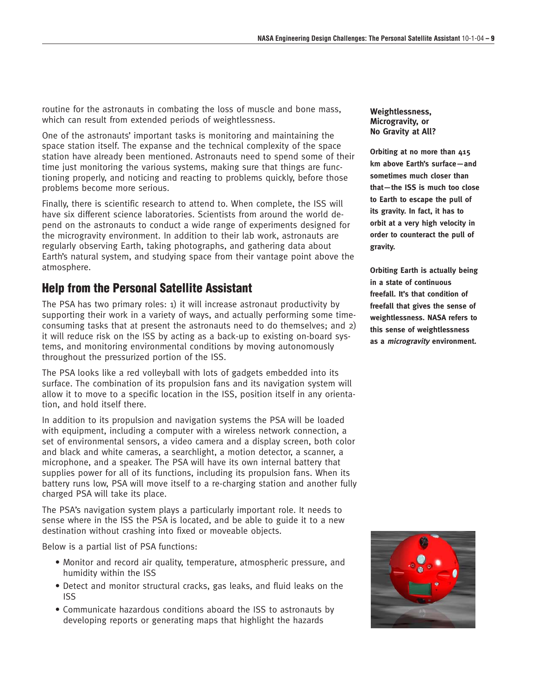routine for the astronauts in combating the loss of muscle and bone mass, which can result from extended periods of weightlessness.

One of the astronauts' important tasks is monitoring and maintaining the space station itself. The expanse and the technical complexity of the space station have already been mentioned. Astronauts need to spend some of their time just monitoring the various systems, making sure that things are functioning properly, and noticing and reacting to problems quickly, before those problems become more serious.

Finally, there is scientific research to attend to. When complete, the ISS will have six different science laboratories. Scientists from around the world depend on the astronauts to conduct a wide range of experiments designed for the microgravity environment. In addition to their lab work, astronauts are regularly observing Earth, taking photographs, and gathering data about Earth's natural system, and studying space from their vantage point above the atmosphere.

### **Help from the Personal Satellite Assistant**

The PSA has two primary roles: 1) it will increase astronaut productivity by supporting their work in a variety of ways, and actually performing some timeconsuming tasks that at present the astronauts need to do themselves; and 2) it will reduce risk on the ISS by acting as a back-up to existing on-board systems, and monitoring environmental conditions by moving autonomously throughout the pressurized portion of the ISS.

The PSA looks like a red volleyball with lots of gadgets embedded into its surface. The combination of its propulsion fans and its navigation system will allow it to move to a specific location in the ISS, position itself in any orientation, and hold itself there.

In addition to its propulsion and navigation systems the PSA will be loaded with equipment, including a computer with a wireless network connection, a set of environmental sensors, a video camera and a display screen, both color and black and white cameras, a searchlight, a motion detector, a scanner, a microphone, and a speaker. The PSA will have its own internal battery that supplies power for all of its functions, including its propulsion fans. When its battery runs low, PSA will move itself to a re-charging station and another fully charged PSA will take its place.

The PSA's navigation system plays a particularly important role. It needs to sense where in the ISS the PSA is located, and be able to guide it to a new destination without crashing into fixed or moveable objects.

Below is a partial list of PSA functions:

- Monitor and record air quality, temperature, atmospheric pressure, and humidity within the ISS
- Detect and monitor structural cracks, gas leaks, and fluid leaks on the ISS
- Communicate hazardous conditions aboard the ISS to astronauts by developing reports or generating maps that highlight the hazards

#### **Weightlessness, Microgravity, or No Gravity at All?**

**Orbiting at no more than 415 km above Earth's surface—and sometimes much closer than that—the ISS is much too close to Earth to escape the pull of its gravity. In fact, it has to orbit at a very high velocity in order to counteract the pull of gravity.**

**Orbiting Earth is actually being in a state of continuous freefall. It's that condition of freefall that gives the sense of weightlessness. NASA refers to this sense of weightlessness as a microgravity environment.**

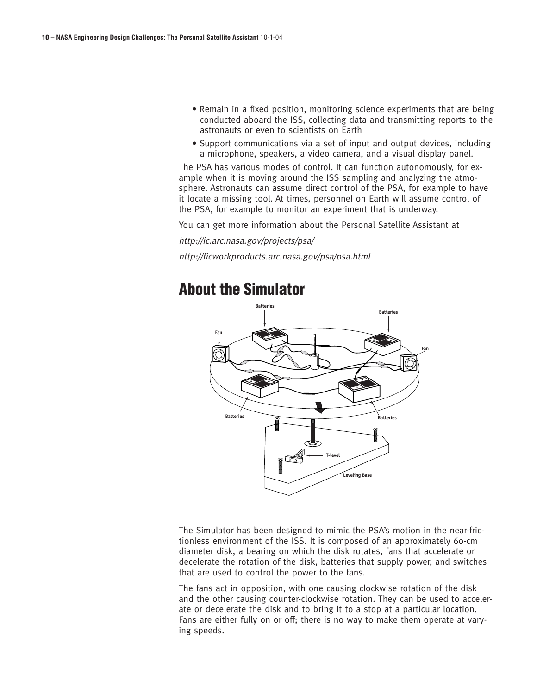- Remain in a fixed position, monitoring science experiments that are being conducted aboard the ISS, collecting data and transmitting reports to the astronauts or even to scientists on Earth
- Support communications via a set of input and output devices, including a microphone, speakers, a video camera, and a visual display panel.

The PSA has various modes of control. It can function autonomously, for example when it is moving around the ISS sampling and analyzing the atmosphere. Astronauts can assume direct control of the PSA, for example to have it locate a missing tool. At times, personnel on Earth will assume control of the PSA, for example to monitor an experiment that is underway.

You can get more information about the Personal Satellite Assistant at

http://ic.arc.nasa.gov/projects/psa/

http://ficworkproducts.arc.nasa.gov/psa/psa.html

# **About the Simulator**



The Simulator has been designed to mimic the PSA's motion in the near-frictionless environment of the ISS. It is composed of an approximately 60-cm diameter disk, a bearing on which the disk rotates, fans that accelerate or decelerate the rotation of the disk, batteries that supply power, and switches that are used to control the power to the fans.

The fans act in opposition, with one causing clockwise rotation of the disk and the other causing counter-clockwise rotation. They can be used to accelerate or decelerate the disk and to bring it to a stop at a particular location. Fans are either fully on or off; there is no way to make them operate at varying speeds.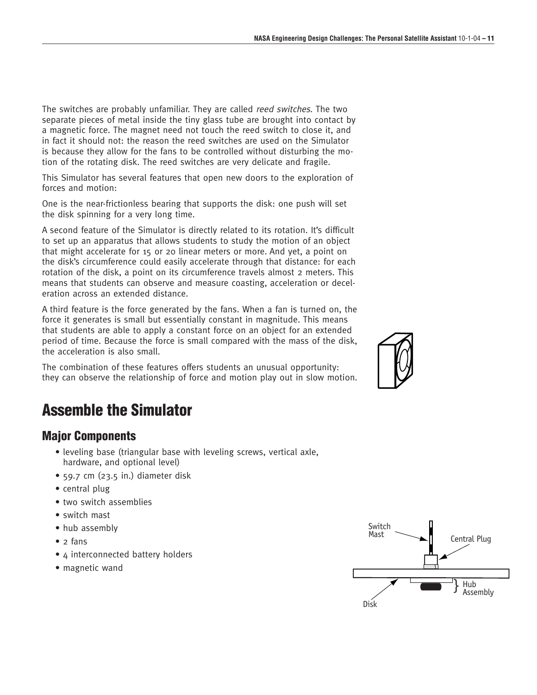The switches are probably unfamiliar. They are called reed switches. The two separate pieces of metal inside the tiny glass tube are brought into contact by a magnetic force. The magnet need not touch the reed switch to close it, and in fact it should not: the reason the reed switches are used on the Simulator is because they allow for the fans to be controlled without disturbing the motion of the rotating disk. The reed switches are very delicate and fragile.

This Simulator has several features that open new doors to the exploration of forces and motion:

One is the near-frictionless bearing that supports the disk: one push will set the disk spinning for a very long time.

A second feature of the Simulator is directly related to its rotation. It's difficult to set up an apparatus that allows students to study the motion of an object that might accelerate for 15 or 20 linear meters or more. And yet, a point on the disk's circumference could easily accelerate through that distance: for each rotation of the disk, a point on its circumference travels almost 2 meters. This means that students can observe and measure coasting, acceleration or deceleration across an extended distance.

A third feature is the force generated by the fans. When a fan is turned on, the force it generates is small but essentially constant in magnitude. This means that students are able to apply a constant force on an object for an extended period of time. Because the force is small compared with the mass of the disk, the acceleration is also small.

The combination of these features offers students an unusual opportunity: they can observe the relationship of force and motion play out in slow motion.

# **Assemble the Simulator**

### **Major Components**

- leveling base (triangular base with leveling screws, vertical axle, hardware, and optional level)
- 59.7 cm (23.5 in.) diameter disk
- central plug
- two switch assemblies
- switch mast
- hub assembly
- 2 fans
- 4 interconnected battery holders
- magnetic wand



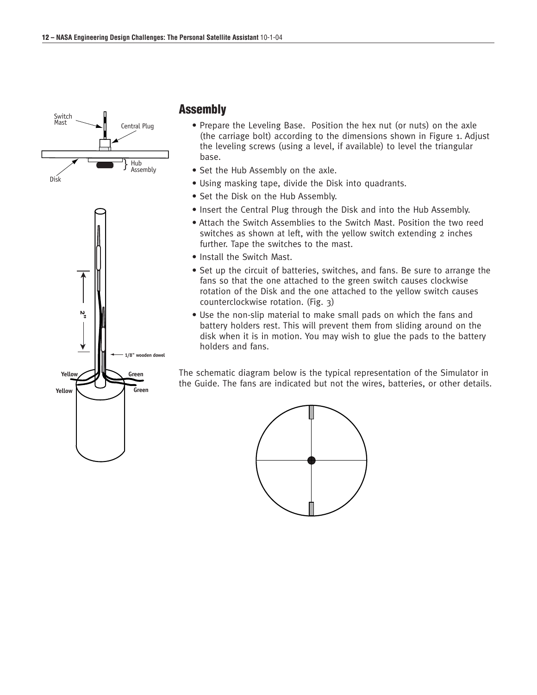



#### **Assembly**

- Prepare the Leveling Base. Position the hex nut (or nuts) on the axle (the carriage bolt) according to the dimensions shown in Figure 1. Adjust the leveling screws (using a level, if available) to level the triangular base.
- Set the Hub Assembly on the axle.
- Using masking tape, divide the Disk into quadrants.
- Set the Disk on the Hub Assembly.
- Insert the Central Plug through the Disk and into the Hub Assembly.
- Attach the Switch Assemblies to the Switch Mast. Position the two reed switches as shown at left, with the yellow switch extending 2 inches further. Tape the switches to the mast.
- Install the Switch Mast.
- Set up the circuit of batteries, switches, and fans. Be sure to arrange the fans so that the one attached to the green switch causes clockwise rotation of the Disk and the one attached to the yellow switch causes counterclockwise rotation. (Fig. 3)
- Use the non-slip material to make small pads on which the fans and battery holders rest. This will prevent them from sliding around on the disk when it is in motion. You may wish to glue the pads to the battery holders and fans.

The schematic diagram below is the typical representation of the Simulator in the Guide. The fans are indicated but not the wires, batteries, or other details.

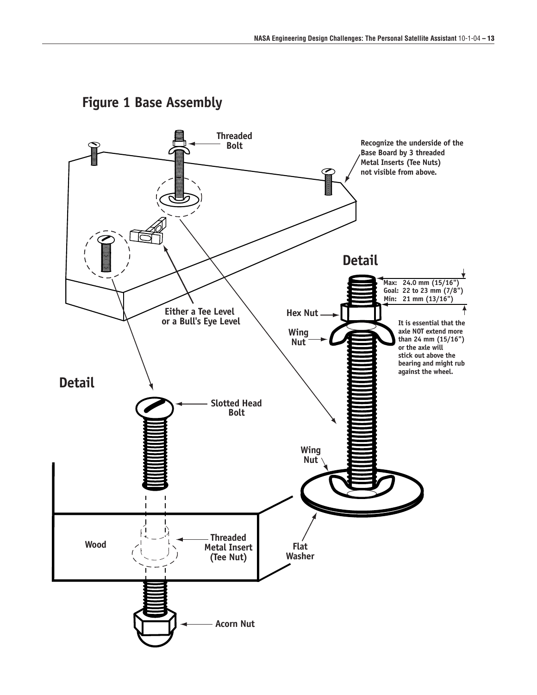

# **Figure 1 Base Assembly**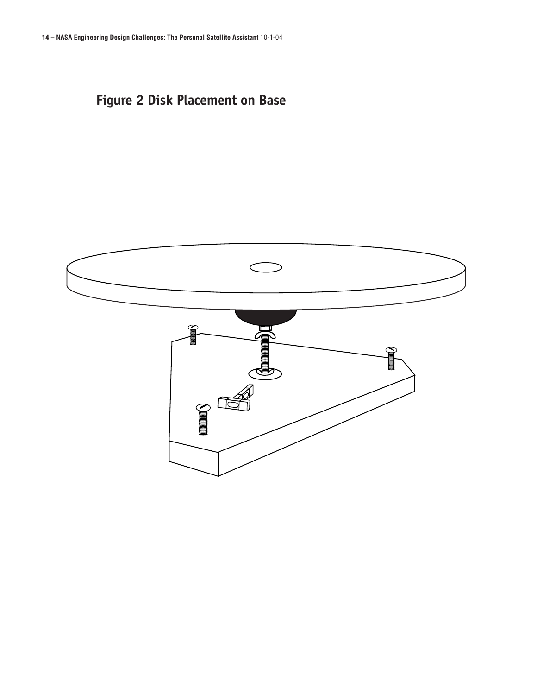# **Figure 2 Disk Placement on Base**

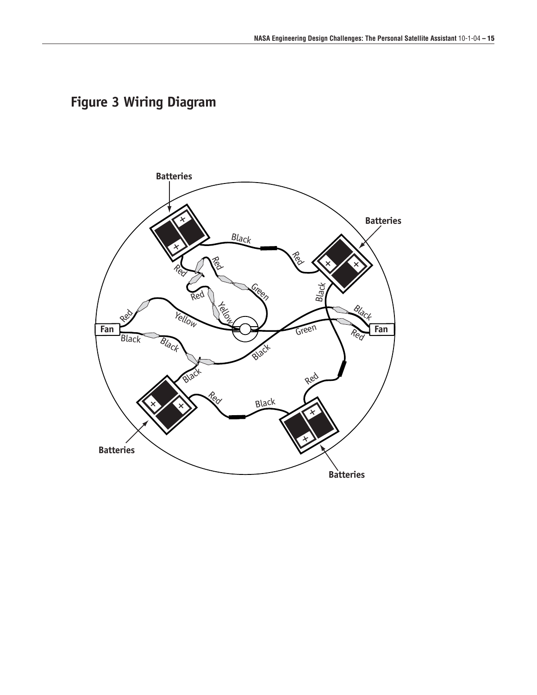# **Figure 3 Wiring Diagram**

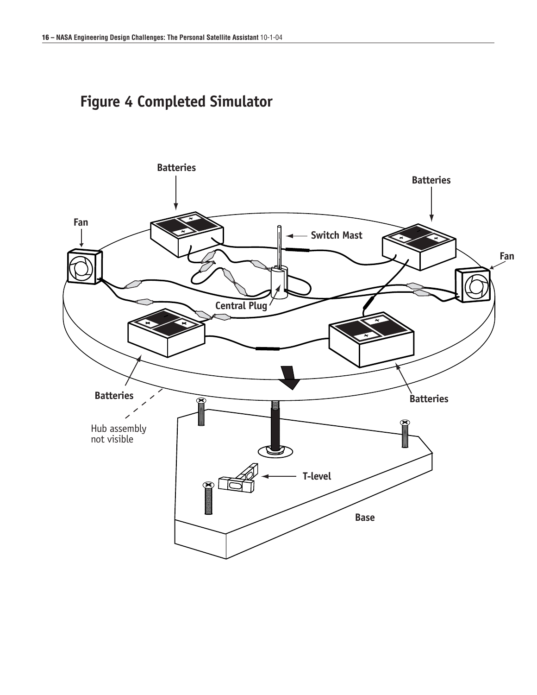# **Figure 4 Completed Simulator**

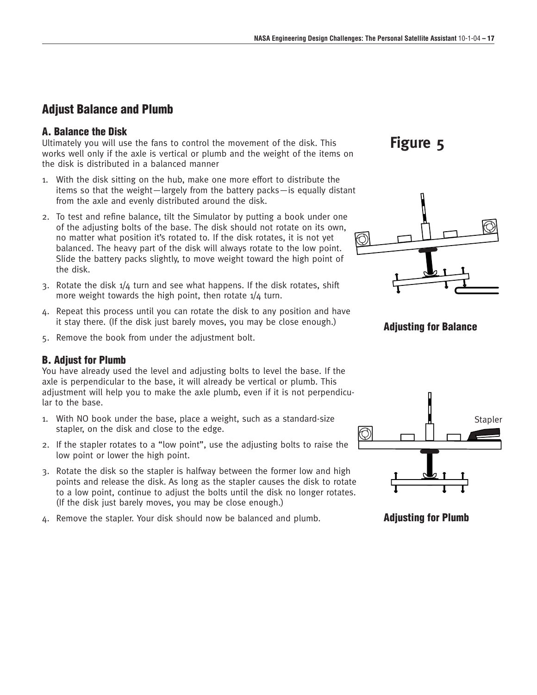### **Adjust Balance and Plumb**

#### **A. Balance the Disk**

Ultimately you will use the fans to control the movement of the disk. This works well only if the axle is vertical or plumb and the weight of the items on the disk is distributed in a balanced manner

- 1. With the disk sitting on the hub, make one more effort to distribute the items so that the weight—largely from the battery packs—is equally distant from the axle and evenly distributed around the disk.
- 2. To test and refine balance, tilt the Simulator by putting a book under one of the adjusting bolts of the base. The disk should not rotate on its own, no matter what position it's rotated to. If the disk rotates, it is not yet balanced. The heavy part of the disk will always rotate to the low point. Slide the battery packs slightly, to move weight toward the high point of the disk.
- 3. Rotate the disk 1/4 turn and see what happens. If the disk rotates, shift more weight towards the high point, then rotate  $1/4$  turn.
- 4. Repeat this process until you can rotate the disk to any position and have it stay there. (If the disk just barely moves, you may be close enough.)
- 5. Remove the book from under the adjustment bolt.

#### **B. Adjust for Plumb**

You have already used the level and adjusting bolts to level the base. If the axle is perpendicular to the base, it will already be vertical or plumb. This adjustment will help you to make the axle plumb, even if it is not perpendicular to the base.

- 1. With NO book under the base, place a weight, such as a standard-size stapler, on the disk and close to the edge.
- 2. If the stapler rotates to a "low point", use the adjusting bolts to raise the low point or lower the high point.
- 3. Rotate the disk so the stapler is halfway between the former low and high points and release the disk. As long as the stapler causes the disk to rotate to a low point, continue to adjust the bolts until the disk no longer rotates. (If the disk just barely moves, you may be close enough.)
- 4. Remove the stapler. Your disk should now be balanced and plumb.

**Figure 5**



#### **Adjusting for Balance**



**Adjusting for Plumb**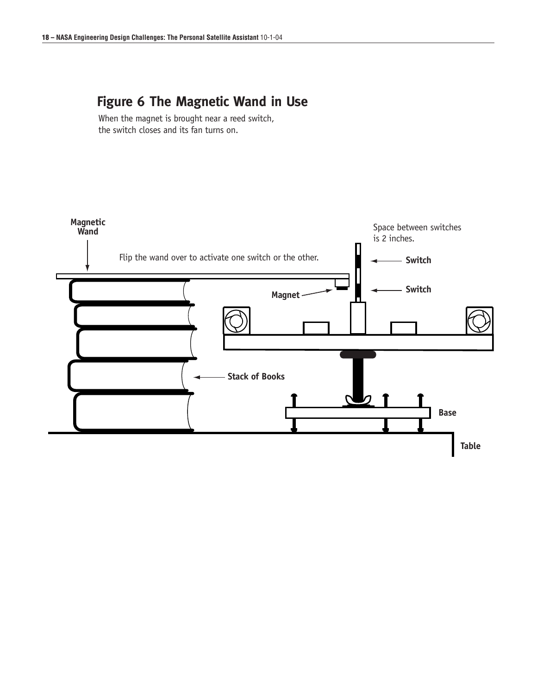# **Figure 6 The Magnetic Wand in Use**

When the magnet is brought near a reed switch, the switch closes and its fan turns on.

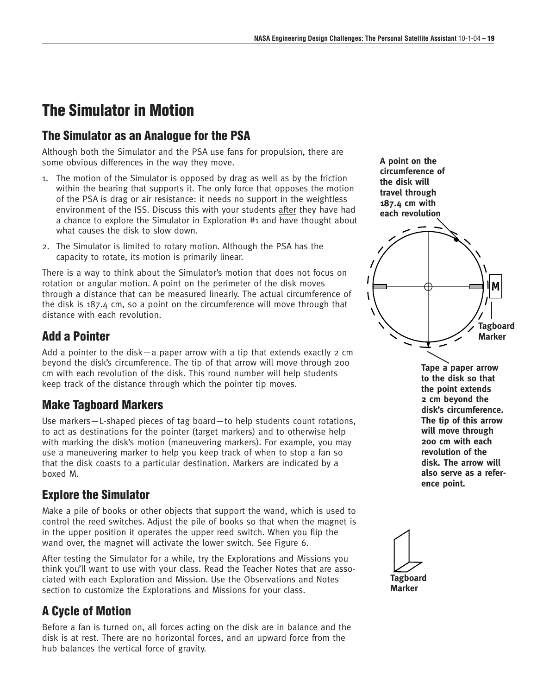# **The Simulator in Motion**

### **The Simulator as an Analogue for the PSA**

Although both the Simulator and the PSA use fans for propulsion, there are some obvious differences in the way they move.

- 1. The motion of the Simulator is opposed by drag as well as by the friction within the bearing that supports it. The only force that opposes the motion of the PSA is drag or air resistance: it needs no support in the weightless environment of the ISS. Discuss this with your students after they have had a chance to explore the Simulator in Exploration #1 and have thought about what causes the disk to slow down.
- 2. The Simulator is limited to rotary motion. Although the PSA has the capacity to rotate, its motion is primarily linear.

There is a way to think about the Simulator's motion that does not focus on rotation or angular motion. A point on the perimeter of the disk moves through a distance that can be measured linearly. The actual circumference of the disk is 187.4 cm, so a point on the circumference will move through that distance with each revolution.

### **Add a Pointer**

Add a pointer to the disk—a paper arrow with a tip that extends exactly 2 cm beyond the disk's circumference. The tip of that arrow will move through 200 cm with each revolution of the disk. This round number will help students keep track of the distance through which the pointer tip moves.

### **Make Tagboard Markers**

Use markers—L-shaped pieces of tag board—to help students count rotations, to act as destinations for the pointer (target markers) and to otherwise help with marking the disk's motion (maneuvering markers). For example, you may use a maneuvering marker to help you keep track of when to stop a fan so that the disk coasts to a particular destination. Markers are indicated by a boxed M.

### **Explore the Simulator**

Make a pile of books or other objects that support the wand, which is used to control the reed switches. Adjust the pile of books so that when the magnet is in the upper position it operates the upper reed switch. When you flip the wand over, the magnet will activate the lower switch. See Figure 6.

After testing the Simulator for a while, try the Explorations and Missions you think you'll want to use with your class. Read the Teacher Notes that are associated with each Exploration and Mission. Use the Observations and Notes section to customize the Explorations and Missions for your class.

# **A Cycle of Motion**

Before a fan is turned on, all forces acting on the disk are in balance and the disk is at rest. There are no horizontal forces, and an upward force from the hub balances the vertical force of gravity.

**A point on the circumference of the disk will travel through 187.4 cm with each revolution**



**Tape a paper arrow to the disk so that the point extends 2 cm beyond the disk's circumference. The tip of this arrow will move through 200 cm with each revolution of the disk. The arrow will also serve as a reference point.**

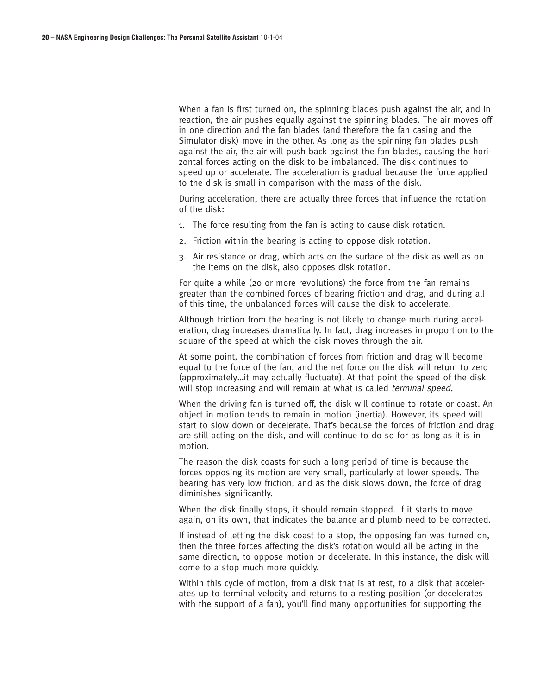When a fan is first turned on, the spinning blades push against the air, and in reaction, the air pushes equally against the spinning blades. The air moves off in one direction and the fan blades (and therefore the fan casing and the Simulator disk) move in the other. As long as the spinning fan blades push against the air, the air will push back against the fan blades, causing the horizontal forces acting on the disk to be imbalanced. The disk continues to speed up or accelerate. The acceleration is gradual because the force applied to the disk is small in comparison with the mass of the disk.

During acceleration, there are actually three forces that influence the rotation of the disk:

- 1. The force resulting from the fan is acting to cause disk rotation.
- 2. Friction within the bearing is acting to oppose disk rotation.
- 3. Air resistance or drag, which acts on the surface of the disk as well as on the items on the disk, also opposes disk rotation.

For quite a while (20 or more revolutions) the force from the fan remains greater than the combined forces of bearing friction and drag, and during all of this time, the unbalanced forces will cause the disk to accelerate.

Although friction from the bearing is not likely to change much during acceleration, drag increases dramatically. In fact, drag increases in proportion to the square of the speed at which the disk moves through the air.

At some point, the combination of forces from friction and drag will become equal to the force of the fan, and the net force on the disk will return to zero (approximately…it may actually fluctuate). At that point the speed of the disk will stop increasing and will remain at what is called *terminal speed.* 

When the driving fan is turned off, the disk will continue to rotate or coast. An object in motion tends to remain in motion (inertia). However, its speed will start to slow down or decelerate. That's because the forces of friction and drag are still acting on the disk, and will continue to do so for as long as it is in motion.

The reason the disk coasts for such a long period of time is because the forces opposing its motion are very small, particularly at lower speeds. The bearing has very low friction, and as the disk slows down, the force of drag diminishes significantly.

When the disk finally stops, it should remain stopped. If it starts to move again, on its own, that indicates the balance and plumb need to be corrected.

If instead of letting the disk coast to a stop, the opposing fan was turned on, then the three forces affecting the disk's rotation would all be acting in the same direction, to oppose motion or decelerate. In this instance, the disk will come to a stop much more quickly.

Within this cycle of motion, from a disk that is at rest, to a disk that accelerates up to terminal velocity and returns to a resting position (or decelerates with the support of a fan), you'll find many opportunities for supporting the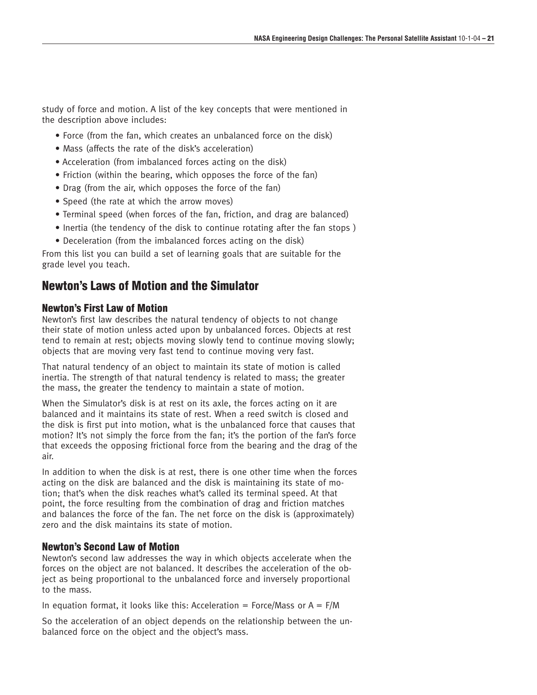study of force and motion. A list of the key concepts that were mentioned in the description above includes:

- Force (from the fan, which creates an unbalanced force on the disk)
- Mass (affects the rate of the disk's acceleration)
- Acceleration (from imbalanced forces acting on the disk)
- Friction (within the bearing, which opposes the force of the fan)
- Drag (from the air, which opposes the force of the fan)
- Speed (the rate at which the arrow moves)
- Terminal speed (when forces of the fan, friction, and drag are balanced)
- Inertia (the tendency of the disk to continue rotating after the fan stops )
- Deceleration (from the imbalanced forces acting on the disk)

From this list you can build a set of learning goals that are suitable for the grade level you teach.

### **Newton's Laws of Motion and the Simulator**

#### **Newton's First Law of Motion**

Newton's first law describes the natural tendency of objects to not change their state of motion unless acted upon by unbalanced forces. Objects at rest tend to remain at rest; objects moving slowly tend to continue moving slowly; objects that are moving very fast tend to continue moving very fast.

That natural tendency of an object to maintain its state of motion is called inertia. The strength of that natural tendency is related to mass; the greater the mass, the greater the tendency to maintain a state of motion.

When the Simulator's disk is at rest on its axle, the forces acting on it are balanced and it maintains its state of rest. When a reed switch is closed and the disk is first put into motion, what is the unbalanced force that causes that motion? It's not simply the force from the fan; it's the portion of the fan's force that exceeds the opposing frictional force from the bearing and the drag of the air.

In addition to when the disk is at rest, there is one other time when the forces acting on the disk are balanced and the disk is maintaining its state of motion; that's when the disk reaches what's called its terminal speed. At that point, the force resulting from the combination of drag and friction matches and balances the force of the fan. The net force on the disk is (approximately) zero and the disk maintains its state of motion.

#### **Newton's Second Law of Motion**

Newton's second law addresses the way in which objects accelerate when the forces on the object are not balanced. It describes the acceleration of the object as being proportional to the unbalanced force and inversely proportional to the mass.

In equation format, it looks like this: Acceleration = Force/Mass or  $A = F/M$ 

So the acceleration of an object depends on the relationship between the unbalanced force on the object and the object's mass.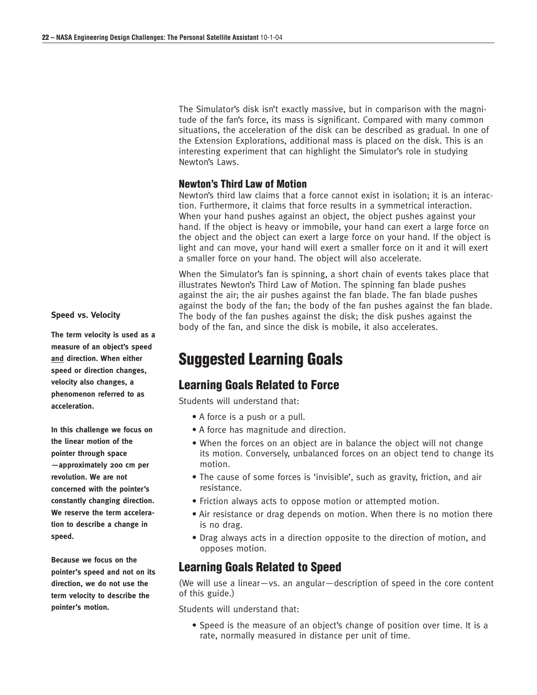The Simulator's disk isn't exactly massive, but in comparison with the magnitude of the fan's force, its mass is significant. Compared with many common situations, the acceleration of the disk can be described as gradual. In one of the Extension Explorations, additional mass is placed on the disk. This is an interesting experiment that can highlight the Simulator's role in studying Newton's Laws.

#### **Newton's Third Law of Motion**

Newton's third law claims that a force cannot exist in isolation; it is an interaction. Furthermore, it claims that force results in a symmetrical interaction. When your hand pushes against an object, the object pushes against your hand. If the object is heavy or immobile, your hand can exert a large force on the object and the object can exert a large force on your hand. If the object is light and can move, your hand will exert a smaller force on it and it will exert a smaller force on your hand. The object will also accelerate.

When the Simulator's fan is spinning, a short chain of events takes place that illustrates Newton's Third Law of Motion. The spinning fan blade pushes against the air; the air pushes against the fan blade. The fan blade pushes against the body of the fan; the body of the fan pushes against the fan blade. The body of the fan pushes against the disk; the disk pushes against the body of the fan, and since the disk is mobile, it also accelerates.

# **Suggested Learning Goals**

#### **Learning Goals Related to Force**

Students will understand that:

- A force is a push or a pull.
- A force has magnitude and direction.
- When the forces on an object are in balance the object will not change its motion. Conversely, unbalanced forces on an object tend to change its motion.
- The cause of some forces is 'invisible', such as gravity, friction, and air resistance.
- Friction always acts to oppose motion or attempted motion.
- Air resistance or drag depends on motion. When there is no motion there is no drag.
- Drag always acts in a direction opposite to the direction of motion, and opposes motion.

### **Learning Goals Related to Speed**

(We will use a linear—vs. an angular—description of speed in the core content of this guide.)

Students will understand that:

• Speed is the measure of an object's change of position over time. It is a rate, normally measured in distance per unit of time.

#### **Speed vs. Velocity**

**The term velocity is used as a measure of an object's speed and direction. When either speed or direction changes, velocity also changes, a phenomenon referred to as acceleration.**

**In this challenge we focus on the linear motion of the pointer through space —approximately 200 cm per revolution. We are not concerned with the pointer's constantly changing direction. We reserve the term acceleration to describe a change in speed.**

**Because we focus on the pointer's speed and not on its direction, we do not use the term velocity to describe the pointer's motion.**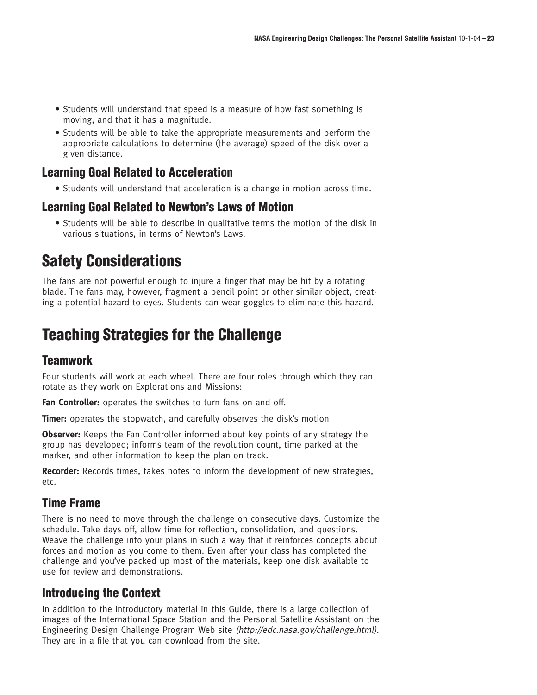- Students will understand that speed is a measure of how fast something is moving, and that it has a magnitude.
- Students will be able to take the appropriate measurements and perform the appropriate calculations to determine (the average) speed of the disk over a given distance.

### **Learning Goal Related to Acceleration**

• Students will understand that acceleration is a change in motion across time.

## **Learning Goal Related to Newton's Laws of Motion**

• Students will be able to describe in qualitative terms the motion of the disk in various situations, in terms of Newton's Laws.

# **Safety Considerations**

The fans are not powerful enough to injure a finger that may be hit by a rotating blade. The fans may, however, fragment a pencil point or other similar object, creating a potential hazard to eyes. Students can wear goggles to eliminate this hazard.

# **Teaching Strategies for the Challenge**

### **Teamwork**

Four students will work at each wheel. There are four roles through which they can rotate as they work on Explorations and Missions:

**Fan Controller:** operates the switches to turn fans on and off.

**Timer:** operates the stopwatch, and carefully observes the disk's motion

**Observer:** Keeps the Fan Controller informed about key points of any strategy the group has developed; informs team of the revolution count, time parked at the marker, and other information to keep the plan on track.

**Recorder:** Records times, takes notes to inform the development of new strategies, etc.

# **Time Frame**

There is no need to move through the challenge on consecutive days. Customize the schedule. Take days off, allow time for reflection, consolidation, and questions. Weave the challenge into your plans in such a way that it reinforces concepts about forces and motion as you come to them. Even after your class has completed the challenge and you've packed up most of the materials, keep one disk available to use for review and demonstrations.

# **Introducing the Context**

In addition to the introductory material in this Guide, there is a large collection of images of the International Space Station and the Personal Satellite Assistant on the Engineering Design Challenge Program Web site (http://edc.nasa.gov/challenge.html). They are in a file that you can download from the site.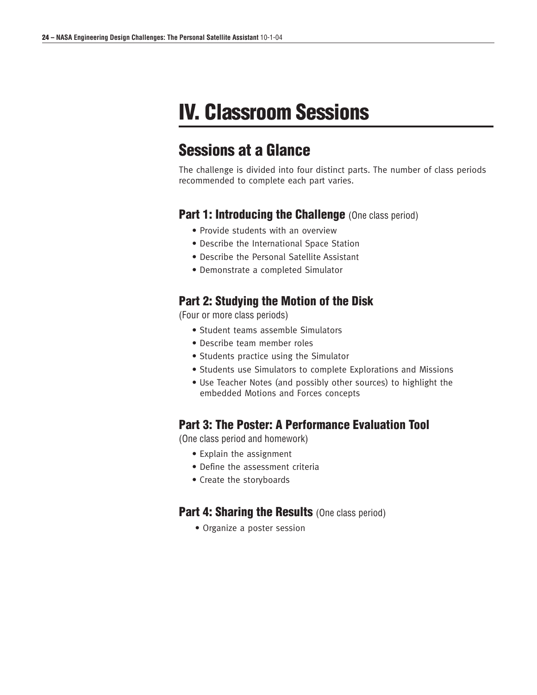# **IV. Classroom Sessions**

# **Sessions at a Glance**

The challenge is divided into four distinct parts. The number of class periods recommended to complete each part varies.

#### **Part 1: Introducing the Challenge** (One class period)

- Provide students with an overview
- Describe the International Space Station
- Describe the Personal Satellite Assistant
- Demonstrate a completed Simulator

### **Part 2: Studying the Motion of the Disk**

(Four or more class periods)

- Student teams assemble Simulators
- Describe team member roles
- Students practice using the Simulator
- Students use Simulators to complete Explorations and Missions
- Use Teacher Notes (and possibly other sources) to highlight the embedded Motions and Forces concepts

#### **Part 3: The Poster: A Performance Evaluation Tool**

(One class period and homework)

- Explain the assignment
- Define the assessment criteria
- Create the storyboards

#### **Part 4: Sharing the Results (One class period)**

• Organize a poster session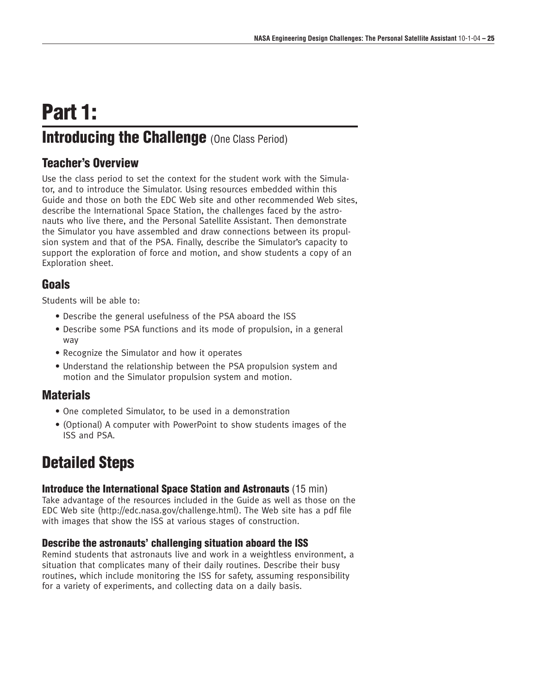# **Part 1: Introducing the Challenge** (One Class Period)

### **Teacher's Overview**

Use the class period to set the context for the student work with the Simulator, and to introduce the Simulator. Using resources embedded within this Guide and those on both the EDC Web site and other recommended Web sites, describe the International Space Station, the challenges faced by the astronauts who live there, and the Personal Satellite Assistant. Then demonstrate the Simulator you have assembled and draw connections between its propulsion system and that of the PSA. Finally, describe the Simulator's capacity to support the exploration of force and motion, and show students a copy of an Exploration sheet.

## **Goals**

Students will be able to:

- Describe the general usefulness of the PSA aboard the ISS
- Describe some PSA functions and its mode of propulsion, in a general way
- Recognize the Simulator and how it operates
- Understand the relationship between the PSA propulsion system and motion and the Simulator propulsion system and motion.

### **Materials**

- One completed Simulator, to be used in a demonstration
- (Optional) A computer with PowerPoint to show students images of the ISS and PSA.

# **Detailed Steps**

#### **Introduce the International Space Station and Astronauts** (15 min)

Take advantage of the resources included in the Guide as well as those on the EDC Web site (http://edc.nasa.gov/challenge.html). The Web site has a pdf file with images that show the ISS at various stages of construction.

#### **Describe the astronauts' challenging situation aboard the ISS**

Remind students that astronauts live and work in a weightless environment, a situation that complicates many of their daily routines. Describe their busy routines, which include monitoring the ISS for safety, assuming responsibility for a variety of experiments, and collecting data on a daily basis.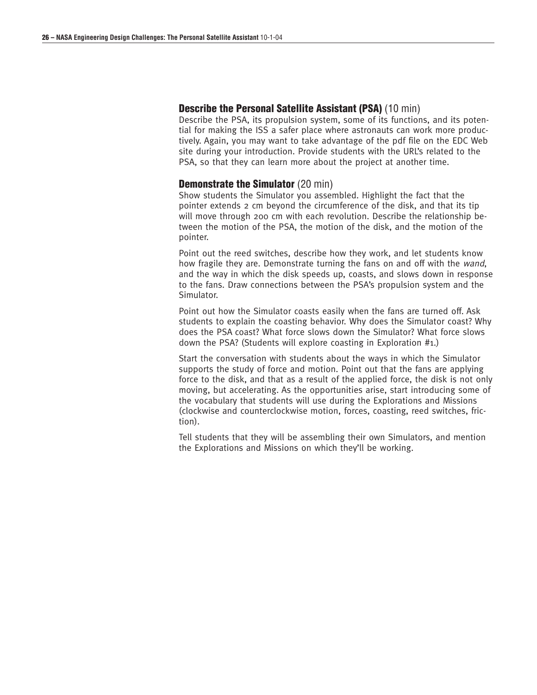#### **Describe the Personal Satellite Assistant (PSA)** (10 min)

Describe the PSA, its propulsion system, some of its functions, and its potential for making the ISS a safer place where astronauts can work more productively. Again, you may want to take advantage of the pdf file on the EDC Web site during your introduction. Provide students with the URL's related to the PSA, so that they can learn more about the project at another time.

#### **Demonstrate the Simulator** (20 min)

Show students the Simulator you assembled. Highlight the fact that the pointer extends 2 cm beyond the circumference of the disk, and that its tip will move through 200 cm with each revolution. Describe the relationship between the motion of the PSA, the motion of the disk, and the motion of the pointer.

Point out the reed switches, describe how they work, and let students know how fragile they are. Demonstrate turning the fans on and off with the wand, and the way in which the disk speeds up, coasts, and slows down in response to the fans. Draw connections between the PSA's propulsion system and the Simulator.

Point out how the Simulator coasts easily when the fans are turned off. Ask students to explain the coasting behavior. Why does the Simulator coast? Why does the PSA coast? What force slows down the Simulator? What force slows down the PSA? (Students will explore coasting in Exploration #1.)

Start the conversation with students about the ways in which the Simulator supports the study of force and motion. Point out that the fans are applying force to the disk, and that as a result of the applied force, the disk is not only moving, but accelerating. As the opportunities arise, start introducing some of the vocabulary that students will use during the Explorations and Missions (clockwise and counterclockwise motion, forces, coasting, reed switches, friction).

Tell students that they will be assembling their own Simulators, and mention the Explorations and Missions on which they'll be working.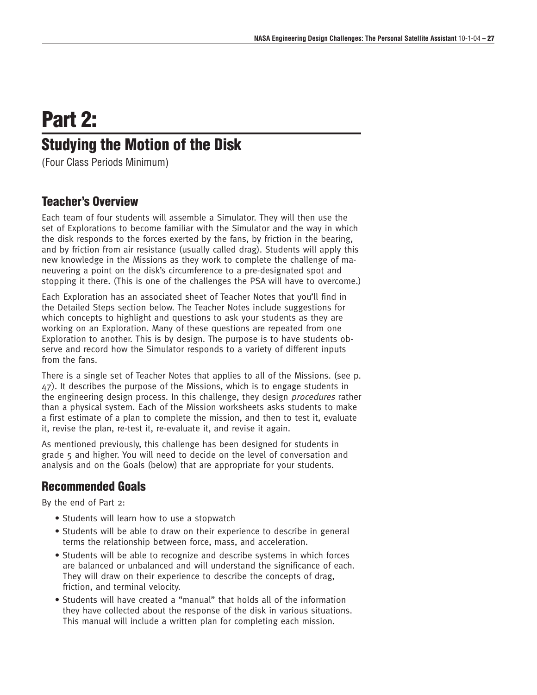# **Part 2:**

# **Studying the Motion of the Disk**

(Four Class Periods Minimum)

### **Teacher's Overview**

Each team of four students will assemble a Simulator. They will then use the set of Explorations to become familiar with the Simulator and the way in which the disk responds to the forces exerted by the fans, by friction in the bearing, and by friction from air resistance (usually called drag). Students will apply this new knowledge in the Missions as they work to complete the challenge of maneuvering a point on the disk's circumference to a pre-designated spot and stopping it there. (This is one of the challenges the PSA will have to overcome.)

Each Exploration has an associated sheet of Teacher Notes that you'll find in the Detailed Steps section below. The Teacher Notes include suggestions for which concepts to highlight and questions to ask your students as they are working on an Exploration. Many of these questions are repeated from one Exploration to another. This is by design. The purpose is to have students observe and record how the Simulator responds to a variety of different inputs from the fans.

There is a single set of Teacher Notes that applies to all of the Missions. (see p. 47). It describes the purpose of the Missions, which is to engage students in the engineering design process. In this challenge, they design procedures rather than a physical system. Each of the Mission worksheets asks students to make a first estimate of a plan to complete the mission, and then to test it, evaluate it, revise the plan, re-test it, re-evaluate it, and revise it again.

As mentioned previously, this challenge has been designed for students in grade 5 and higher. You will need to decide on the level of conversation and analysis and on the Goals (below) that are appropriate for your students.

### **Recommended Goals**

By the end of Part 2:

- Students will learn how to use a stopwatch
- Students will be able to draw on their experience to describe in general terms the relationship between force, mass, and acceleration.
- Students will be able to recognize and describe systems in which forces are balanced or unbalanced and will understand the significance of each. They will draw on their experience to describe the concepts of drag, friction, and terminal velocity.
- Students will have created a "manual" that holds all of the information they have collected about the response of the disk in various situations. This manual will include a written plan for completing each mission.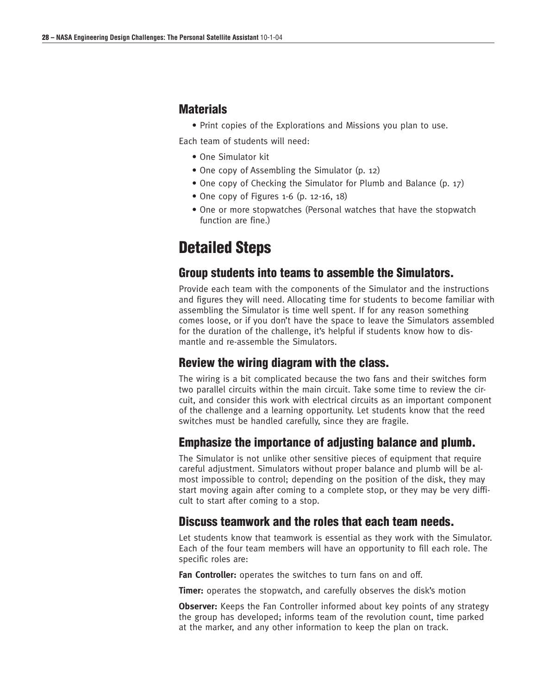#### **Materials**

• Print copies of the Explorations and Missions you plan to use.

Each team of students will need:

- One Simulator kit
- One copy of Assembling the Simulator (p. 12)
- One copy of Checking the Simulator for Plumb and Balance (p. 17)
- One copy of Figures 1-6 (p. 12-16, 18)
- One or more stopwatches (Personal watches that have the stopwatch function are fine.)

# **Detailed Steps**

#### **Group students into teams to assemble the Simulators.**

Provide each team with the components of the Simulator and the instructions and figures they will need. Allocating time for students to become familiar with assembling the Simulator is time well spent. If for any reason something comes loose, or if you don't have the space to leave the Simulators assembled for the duration of the challenge, it's helpful if students know how to dismantle and re-assemble the Simulators.

### **Review the wiring diagram with the class.**

The wiring is a bit complicated because the two fans and their switches form two parallel circuits within the main circuit. Take some time to review the circuit, and consider this work with electrical circuits as an important component of the challenge and a learning opportunity. Let students know that the reed switches must be handled carefully, since they are fragile.

### **Emphasize the importance of adjusting balance and plumb.**

The Simulator is not unlike other sensitive pieces of equipment that require careful adjustment. Simulators without proper balance and plumb will be almost impossible to control; depending on the position of the disk, they may start moving again after coming to a complete stop, or they may be very difficult to start after coming to a stop.

### **Discuss teamwork and the roles that each team needs.**

Let students know that teamwork is essential as they work with the Simulator. Each of the four team members will have an opportunity to fill each role. The specific roles are:

**Fan Controller:** operates the switches to turn fans on and off.

**Timer:** operates the stopwatch, and carefully observes the disk's motion

**Observer:** Keeps the Fan Controller informed about key points of any strategy the group has developed; informs team of the revolution count, time parked at the marker, and any other information to keep the plan on track.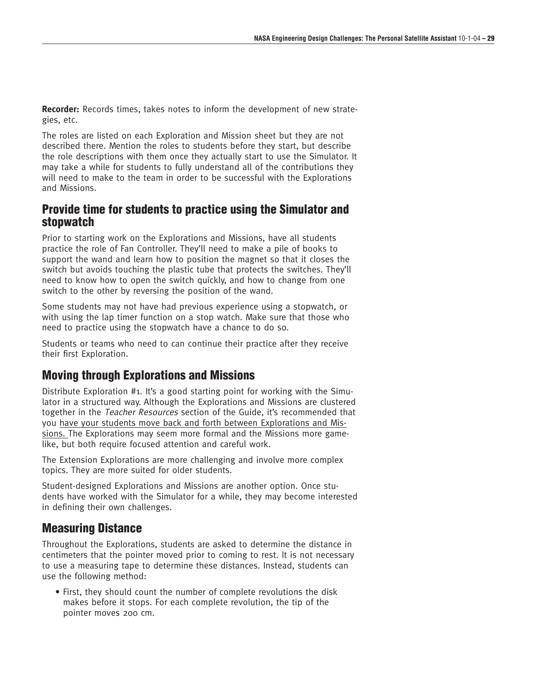**Recorder:** Records times, takes notes to inform the development of new strategies, etc.

The roles are listed on each Exploration and Mission sheet but they are not described there. Mention the roles to students before they start, but describe the role descriptions with them once they actually start to use the Simulator. It may take a while for students to fully understand all of the contributions they will need to make to the team in order to be successful with the Explorations and Missions.

#### **Provide time for students to practice using the Simulator and stopwatch**

Prior to starting work on the Explorations and Missions, have all students practice the role of Fan Controller. They'll need to make a pile of books to support the wand and learn how to position the magnet so that it closes the switch but avoids touching the plastic tube that protects the switches. They'll need to know how to open the switch quickly, and how to change from one switch to the other by reversing the position of the wand.

Some students may not have had previous experience using a stopwatch, or with using the lap timer function on a stop watch. Make sure that those who need to practice using the stopwatch have a chance to do so.

Students or teams who need to can continue their practice after they receive their first Exploration.

#### **Moving through Explorations and Missions**

Distribute Exploration #1. It's a good starting point for working with the Simulator in a structured way. Although the Explorations and Missions are clustered together in the Teacher Resources section of the Guide, it's recommended that you have your students move back and forth between Explorations and Missions. The Explorations may seem more formal and the Missions more gamelike, but both require focused attention and careful work.

The Extension Explorations are more challenging and involve more complex topics. They are more suited for older students.

Student-designed Explorations and Missions are another option. Once students have worked with the Simulator for a while, they may become interested in defining their own challenges.

#### **Measuring Distance**

Throughout the Explorations, students are asked to determine the distance in centimeters that the pointer moved prior to coming to rest. It is not necessary to use a measuring tape to determine these distances. Instead, students can use the following method:

• First, they should count the number of complete revolutions the disk makes before it stops. For each complete revolution, the tip of the pointer moves 200 cm.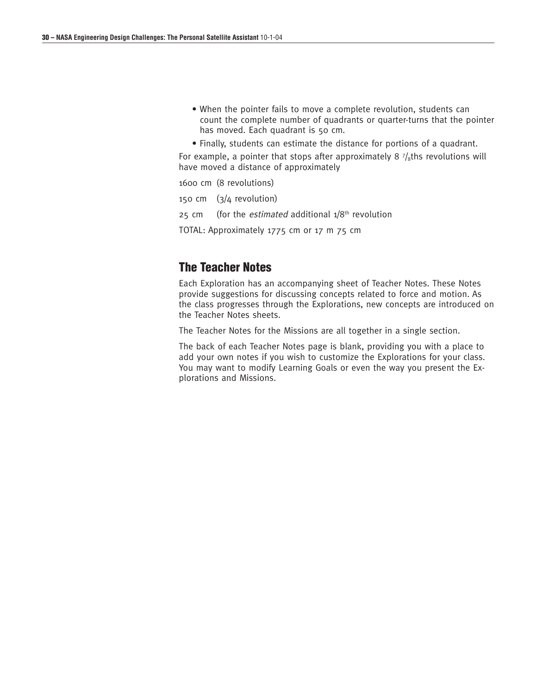- When the pointer fails to move a complete revolution, students can count the complete number of quadrants or quarter-turns that the pointer has moved. Each quadrant is 50 cm.
- Finally, students can estimate the distance for portions of a quadrant.

For example, a pointer that stops after approximately 8  $\frac{7}{8}$ ths revolutions will have moved a distance of approximately

1600 cm (8 revolutions)

150 cm (3/4 revolution)

25 cm (for the *estimated* additional  $1/8$ <sup>th</sup> revolution

TOTAL: Approximately 1775 cm or 17 m 75 cm

#### **The Teacher Notes**

Each Exploration has an accompanying sheet of Teacher Notes. These Notes provide suggestions for discussing concepts related to force and motion. As the class progresses through the Explorations, new concepts are introduced on the Teacher Notes sheets.

The Teacher Notes for the Missions are all together in a single section.

The back of each Teacher Notes page is blank, providing you with a place to add your own notes if you wish to customize the Explorations for your class. You may want to modify Learning Goals or even the way you present the Explorations and Missions.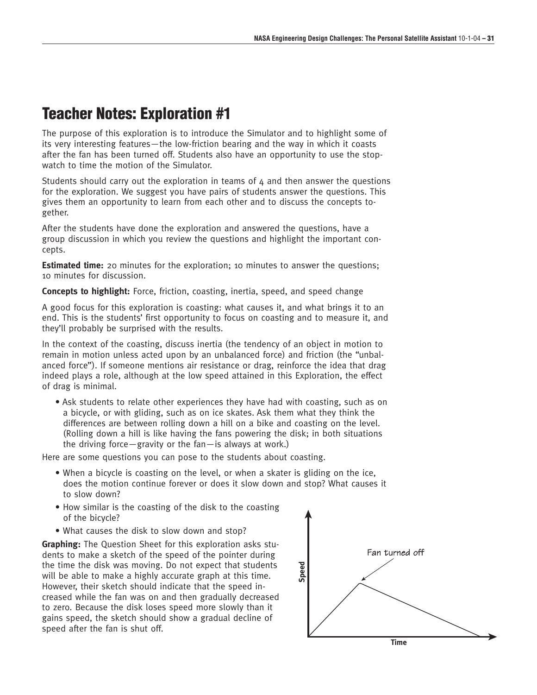# **Teacher Notes: Exploration #1**

The purpose of this exploration is to introduce the Simulator and to highlight some of its very interesting features—the low-friction bearing and the way in which it coasts after the fan has been turned off. Students also have an opportunity to use the stopwatch to time the motion of the Simulator.

Students should carry out the exploration in teams of 4 and then answer the questions for the exploration. We suggest you have pairs of students answer the questions. This gives them an opportunity to learn from each other and to discuss the concepts together.

After the students have done the exploration and answered the questions, have a group discussion in which you review the questions and highlight the important concepts.

**Estimated time:** 20 minutes for the exploration; 10 minutes to answer the questions; 10 minutes for discussion.

**Concepts to highlight:** Force, friction, coasting, inertia, speed, and speed change

A good focus for this exploration is coasting: what causes it, and what brings it to an end. This is the students' first opportunity to focus on coasting and to measure it, and they'll probably be surprised with the results.

In the context of the coasting, discuss inertia (the tendency of an object in motion to remain in motion unless acted upon by an unbalanced force) and friction (the "unbalanced force"). If someone mentions air resistance or drag, reinforce the idea that drag indeed plays a role, although at the low speed attained in this Exploration, the effect of drag is minimal.

• Ask students to relate other experiences they have had with coasting, such as on a bicycle, or with gliding, such as on ice skates. Ask them what they think the differences are between rolling down a hill on a bike and coasting on the level. (Rolling down a hill is like having the fans powering the disk; in both situations the driving force—gravity or the fan—is always at work.)

Here are some questions you can pose to the students about coasting.

- When a bicycle is coasting on the level, or when a skater is gliding on the ice, does the motion continue forever or does it slow down and stop? What causes it to slow down?
- How similar is the coasting of the disk to the coasting of the bicycle?
- What causes the disk to slow down and stop?

**Graphing:** The Question Sheet for this exploration asks students to make a sketch of the speed of the pointer during the time the disk was moving. Do not expect that students will be able to make a highly accurate graph at this time. However, their sketch should indicate that the speed increased while the fan was on and then gradually decreased to zero. Because the disk loses speed more slowly than it gains speed, the sketch should show a gradual decline of speed after the fan is shut off.

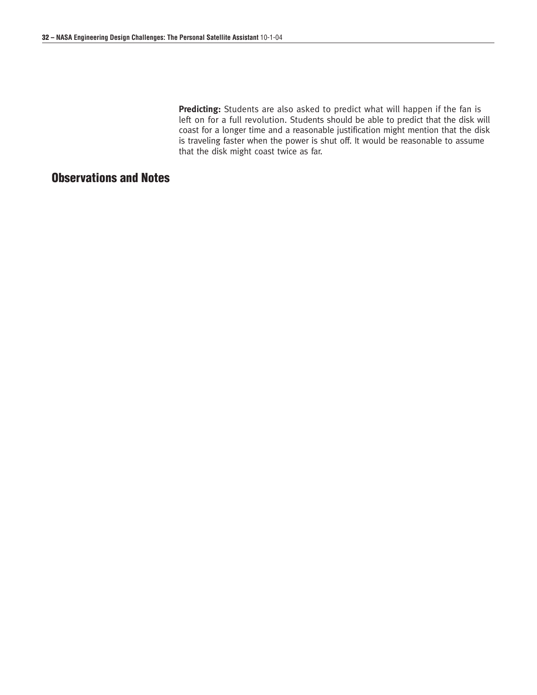**Predicting:** Students are also asked to predict what will happen if the fan is left on for a full revolution. Students should be able to predict that the disk will coast for a longer time and a reasonable justification might mention that the disk is traveling faster when the power is shut off. It would be reasonable to assume that the disk might coast twice as far.

# **Observations and Notes**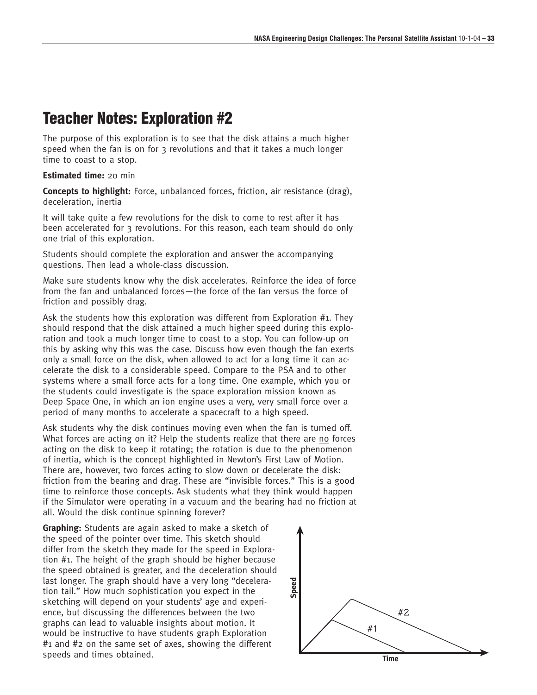# **Teacher Notes: Exploration #2**

The purpose of this exploration is to see that the disk attains a much higher speed when the fan is on for 3 revolutions and that it takes a much longer time to coast to a stop.

**Estimated time:** 20 min

**Concepts to highlight:** Force, unbalanced forces, friction, air resistance (drag), deceleration, inertia

It will take quite a few revolutions for the disk to come to rest after it has been accelerated for 3 revolutions. For this reason, each team should do only one trial of this exploration.

Students should complete the exploration and answer the accompanying questions. Then lead a whole-class discussion.

Make sure students know why the disk accelerates. Reinforce the idea of force from the fan and unbalanced forces—the force of the fan versus the force of friction and possibly drag.

Ask the students how this exploration was different from Exploration #1. They should respond that the disk attained a much higher speed during this exploration and took a much longer time to coast to a stop. You can follow-up on this by asking why this was the case. Discuss how even though the fan exerts only a small force on the disk, when allowed to act for a long time it can accelerate the disk to a considerable speed. Compare to the PSA and to other systems where a small force acts for a long time. One example, which you or the students could investigate is the space exploration mission known as Deep Space One, in which an ion engine uses a very, very small force over a period of many months to accelerate a spacecraft to a high speed.

Ask students why the disk continues moving even when the fan is turned off. What forces are acting on it? Help the students realize that there are no forces acting on the disk to keep it rotating; the rotation is due to the phenomenon of inertia, which is the concept highlighted in Newton's First Law of Motion. There are, however, two forces acting to slow down or decelerate the disk: friction from the bearing and drag. These are "invisible forces." This is a good time to reinforce those concepts. Ask students what they think would happen if the Simulator were operating in a vacuum and the bearing had no friction at all. Would the disk continue spinning forever?

**Graphing:** Students are again asked to make a sketch of the speed of the pointer over time. This sketch should differ from the sketch they made for the speed in Exploration #1. The height of the graph should be higher because the speed obtained is greater, and the deceleration should last longer. The graph should have a very long "deceleration tail." How much sophistication you expect in the sketching will depend on your students' age and experience, but discussing the differences between the two graphs can lead to valuable insights about motion. It would be instructive to have students graph Exploration #1 and #2 on the same set of axes, showing the different speeds and times obtained. **The set of the set of the set of the set of the set of the set of the set of the set of the set of the set of the set of the set of the set of the set of the set of the set of the set of the set** 

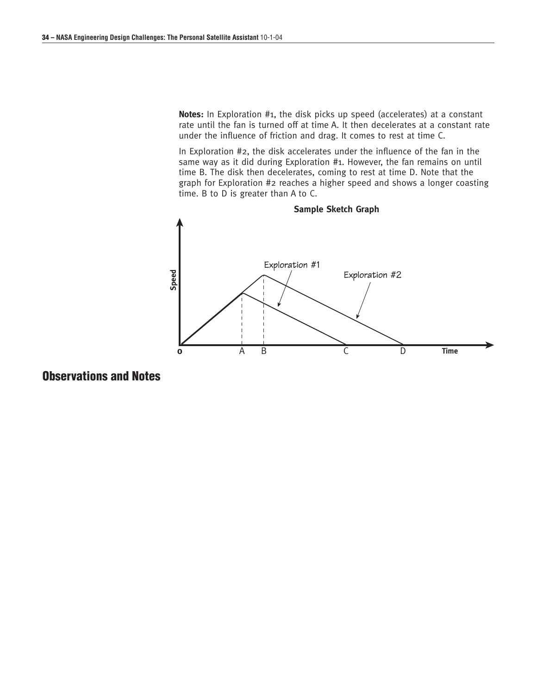**Notes:** In Exploration #1, the disk picks up speed (accelerates) at a constant rate until the fan is turned off at time A. It then decelerates at a constant rate under the influence of friction and drag. It comes to rest at time C.

In Exploration #2, the disk accelerates under the influence of the fan in the same way as it did during Exploration #1. However, the fan remains on until time B. The disk then decelerates, coming to rest at time D. Note that the graph for Exploration #2 reaches a higher speed and shows a longer coasting time. B to D is greater than A to C.



**Observations and Notes**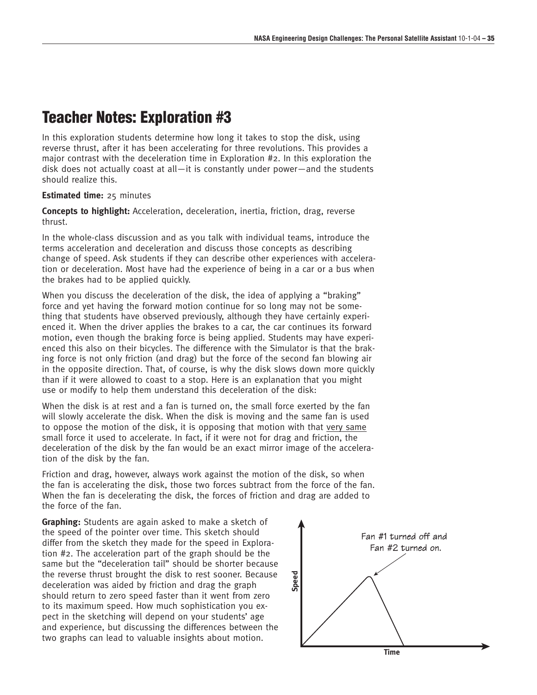# **Teacher Notes: Exploration #3**

In this exploration students determine how long it takes to stop the disk, using reverse thrust, after it has been accelerating for three revolutions. This provides a major contrast with the deceleration time in Exploration #2. In this exploration the disk does not actually coast at all—it is constantly under power—and the students should realize this.

#### **Estimated time:** 25 minutes

**Concepts to highlight:** Acceleration, deceleration, inertia, friction, drag, reverse thrust.

In the whole-class discussion and as you talk with individual teams, introduce the terms acceleration and deceleration and discuss those concepts as describing change of speed. Ask students if they can describe other experiences with acceleration or deceleration. Most have had the experience of being in a car or a bus when the brakes had to be applied quickly.

When you discuss the deceleration of the disk, the idea of applying a "braking" force and yet having the forward motion continue for so long may not be something that students have observed previously, although they have certainly experienced it. When the driver applies the brakes to a car, the car continues its forward motion, even though the braking force is being applied. Students may have experienced this also on their bicycles. The difference with the Simulator is that the braking force is not only friction (and drag) but the force of the second fan blowing air in the opposite direction. That, of course, is why the disk slows down more quickly than if it were allowed to coast to a stop. Here is an explanation that you might use or modify to help them understand this deceleration of the disk:

When the disk is at rest and a fan is turned on, the small force exerted by the fan will slowly accelerate the disk. When the disk is moving and the same fan is used to oppose the motion of the disk, it is opposing that motion with that very same small force it used to accelerate. In fact, if it were not for drag and friction, the deceleration of the disk by the fan would be an exact mirror image of the acceleration of the disk by the fan.

Friction and drag, however, always work against the motion of the disk, so when the fan is accelerating the disk, those two forces subtract from the force of the fan. When the fan is decelerating the disk, the forces of friction and drag are added to the force of the fan.

**Graphing:** Students are again asked to make a sketch of the speed of the pointer over time. This sketch should differ from the sketch they made for the speed in Exploration #2. The acceleration part of the graph should be the same but the "deceleration tail" should be shorter because the reverse thrust brought the disk to rest sooner. Because deceleration was aided by friction and drag the graph should return to zero speed faster than it went from zero to its maximum speed. How much sophistication you expect in the sketching will depend on your students' age and experience, but discussing the differences between the two graphs can lead to valuable insights about motion.

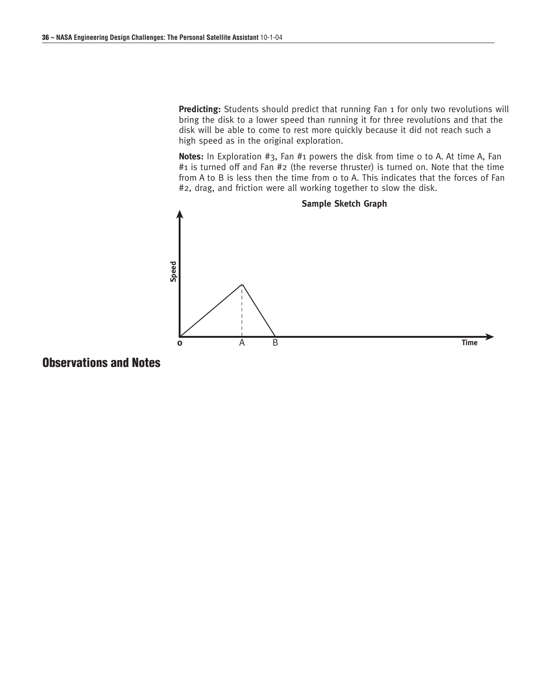**Predicting:** Students should predict that running Fan 1 for only two revolutions will bring the disk to a lower speed than running it for three revolutions and that the disk will be able to come to rest more quickly because it did not reach such a high speed as in the original exploration.

Notes: In Exploration #3, Fan #1 powers the disk from time o to A. At time A, Fan #1 is turned off and Fan #2 (the reverse thruster) is turned on. Note that the time from A to B is less then the time from 0 to A. This indicates that the forces of Fan #2, drag, and friction were all working together to slow the disk.



# **Observations and Notes**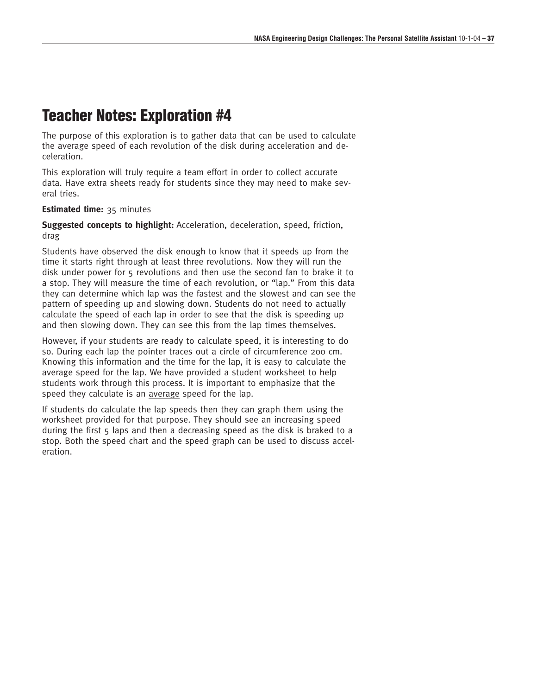# **Teacher Notes: Exploration #4**

The purpose of this exploration is to gather data that can be used to calculate the average speed of each revolution of the disk during acceleration and deceleration.

This exploration will truly require a team effort in order to collect accurate data. Have extra sheets ready for students since they may need to make several tries.

#### **Estimated time:** 35 minutes

**Suggested concepts to highlight:** Acceleration, deceleration, speed, friction, drag

Students have observed the disk enough to know that it speeds up from the time it starts right through at least three revolutions. Now they will run the disk under power for 5 revolutions and then use the second fan to brake it to a stop. They will measure the time of each revolution, or "lap." From this data they can determine which lap was the fastest and the slowest and can see the pattern of speeding up and slowing down. Students do not need to actually calculate the speed of each lap in order to see that the disk is speeding up and then slowing down. They can see this from the lap times themselves.

However, if your students are ready to calculate speed, it is interesting to do so. During each lap the pointer traces out a circle of circumference 200 cm. Knowing this information and the time for the lap, it is easy to calculate the average speed for the lap. We have provided a student worksheet to help students work through this process. It is important to emphasize that the speed they calculate is an average speed for the lap.

If students do calculate the lap speeds then they can graph them using the worksheet provided for that purpose. They should see an increasing speed during the first 5 laps and then a decreasing speed as the disk is braked to a stop. Both the speed chart and the speed graph can be used to discuss acceleration.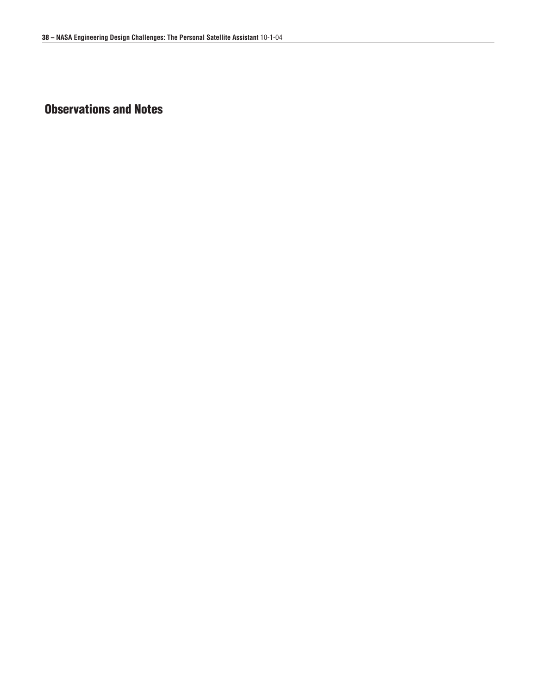# **Observations and Notes**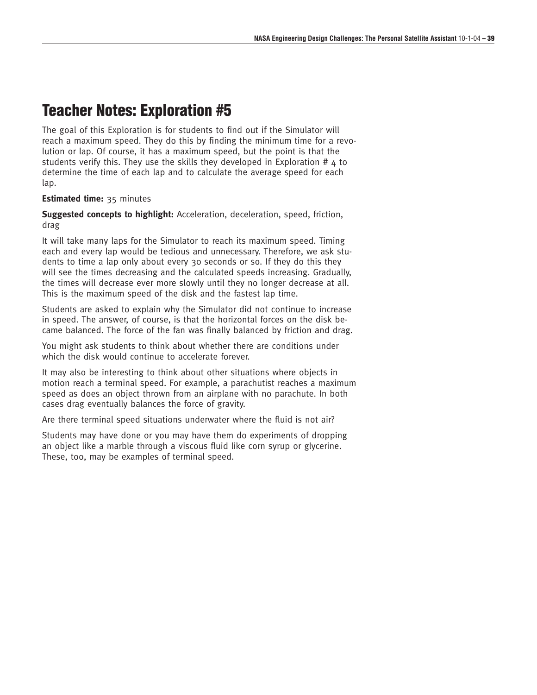# **Teacher Notes: Exploration #5**

The goal of this Exploration is for students to find out if the Simulator will reach a maximum speed. They do this by finding the minimum time for a revolution or lap. Of course, it has a maximum speed, but the point is that the students verify this. They use the skills they developed in Exploration #  $4$  to determine the time of each lap and to calculate the average speed for each lap.

### **Estimated time:** 35 minutes

**Suggested concepts to highlight:** Acceleration, deceleration, speed, friction, drag

It will take many laps for the Simulator to reach its maximum speed. Timing each and every lap would be tedious and unnecessary. Therefore, we ask students to time a lap only about every 30 seconds or so. If they do this they will see the times decreasing and the calculated speeds increasing. Gradually, the times will decrease ever more slowly until they no longer decrease at all. This is the maximum speed of the disk and the fastest lap time.

Students are asked to explain why the Simulator did not continue to increase in speed. The answer, of course, is that the horizontal forces on the disk became balanced. The force of the fan was finally balanced by friction and drag.

You might ask students to think about whether there are conditions under which the disk would continue to accelerate forever.

It may also be interesting to think about other situations where objects in motion reach a terminal speed. For example, a parachutist reaches a maximum speed as does an object thrown from an airplane with no parachute. In both cases drag eventually balances the force of gravity.

Are there terminal speed situations underwater where the fluid is not air?

Students may have done or you may have them do experiments of dropping an object like a marble through a viscous fluid like corn syrup or glycerine. These, too, may be examples of terminal speed.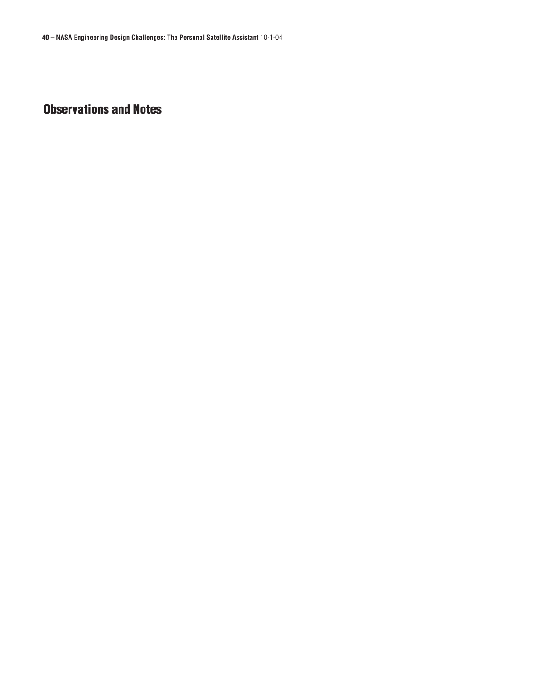# **Observations and Notes**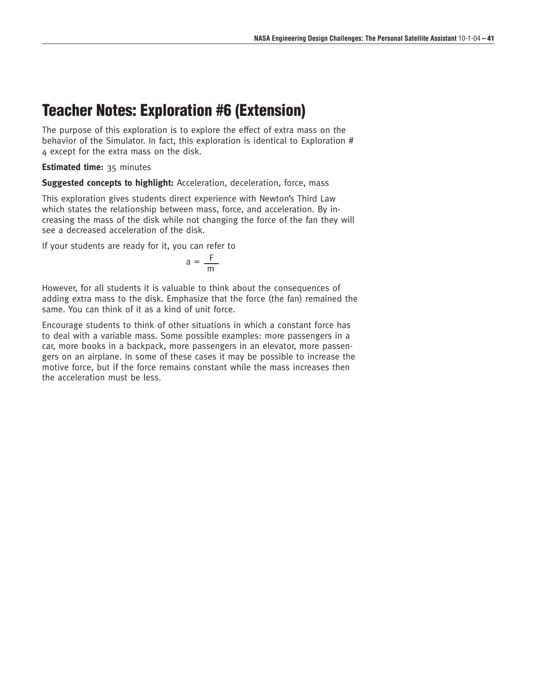# **Teacher Notes: Exploration #6 (Extension)**

The purpose of this exploration is to explore the effect of extra mass on the behavior of the Simulator. In fact, this exploration is identical to Exploration # 4 except for the extra mass on the disk.

**Estimated time:** 35 minutes

**Suggested concepts to highlight:** Acceleration, deceleration, force, mass

This exploration gives students direct experience with Newton's Third Law which states the relationship between mass, force, and acceleration. By increasing the mass of the disk while not changing the force of the fan they will see a decreased acceleration of the disk.

If your students are ready for it, you can refer to

$$
a = \frac{F}{m}
$$

However, for all students it is valuable to think about the consequences of adding extra mass to the disk. Emphasize that the force (the fan) remained the same. You can think of it as a kind of unit force.

Encourage students to think of other situations in which a constant force has to deal with a variable mass. Some possible examples: more passengers in a car, more books in a backpack, more passengers in an elevator, more passengers on an airplane. In some of these cases it may be possible to increase the motive force, but if the force remains constant while the mass increases then the acceleration must be less.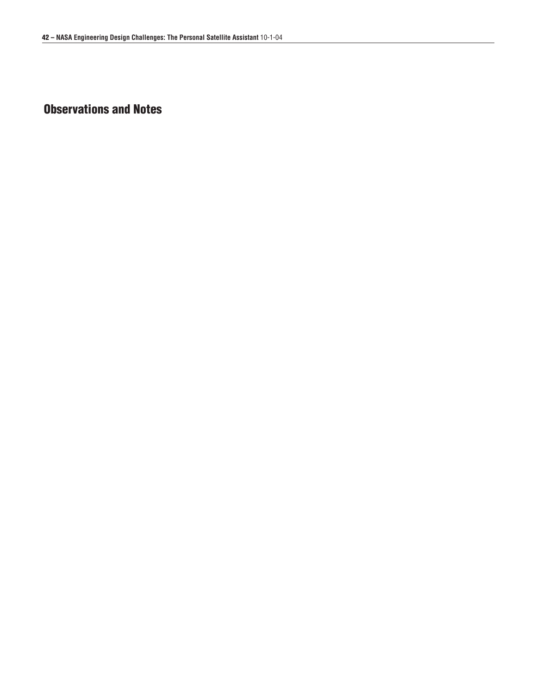# **Observations and Notes**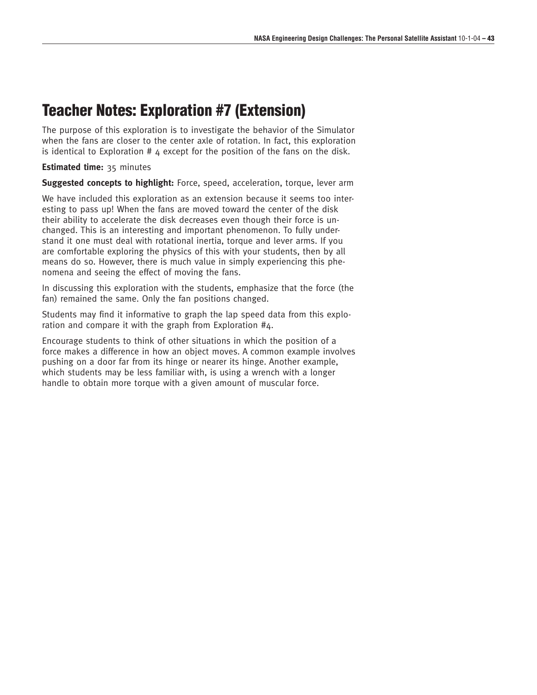# **Teacher Notes: Exploration #7 (Extension)**

The purpose of this exploration is to investigate the behavior of the Simulator when the fans are closer to the center axle of rotation. In fact, this exploration is identical to Exploration  $#$  4 except for the position of the fans on the disk.

**Estimated time:** 35 minutes

**Suggested concepts to highlight:** Force, speed, acceleration, torque, lever arm

We have included this exploration as an extension because it seems too interesting to pass up! When the fans are moved toward the center of the disk their ability to accelerate the disk decreases even though their force is unchanged. This is an interesting and important phenomenon. To fully understand it one must deal with rotational inertia, torque and lever arms. If you are comfortable exploring the physics of this with your students, then by all means do so. However, there is much value in simply experiencing this phenomena and seeing the effect of moving the fans.

In discussing this exploration with the students, emphasize that the force (the fan) remained the same. Only the fan positions changed.

Students may find it informative to graph the lap speed data from this exploration and compare it with the graph from Exploration #4.

Encourage students to think of other situations in which the position of a force makes a difference in how an object moves. A common example involves pushing on a door far from its hinge or nearer its hinge. Another example, which students may be less familiar with, is using a wrench with a longer handle to obtain more torque with a given amount of muscular force.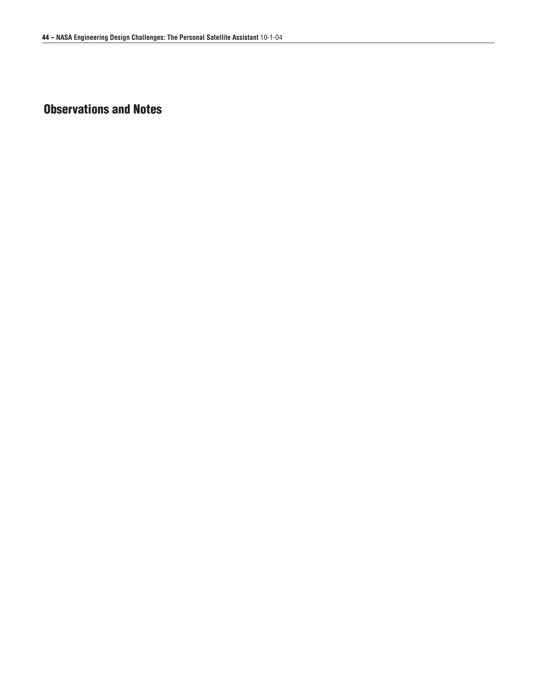# **Observations and Notes**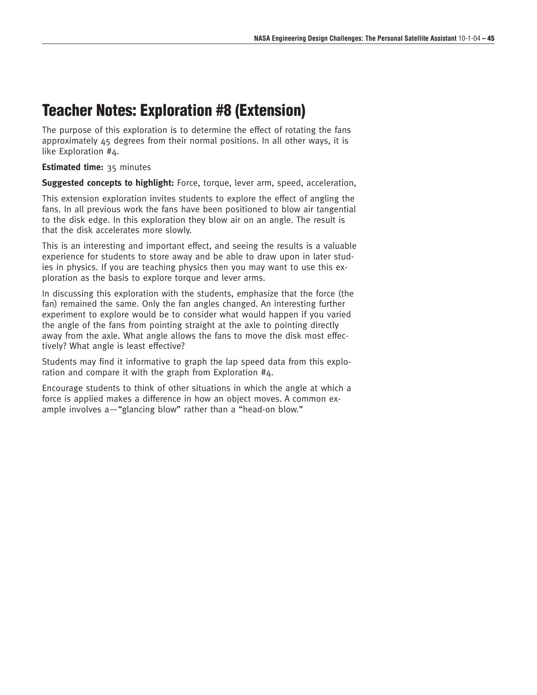# **Teacher Notes: Exploration #8 (Extension)**

The purpose of this exploration is to determine the effect of rotating the fans approximately 45 degrees from their normal positions. In all other ways, it is like Exploration #4.

**Estimated time:** 35 minutes

**Suggested concepts to highlight:** Force, torque, lever arm, speed, acceleration,

This extension exploration invites students to explore the effect of angling the fans. In all previous work the fans have been positioned to blow air tangential to the disk edge. In this exploration they blow air on an angle. The result is that the disk accelerates more slowly.

This is an interesting and important effect, and seeing the results is a valuable experience for students to store away and be able to draw upon in later studies in physics. If you are teaching physics then you may want to use this exploration as the basis to explore torque and lever arms.

In discussing this exploration with the students, emphasize that the force (the fan) remained the same. Only the fan angles changed. An interesting further experiment to explore would be to consider what would happen if you varied the angle of the fans from pointing straight at the axle to pointing directly away from the axle. What angle allows the fans to move the disk most effectively? What angle is least effective?

Students may find it informative to graph the lap speed data from this exploration and compare it with the graph from Exploration #4.

Encourage students to think of other situations in which the angle at which a force is applied makes a difference in how an object moves. A common example involves a—"glancing blow" rather than a "head-on blow."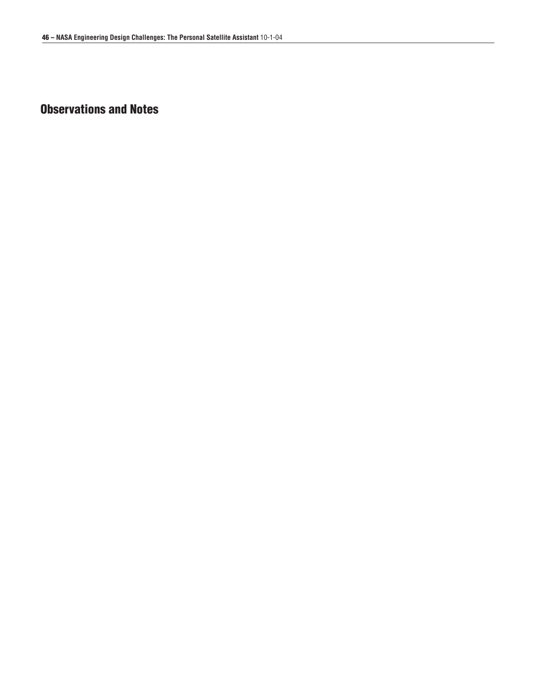# **Observations and Notes**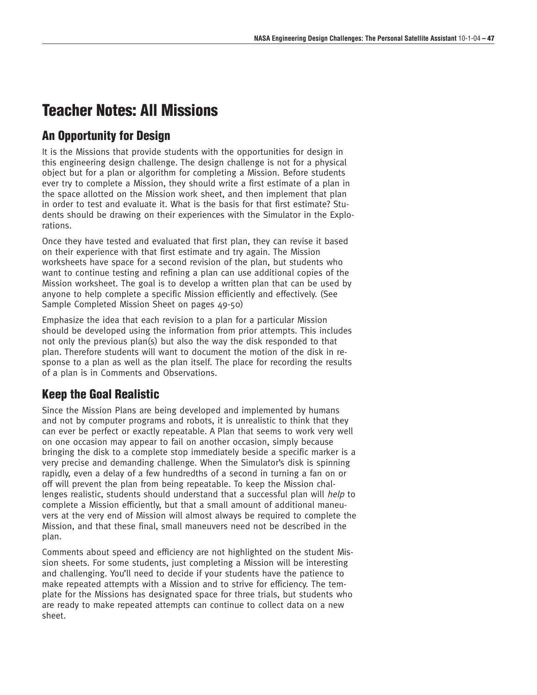# **Teacher Notes: All Missions**

### **An Opportunity for Design**

It is the Missions that provide students with the opportunities for design in this engineering design challenge. The design challenge is not for a physical object but for a plan or algorithm for completing a Mission. Before students ever try to complete a Mission, they should write a first estimate of a plan in the space allotted on the Mission work sheet, and then implement that plan in order to test and evaluate it. What is the basis for that first estimate? Students should be drawing on their experiences with the Simulator in the Explorations.

Once they have tested and evaluated that first plan, they can revise it based on their experience with that first estimate and try again. The Mission worksheets have space for a second revision of the plan, but students who want to continue testing and refining a plan can use additional copies of the Mission worksheet. The goal is to develop a written plan that can be used by anyone to help complete a specific Mission efficiently and effectively. (See Sample Completed Mission Sheet on pages 49-50)

Emphasize the idea that each revision to a plan for a particular Mission should be developed using the information from prior attempts. This includes not only the previous plan(s) but also the way the disk responded to that plan. Therefore students will want to document the motion of the disk in response to a plan as well as the plan itself. The place for recording the results of a plan is in Comments and Observations.

## **Keep the Goal Realistic**

Since the Mission Plans are being developed and implemented by humans and not by computer programs and robots, it is unrealistic to think that they can ever be perfect or exactly repeatable. A Plan that seems to work very well on one occasion may appear to fail on another occasion, simply because bringing the disk to a complete stop immediately beside a specific marker is a very precise and demanding challenge. When the Simulator's disk is spinning rapidly, even a delay of a few hundredths of a second in turning a fan on or off will prevent the plan from being repeatable. To keep the Mission challenges realistic, students should understand that a successful plan will help to complete a Mission efficiently, but that a small amount of additional maneuvers at the very end of Mission will almost always be required to complete the Mission, and that these final, small maneuvers need not be described in the plan.

Comments about speed and efficiency are not highlighted on the student Mission sheets. For some students, just completing a Mission will be interesting and challenging. You'll need to decide if your students have the patience to make repeated attempts with a Mission and to strive for efficiency. The template for the Missions has designated space for three trials, but students who are ready to make repeated attempts can continue to collect data on a new sheet.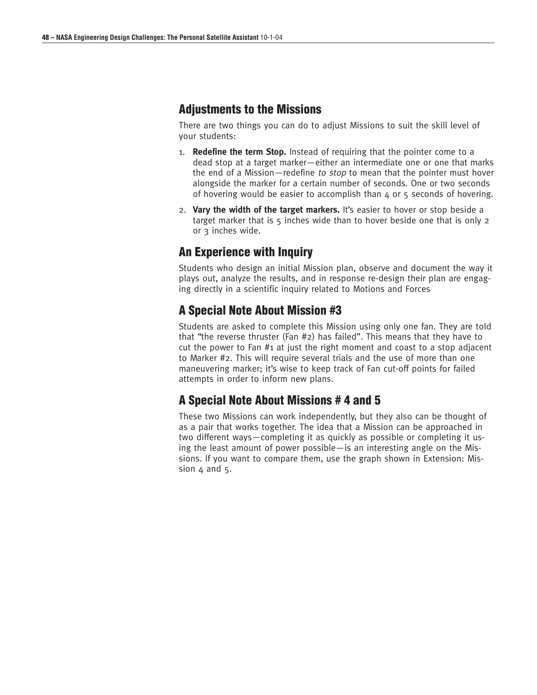### **Adjustments to the Missions**

There are two things you can do to adjust Missions to suit the skill level of your students:

- 1. **Redefine the term Stop.** Instead of requiring that the pointer come to a dead stop at a target marker—either an intermediate one or one that marks the end of a Mission—redefine to stop to mean that the pointer must hover alongside the marker for a certain number of seconds. One or two seconds of hovering would be easier to accomplish than  $4$  or  $5$  seconds of hovering.
- 2. **Vary the width of the target markers.** It's easier to hover or stop beside a target marker that is 5 inches wide than to hover beside one that is only 2 or 3 inches wide.

## **An Experience with Inquiry**

Students who design an initial Mission plan, observe and document the way it plays out, analyze the results, and in response re-design their plan are engaging directly in a scientific inquiry related to Motions and Forces

## **A Special Note About Mission #3**

Students are asked to complete this Mission using only one fan. They are told that "the reverse thruster (Fan #2) has failed". This means that they have to cut the power to Fan #1 at just the right moment and coast to a stop adjacent to Marker #2. This will require several trials and the use of more than one maneuvering marker; it's wise to keep track of Fan cut-off points for failed attempts in order to inform new plans.

## **A Special Note About Missions # 4 and 5**

These two Missions can work independently, but they also can be thought of as a pair that works together. The idea that a Mission can be approached in two different ways—completing it as quickly as possible or completing it using the least amount of power possible—is an interesting angle on the Missions. If you want to compare them, use the graph shown in Extension: Mission  $4$  and  $5$ .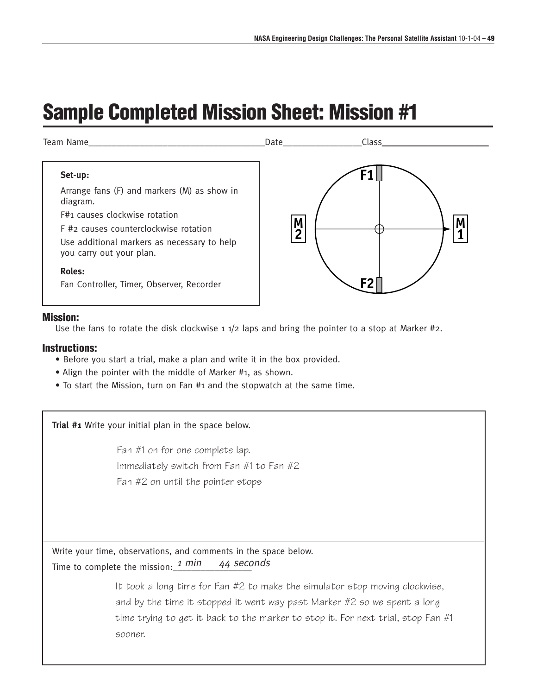# **Sample Completed Mission Sheet: Mission #1**



### **Mission:**

Use the fans to rotate the disk clockwise  $1 \frac{1}{2}$  laps and bring the pointer to a stop at Marker #2.

### **Instructions:**

- Before you start a trial, make a plan and write it in the box provided.
- Align the pointer with the middle of Marker #1, as shown.
- To start the Mission, turn on Fan #1 and the stopwatch at the same time.

**Trial #1** Write your initial plan in the space below.

Fan #1 on for one complete lap. Immediately switch from Fan #1 to Fan #2 Fan #2 on until the pointer stops

Write your time, observations, and comments in the space below. Time to complete the mission:  $1 min$ 44 seconds

> It took a long time for Fan #2 to make the simulator stop moving clockwise, and by the time it stopped it went way past Marker #2 so we spent a long time trying to get it back to the marker to stop it. For next trial, stop Fan #1 sooner.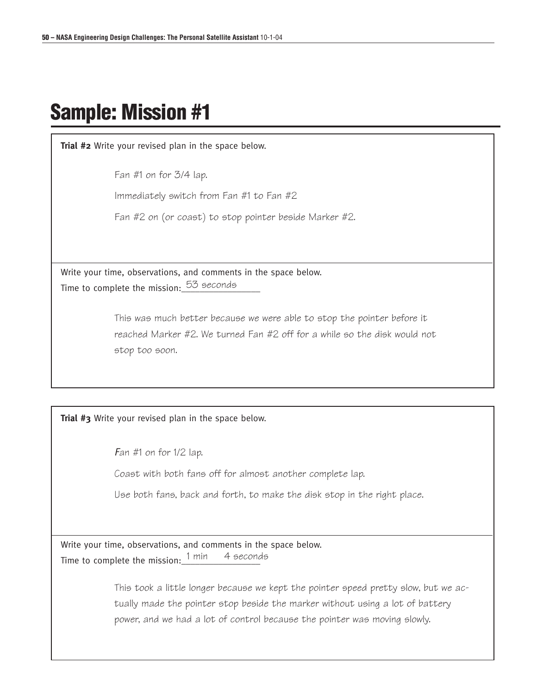# **Sample: Mission #1**

**Trial #2** Write your revised plan in the space below.

Fan #1 on for 3/4 lap.

Immediately switch from Fan #1 to Fan #2

Fan #2 on (or coast) to stop pointer beside Marker #2.

Write your time, observations, and comments in the space below. Time to complete the mission:  $^{53}$  seconds

> This was much better because we were able to stop the pointer before it reached Marker #2. We turned Fan #2 off for a while so the disk would not stop too soon.

**Trial #3** Write your revised plan in the space below.

Fan  $#1$  on for  $1/2$  lap.

Coast with both fans off for almost another complete lap.

Use both fans, back and forth, to make the disk stop in the right place.

Write your time, observations, and comments in the space below. Time to complete the mission:  $1$  min 4 seconds

> This took a little longer because we kept the pointer speed pretty slow, but we actually made the pointer stop beside the marker without using a lot of battery power, and we had a lot of control because the pointer was moving slowly.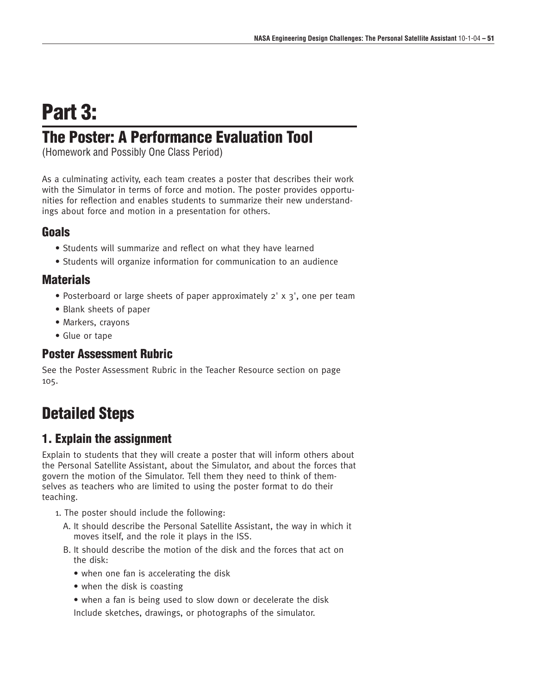# **Part 3:**

# **The Poster: A Performance Evaluation Tool**

(Homework and Possibly One Class Period)

As a culminating activity, each team creates a poster that describes their work with the Simulator in terms of force and motion. The poster provides opportunities for reflection and enables students to summarize their new understandings about force and motion in a presentation for others.

### **Goals**

- Students will summarize and reflect on what they have learned
- Students will organize information for communication to an audience

### **Materials**

- Posterboard or large sheets of paper approximately 2' x 3', one per team
- Blank sheets of paper
- Markers, crayons
- Glue or tape

## **Poster Assessment Rubric**

See the Poster Assessment Rubric in the Teacher Resource section on page 105.

# **Detailed Steps**

## **1. Explain the assignment**

Explain to students that they will create a poster that will inform others about the Personal Satellite Assistant, about the Simulator, and about the forces that govern the motion of the Simulator. Tell them they need to think of themselves as teachers who are limited to using the poster format to do their teaching.

- 1. The poster should include the following:
	- A. It should describe the Personal Satellite Assistant, the way in which it moves itself, and the role it plays in the ISS.
	- B. It should describe the motion of the disk and the forces that act on the disk:
		- when one fan is accelerating the disk
		- when the disk is coasting
		- when a fan is being used to slow down or decelerate the disk Include sketches, drawings, or photographs of the simulator.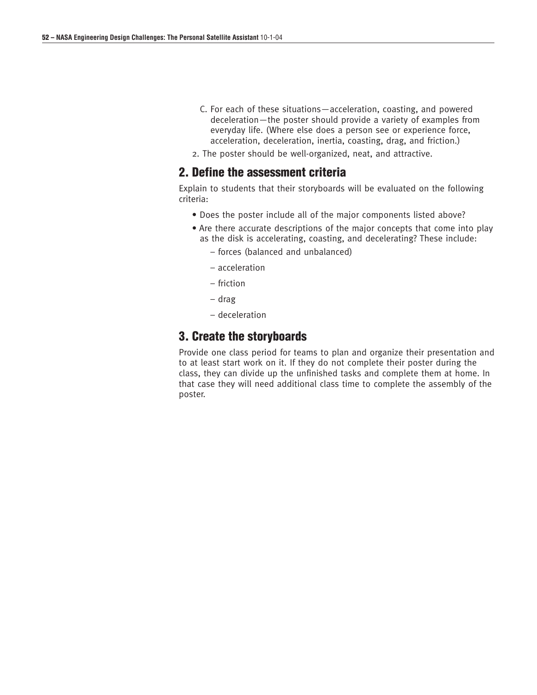- C. For each of these situations—acceleration, coasting, and powered deceleration—the poster should provide a variety of examples from everyday life. (Where else does a person see or experience force, acceleration, deceleration, inertia, coasting, drag, and friction.)
- 2. The poster should be well-organized, neat, and attractive.

### **2. Define the assessment criteria**

Explain to students that their storyboards will be evaluated on the following criteria:

- Does the poster include all of the major components listed above?
- Are there accurate descriptions of the major concepts that come into play as the disk is accelerating, coasting, and decelerating? These include:
	- forces (balanced and unbalanced)
	- acceleration
	- friction
	- drag
	- deceleration

### **3. Create the storyboards**

Provide one class period for teams to plan and organize their presentation and to at least start work on it. If they do not complete their poster during the class, they can divide up the unfinished tasks and complete them at home. In that case they will need additional class time to complete the assembly of the poster.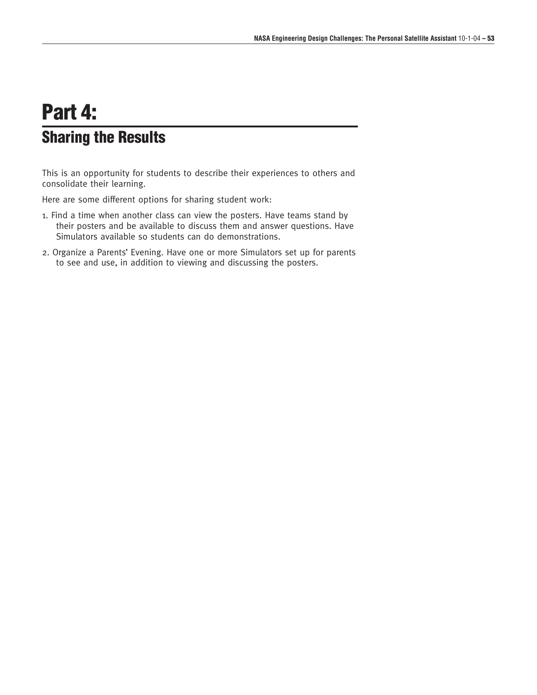# **Part 4: Sharing the Results**

This is an opportunity for students to describe their experiences to others and consolidate their learning.

Here are some different options for sharing student work:

- 1. Find a time when another class can view the posters. Have teams stand by their posters and be available to discuss them and answer questions. Have Simulators available so students can do demonstrations.
- 2. Organize a Parents' Evening. Have one or more Simulators set up for parents to see and use, in addition to viewing and discussing the posters.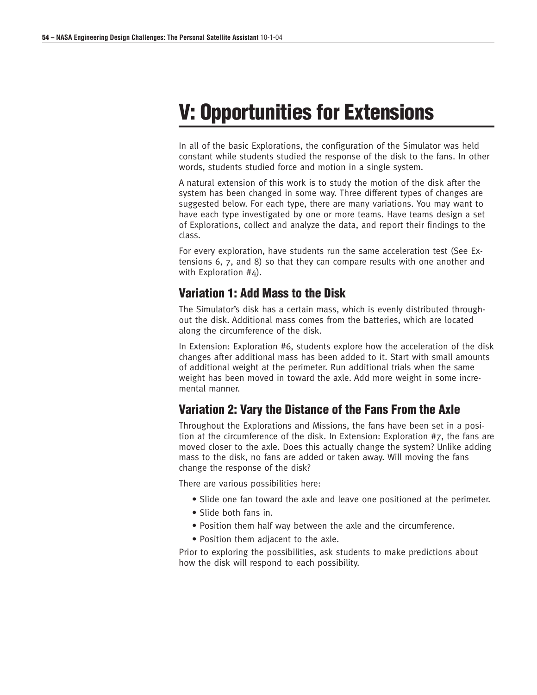# **V: Opportunities for Extensions**

In all of the basic Explorations, the configuration of the Simulator was held constant while students studied the response of the disk to the fans. In other words, students studied force and motion in a single system.

A natural extension of this work is to study the motion of the disk after the system has been changed in some way. Three different types of changes are suggested below. For each type, there are many variations. You may want to have each type investigated by one or more teams. Have teams design a set of Explorations, collect and analyze the data, and report their findings to the class.

For every exploration, have students run the same acceleration test (See Extensions 6, 7, and 8) so that they can compare results with one another and with Exploration #4).

### **Variation 1: Add Mass to the Disk**

The Simulator's disk has a certain mass, which is evenly distributed throughout the disk. Additional mass comes from the batteries, which are located along the circumference of the disk.

In Extension: Exploration #6, students explore how the acceleration of the disk changes after additional mass has been added to it. Start with small amounts of additional weight at the perimeter. Run additional trials when the same weight has been moved in toward the axle. Add more weight in some incremental manner.

## **Variation 2: Vary the Distance of the Fans From the Axle**

Throughout the Explorations and Missions, the fans have been set in a position at the circumference of the disk. In Extension: Exploration #7, the fans are moved closer to the axle. Does this actually change the system? Unlike adding mass to the disk, no fans are added or taken away. Will moving the fans change the response of the disk?

There are various possibilities here:

- Slide one fan toward the axle and leave one positioned at the perimeter.
- Slide both fans in.
- Position them half way between the axle and the circumference.
- Position them adjacent to the axle.

Prior to exploring the possibilities, ask students to make predictions about how the disk will respond to each possibility.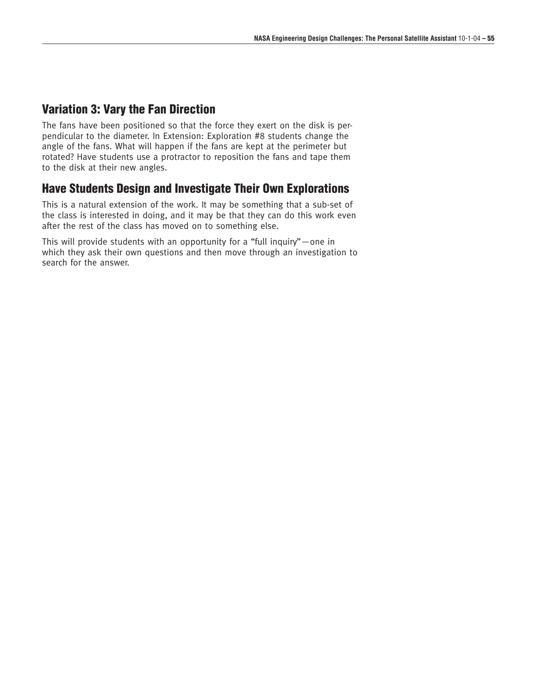### **Variation 3: Vary the Fan Direction**

The fans have been positioned so that the force they exert on the disk is perpendicular to the diameter. In Extension: Exploration #8 students change the angle of the fans. What will happen if the fans are kept at the perimeter but rotated? Have students use a protractor to reposition the fans and tape them to the disk at their new angles.

## **Have Students Design and Investigate Their Own Explorations**

This is a natural extension of the work. It may be something that a sub-set of the class is interested in doing, and it may be that they can do this work even after the rest of the class has moved on to something else.

This will provide students with an opportunity for a "full inquiry"—one in which they ask their own questions and then move through an investigation to search for the answer.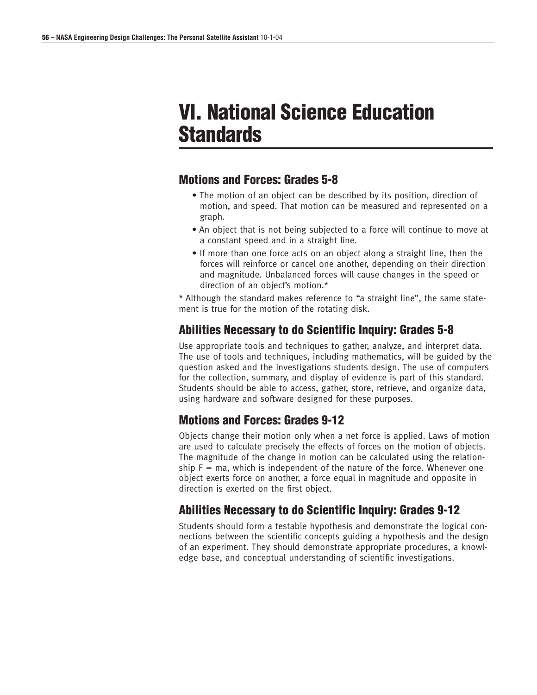# **VI. National Science Education Standards**

### **Motions and Forces: Grades 5-8**

- The motion of an object can be described by its position, direction of motion, and speed. That motion can be measured and represented on a graph.
- An object that is not being subjected to a force will continue to move at a constant speed and in a straight line.
- If more than one force acts on an object along a straight line, then the forces will reinforce or cancel one another, depending on their direction and magnitude. Unbalanced forces will cause changes in the speed or direction of an object's motion.\*

\* Although the standard makes reference to "a straight line", the same statement is true for the motion of the rotating disk.

## **Abilities Necessary to do Scientific Inquiry: Grades 5-8**

Use appropriate tools and techniques to gather, analyze, and interpret data. The use of tools and techniques, including mathematics, will be guided by the question asked and the investigations students design. The use of computers for the collection, summary, and display of evidence is part of this standard. Students should be able to access, gather, store, retrieve, and organize data, using hardware and software designed for these purposes.

## **Motions and Forces: Grades 9-12**

Objects change their motion only when a net force is applied. Laws of motion are used to calculate precisely the effects of forces on the motion of objects. The magnitude of the change in motion can be calculated using the relationship  $F = ma$ , which is independent of the nature of the force. Whenever one object exerts force on another, a force equal in magnitude and opposite in direction is exerted on the first object.

## **Abilities Necessary to do Scientific Inquiry: Grades 9-12**

Students should form a testable hypothesis and demonstrate the logical connections between the scientific concepts guiding a hypothesis and the design of an experiment. They should demonstrate appropriate procedures, a knowledge base, and conceptual understanding of scientific investigations.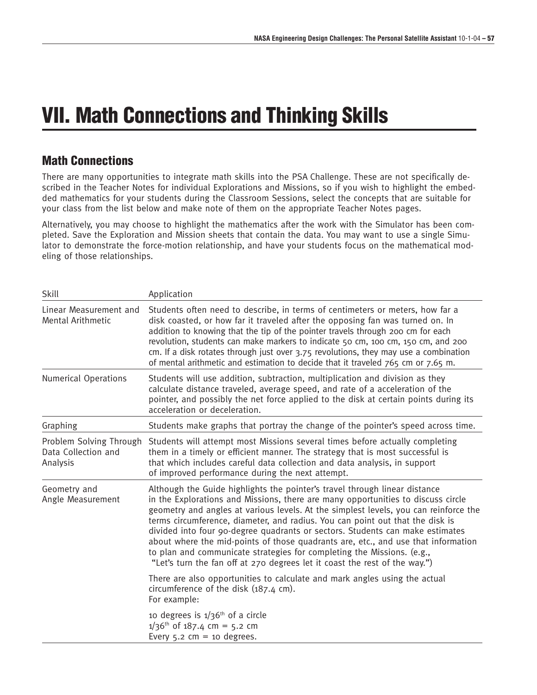# **VII. Math Connections and Thinking Skills**

## **Math Connections**

There are many opportunities to integrate math skills into the PSA Challenge. These are not specifically described in the Teacher Notes for individual Explorations and Missions, so if you wish to highlight the embedded mathematics for your students during the Classroom Sessions, select the concepts that are suitable for your class from the list below and make note of them on the appropriate Teacher Notes pages.

Alternatively, you may choose to highlight the mathematics after the work with the Simulator has been completed. Save the Exploration and Mission sheets that contain the data. You may want to use a single Simulator to demonstrate the force-motion relationship, and have your students focus on the mathematical modeling of those relationships.

| Skill                                                      | Application                                                                                                                                                                                                                                                                                                                                                                                                                                                                                                                                                                                                                                                           |
|------------------------------------------------------------|-----------------------------------------------------------------------------------------------------------------------------------------------------------------------------------------------------------------------------------------------------------------------------------------------------------------------------------------------------------------------------------------------------------------------------------------------------------------------------------------------------------------------------------------------------------------------------------------------------------------------------------------------------------------------|
| Linear Measurement and<br><b>Mental Arithmetic</b>         | Students often need to describe, in terms of centimeters or meters, how far a<br>disk coasted, or how far it traveled after the opposing fan was turned on. In<br>addition to knowing that the tip of the pointer travels through 200 cm for each<br>revolution, students can make markers to indicate 50 cm, 100 cm, 150 cm, and 200<br>cm. If a disk rotates through just over 3.75 revolutions, they may use a combination<br>of mental arithmetic and estimation to decide that it traveled 765 cm or 7.65 m.                                                                                                                                                     |
| <b>Numerical Operations</b>                                | Students will use addition, subtraction, multiplication and division as they<br>calculate distance traveled, average speed, and rate of a acceleration of the<br>pointer, and possibly the net force applied to the disk at certain points during its<br>acceleration or deceleration.                                                                                                                                                                                                                                                                                                                                                                                |
| Graphing                                                   | Students make graphs that portray the change of the pointer's speed across time.                                                                                                                                                                                                                                                                                                                                                                                                                                                                                                                                                                                      |
| Problem Solving Through<br>Data Collection and<br>Analysis | Students will attempt most Missions several times before actually completing<br>them in a timely or efficient manner. The strategy that is most successful is<br>that which includes careful data collection and data analysis, in support<br>of improved performance during the next attempt.                                                                                                                                                                                                                                                                                                                                                                        |
| Geometry and<br>Angle Measurement                          | Although the Guide highlights the pointer's travel through linear distance<br>in the Explorations and Missions, there are many opportunities to discuss circle<br>geometry and angles at various levels. At the simplest levels, you can reinforce the<br>terms circumference, diameter, and radius. You can point out that the disk is<br>divided into four 90-degree quadrants or sectors. Students can make estimates<br>about where the mid-points of those quadrants are, etc., and use that information<br>to plan and communicate strategies for completing the Missions. (e.g.,<br>"Let's turn the fan off at 270 degrees let it coast the rest of the way.") |
|                                                            | There are also opportunities to calculate and mark angles using the actual<br>circumference of the disk (187.4 cm).<br>For example:                                                                                                                                                                                                                                                                                                                                                                                                                                                                                                                                   |
|                                                            | 10 degrees is $1/36$ <sup>th</sup> of a circle<br>$1/36$ <sup>th</sup> of 187.4 cm = 5.2 cm<br>Every $5.2$ cm = 10 degrees.                                                                                                                                                                                                                                                                                                                                                                                                                                                                                                                                           |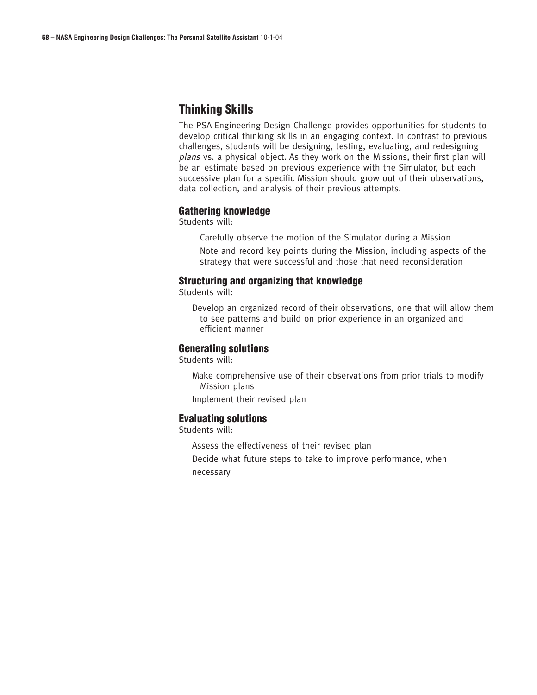## **Thinking Skills**

The PSA Engineering Design Challenge provides opportunities for students to develop critical thinking skills in an engaging context. In contrast to previous challenges, students will be designing, testing, evaluating, and redesigning plans vs. a physical object. As they work on the Missions, their first plan will be an estimate based on previous experience with the Simulator, but each successive plan for a specific Mission should grow out of their observations, data collection, and analysis of their previous attempts.

### **Gathering knowledge**

Students will:

Carefully observe the motion of the Simulator during a Mission

Note and record key points during the Mission, including aspects of the strategy that were successful and those that need reconsideration

### **Structuring and organizing that knowledge**

Students will:

Develop an organized record of their observations, one that will allow them to see patterns and build on prior experience in an organized and efficient manner

### **Generating solutions**

Students will:

Make comprehensive use of their observations from prior trials to modify Mission plans

Implement their revised plan

### **Evaluating solutions**

Students will:

Assess the effectiveness of their revised plan

Decide what future steps to take to improve performance, when necessary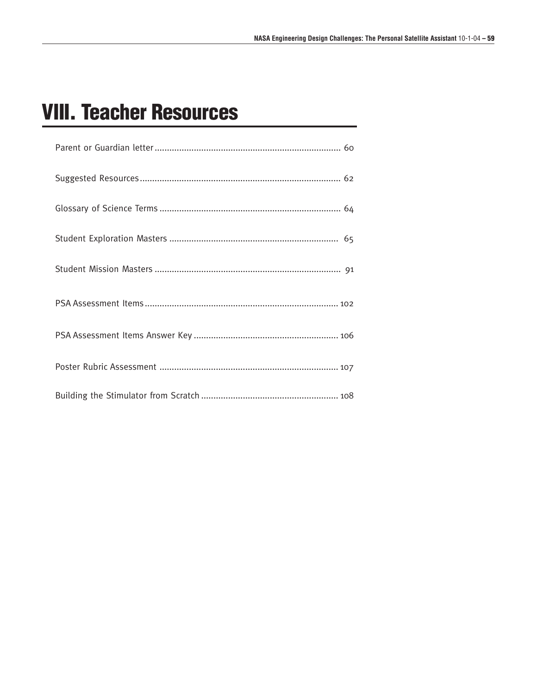# **VIII. Teacher Resources**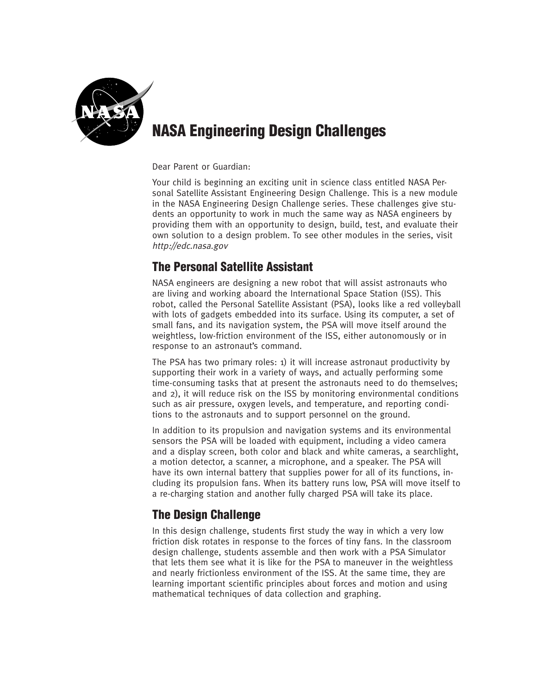

# **NASA Engineering Design Challenges**

Dear Parent or Guardian:

Your child is beginning an exciting unit in science class entitled NASA Personal Satellite Assistant Engineering Design Challenge. This is a new module in the NASA Engineering Design Challenge series. These challenges give students an opportunity to work in much the same way as NASA engineers by providing them with an opportunity to design, build, test, and evaluate their own solution to a design problem. To see other modules in the series, visit http://edc.nasa.gov

## **The Personal Satellite Assistant**

NASA engineers are designing a new robot that will assist astronauts who are living and working aboard the International Space Station (ISS). This robot, called the Personal Satellite Assistant (PSA), looks like a red volleyball with lots of gadgets embedded into its surface. Using its computer, a set of small fans, and its navigation system, the PSA will move itself around the weightless, low-friction environment of the ISS, either autonomously or in response to an astronaut's command.

The PSA has two primary roles: 1) it will increase astronaut productivity by supporting their work in a variety of ways, and actually performing some time-consuming tasks that at present the astronauts need to do themselves; and 2), it will reduce risk on the ISS by monitoring environmental conditions such as air pressure, oxygen levels, and temperature, and reporting conditions to the astronauts and to support personnel on the ground.

In addition to its propulsion and navigation systems and its environmental sensors the PSA will be loaded with equipment, including a video camera and a display screen, both color and black and white cameras, a searchlight, a motion detector, a scanner, a microphone, and a speaker. The PSA will have its own internal battery that supplies power for all of its functions, including its propulsion fans. When its battery runs low, PSA will move itself to a re-charging station and another fully charged PSA will take its place.

## **The Design Challenge**

In this design challenge, students first study the way in which a very low friction disk rotates in response to the forces of tiny fans. In the classroom design challenge, students assemble and then work with a PSA Simulator that lets them see what it is like for the PSA to maneuver in the weightless and nearly frictionless environment of the ISS. At the same time, they are learning important scientific principles about forces and motion and using mathematical techniques of data collection and graphing.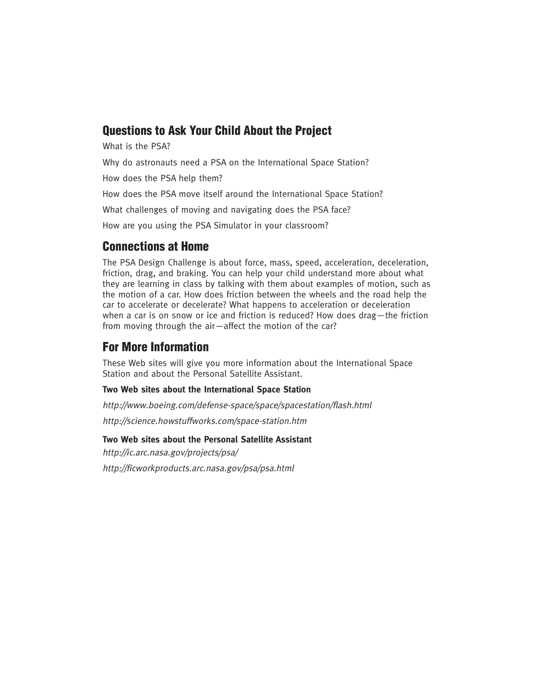## **Questions to Ask Your Child About the Project**

What is the PSA?

Why do astronauts need a PSA on the International Space Station?

How does the PSA help them?

How does the PSA move itself around the International Space Station?

What challenges of moving and navigating does the PSA face?

How are you using the PSA Simulator in your classroom?

## **Connections at Home**

The PSA Design Challenge is about force, mass, speed, acceleration, deceleration, friction, drag, and braking. You can help your child understand more about what they are learning in class by talking with them about examples of motion, such as the motion of a car. How does friction between the wheels and the road help the car to accelerate or decelerate? What happens to acceleration or deceleration when a car is on snow or ice and friction is reduced? How does drag—the friction from moving through the air—affect the motion of the car?

## **For More Information**

These Web sites will give you more information about the International Space Station and about the Personal Satellite Assistant.

### **Two Web sites about the International Space Station**

http://www.boeing.com/defense-space/space/spacestation/flash.html

http://science.howstuffworks.com/space-station.htm

### **Two Web sites about the Personal Satellite Assistant**

http://ic.arc.nasa.gov/projects/psa/

http://ficworkproducts.arc.nasa.gov/psa/psa.html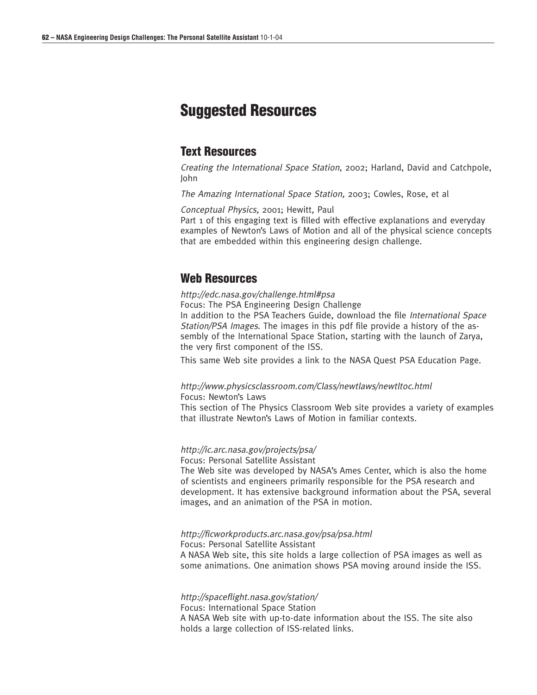# **Suggested Resources**

### **Text Resources**

Creating the International Space Station, 2002; Harland, David and Catchpole, John

The Amazing International Space Station, 2003; Cowles, Rose, et al

Conceptual Physics, 2001; Hewitt, Paul

Part 1 of this engaging text is filled with effective explanations and everyday examples of Newton's Laws of Motion and all of the physical science concepts that are embedded within this engineering design challenge.

### **Web Resources**

http://edc.nasa.gov/challenge.html#psa

Focus: The PSA Engineering Design Challenge

In addition to the PSA Teachers Guide, download the file International Space Station/PSA Images. The images in this pdf file provide a history of the assembly of the International Space Station, starting with the launch of Zarya, the very first component of the ISS.

This same Web site provides a link to the NASA Quest PSA Education Page.

#### http://www.physicsclassroom.com/Class/newtlaws/newtltoc.html Focus: Newton's Laws

This section of The Physics Classroom Web site provides a variety of examples that illustrate Newton's Laws of Motion in familiar contexts.

### http://ic.arc.nasa.gov/projects/psa/

Focus: Personal Satellite Assistant

The Web site was developed by NASA's Ames Center, which is also the home of scientists and engineers primarily responsible for the PSA research and development. It has extensive background information about the PSA, several images, and an animation of the PSA in motion.

#### http://ficworkproducts.arc.nasa.gov/psa/psa.html Focus: Personal Satellite Assistant

A NASA Web site, this site holds a large collection of PSA images as well as some animations. One animation shows PSA moving around inside the ISS.

#### http://spaceflight.nasa.gov/station/

Focus: International Space Station A NASA Web site with up-to-date information about the ISS. The site also holds a large collection of ISS-related links.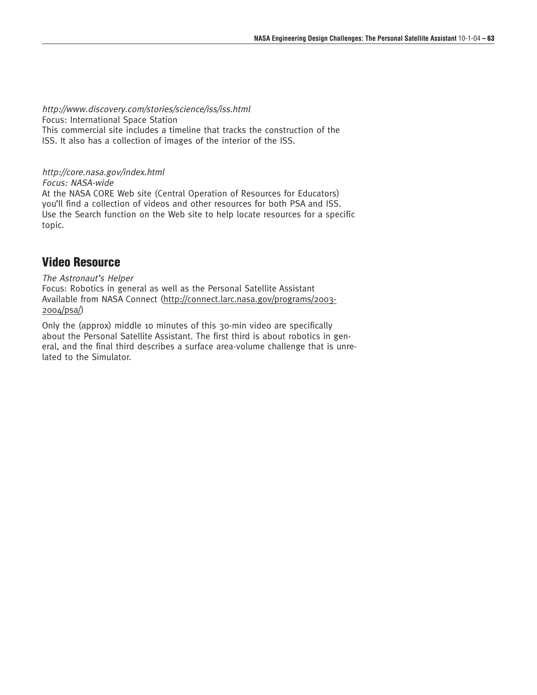http://www.discovery.com/stories/science/iss/iss.html Focus: International Space Station This commercial site includes a timeline that tracks the construction of the ISS. It also has a collection of images of the interior of the ISS.

### http://core.nasa.gov/index.html

Focus: NASA-wide

At the NASA CORE Web site (Central Operation of Resources for Educators) you'll find a collection of videos and other resources for both PSA and ISS. Use the Search function on the Web site to help locate resources for a specific topic.

### **Video Resource**

The Astronaut's Helper Focus: Robotics in general as well as the Personal Satellite Assistant Available from NASA Connect (http://connect.larc.nasa.gov/programs/2003- 2004/psa/)

Only the (approx) middle 10 minutes of this 30-min video are specifically about the Personal Satellite Assistant. The first third is about robotics in general, and the final third describes a surface area-volume challenge that is unrelated to the Simulator.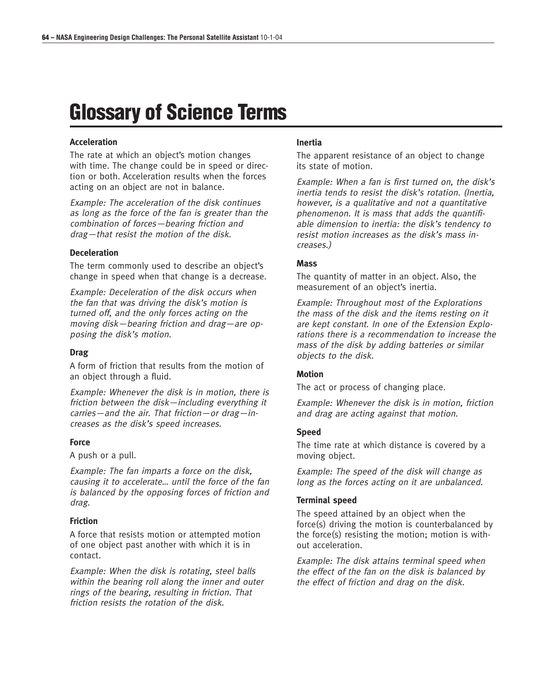# **Glossary of Science Terms**

### **Acceleration**

The rate at which an object's motion changes with time. The change could be in speed or direction or both. Acceleration results when the forces acting on an object are not in balance.

Example: The acceleration of the disk continues as long as the force of the fan is greater than the combination of forces—bearing friction and drag—that resist the motion of the disk.

### **Deceleration**

The term commonly used to describe an object's change in speed when that change is a decrease.

Example: Deceleration of the disk occurs when the fan that was driving the disk's motion is turned off, and the only forces acting on the moving disk—bearing friction and drag—are opposing the disk's motion.

#### **Drag**

A form of friction that results from the motion of an object through a fluid.

Example: Whenever the disk is in motion, there is friction between the disk—including everything it carries—and the air. That friction—or drag—increases as the disk's speed increases.

#### **Force**

A push or a pull.

Example: The fan imparts a force on the disk, causing it to accelerate… until the force of the fan is balanced by the opposing forces of friction and drag.

### **Friction**

A force that resists motion or attempted motion of one object past another with which it is in contact.

Example: When the disk is rotating, steel balls within the bearing roll along the inner and outer rings of the bearing, resulting in friction. That friction resists the rotation of the disk.

#### **Inertia**

The apparent resistance of an object to change its state of motion.

Example: When a fan is first turned on, the disk's inertia tends to resist the disk's rotation. (Inertia, however, is a qualitative and not a quantitative phenomenon. It is mass that adds the quantifiable dimension to inertia: the disk's tendency to resist motion increases as the disk's mass increases.)

#### **Mass**

The quantity of matter in an object. Also, the measurement of an object's inertia.

Example: Throughout most of the Explorations the mass of the disk and the items resting on it are kept constant. In one of the Extension Explorations there is a recommendation to increase the mass of the disk by adding batteries or similar objects to the disk.

#### **Motion**

The act or process of changing place.

Example: Whenever the disk is in motion, friction and drag are acting against that motion.

#### **Speed**

The time rate at which distance is covered by a moving object.

Example: The speed of the disk will change as long as the forces acting on it are unbalanced.

#### **Terminal speed**

The speed attained by an object when the force(s) driving the motion is counterbalanced by the force(s) resisting the motion; motion is without acceleration.

Example: The disk attains terminal speed when the effect of the fan on the disk is balanced by the effect of friction and drag on the disk.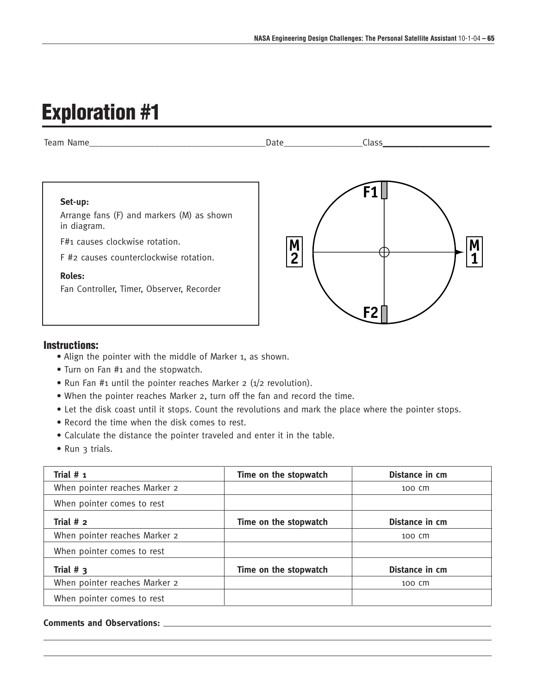# **Exploration #1**



### **Instructions:**

- Align the pointer with the middle of Marker 1, as shown.
- Turn on Fan #1 and the stopwatch.
- Run Fan #1 until the pointer reaches Marker 2 (1/2 revolution).
- When the pointer reaches Marker 2, turn off the fan and record the time.
- Let the disk coast until it stops. Count the revolutions and mark the place where the pointer stops.
- Record the time when the disk comes to rest.
- Calculate the distance the pointer traveled and enter it in the table.
- Run 3 trials.

| Trial $# 1$                   | Time on the stopwatch | Distance in cm |
|-------------------------------|-----------------------|----------------|
| When pointer reaches Marker 2 |                       | 100 CM         |
| When pointer comes to rest    |                       |                |
| Trial $# 2$                   | Time on the stopwatch | Distance in cm |
| When pointer reaches Marker 2 |                       | 100 CM         |
| When pointer comes to rest    |                       |                |
| Trial $#_3$                   | Time on the stopwatch | Distance in cm |
| When pointer reaches Marker 2 |                       | 100 CM         |
| When pointer comes to rest    |                       |                |

### **Comments and Observations:**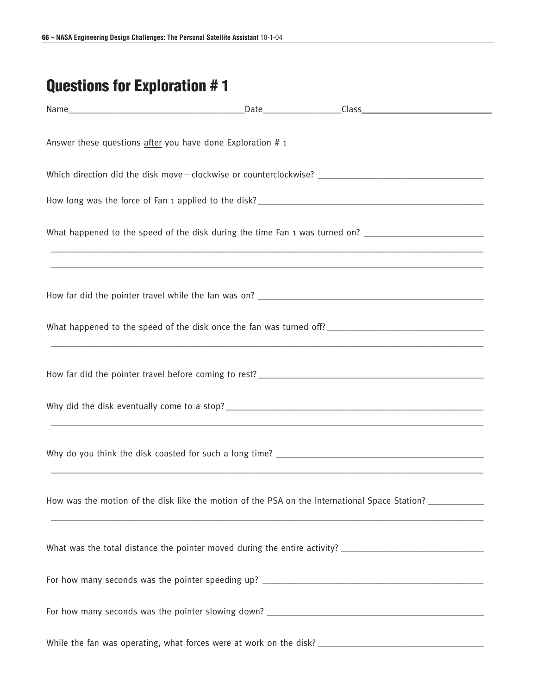# **Questions for Exploration # 1**

| Answer these questions after you have done Exploration # 1 |  |                                                                                                                                                                                                                                    |  |
|------------------------------------------------------------|--|------------------------------------------------------------------------------------------------------------------------------------------------------------------------------------------------------------------------------------|--|
|                                                            |  |                                                                                                                                                                                                                                    |  |
|                                                            |  |                                                                                                                                                                                                                                    |  |
|                                                            |  | What happened to the speed of the disk during the time Fan 1 was turned on? __________________________________                                                                                                                     |  |
|                                                            |  |                                                                                                                                                                                                                                    |  |
|                                                            |  |                                                                                                                                                                                                                                    |  |
|                                                            |  |                                                                                                                                                                                                                                    |  |
|                                                            |  |                                                                                                                                                                                                                                    |  |
|                                                            |  |                                                                                                                                                                                                                                    |  |
|                                                            |  | How was the motion of the disk like the motion of the PSA on the International Space Station? ____________<br><u> 1989 - Andrea Santa Andrea Santa Andrea Santa Andrea Santa Andrea Santa Andrea Santa Andrea Santa Andrea San</u> |  |
|                                                            |  |                                                                                                                                                                                                                                    |  |
|                                                            |  |                                                                                                                                                                                                                                    |  |
|                                                            |  |                                                                                                                                                                                                                                    |  |
|                                                            |  |                                                                                                                                                                                                                                    |  |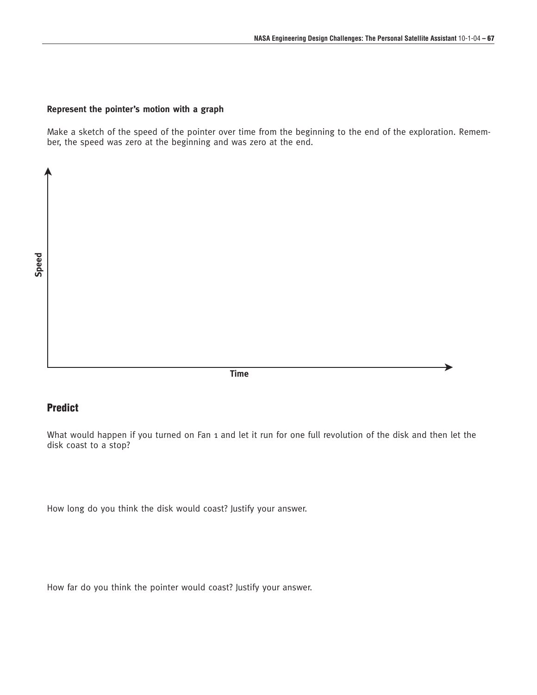### **Represent the pointer's motion with a graph**

Make a sketch of the speed of the pointer over time from the beginning to the end of the exploration. Remember, the speed was zero at the beginning and was zero at the end.

**Speed**

➤

**Time** ਨਾਲ ਕੀਤਾ ਗਿਆ ਅਤੇ ਸ਼ਾਹਿਬ ਵਿੱਚ ਸ਼ਾਹਿਬ ਵਿੱਚ ਸ਼ਾਹਿਬ ਵਿੱਚ ਸ਼ਾਹਿਬ ਵਿੱਚ ਸ਼ਾਹਿਬ ਵਿੱਚ ਸ਼ਾਹਿਬ ਵਿੱਚ ਸ਼ਾਹਿਬ ਵਿੱਚ ਸ਼ਾਹਿਬ ਵਿੱਚ ਸ਼ਾਹਿਬ ਵਿੱਚ ਸ਼ਾਹਿਬ ਵਿੱਚ ਸ਼ਾਹਿਬ ਵਿੱਚ ਸ਼ਾਹਿਬ ਵਿੱਚ ਸ਼ਾਹਿਬ ਵਿੱਚ ਸ਼ਾਹਿਬ ਵਿੱਚ ਸ਼ਾਹਿਬ ਵਿੱਚ ਸ਼ਾਹਿਬ ਵਿੱਚ ਸ਼ਾਹਿ

### **Predict**

What would happen if you turned on Fan 1 and let it run for one full revolution of the disk and then let the disk coast to a stop?

How long do you think the disk would coast? Justify your answer.

How far do you think the pointer would coast? Justify your answer.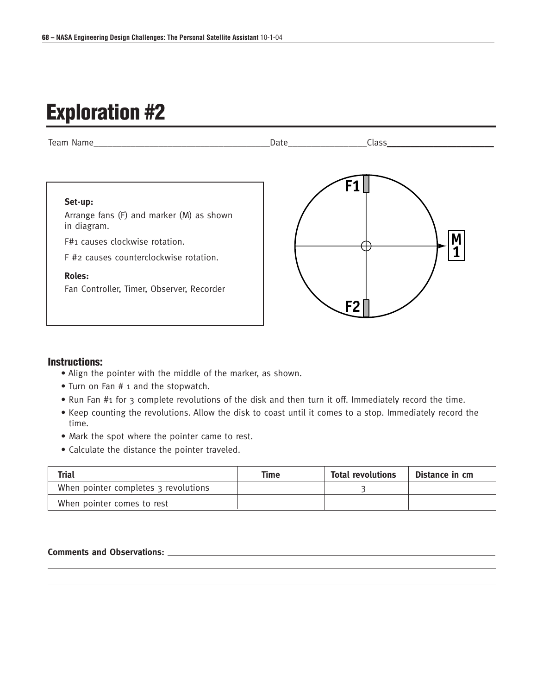# **Exploration #2**



### **Instructions:**

- Align the pointer with the middle of the marker, as shown.
- Turn on Fan # 1 and the stopwatch.
- Run Fan #1 for 3 complete revolutions of the disk and then turn it off. Immediately record the time.
- Keep counting the revolutions. Allow the disk to coast until it comes to a stop. Immediately record the time.
- Mark the spot where the pointer came to rest.
- Calculate the distance the pointer traveled.

| <b>Trial</b>                         | Time | <b>Total revolutions</b> | Distance in cm |
|--------------------------------------|------|--------------------------|----------------|
| When pointer completes 3 revolutions |      |                          |                |
| When pointer comes to rest           |      |                          |                |

### **Comments and Observations:**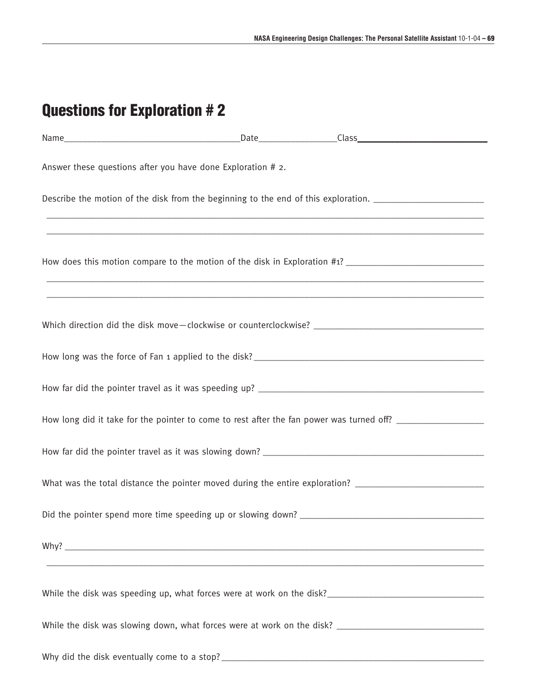# **Questions for Exploration # 2**

| Answer these questions after you have done Exploration # 2.                                                                                                          |  |  |
|----------------------------------------------------------------------------------------------------------------------------------------------------------------------|--|--|
| Describe the motion of the disk from the beginning to the end of this exploration. _________________                                                                 |  |  |
|                                                                                                                                                                      |  |  |
|                                                                                                                                                                      |  |  |
| ,我们就会在这里的人,我们就会在这里的人,我们就会在这里的人,我们就会在这里的人,我们就会在这里的人,我们就会在这里的人,我们就会在这里的人,我们就会在这里,我<br>第251章 我们的人,我们就会在这里的人,我们就会在这里的人,我们就会在这里的人,我们就会在这里的人,我们就会在这里的人,我们就会在这里的人,我们就会在这里,我 |  |  |
|                                                                                                                                                                      |  |  |
|                                                                                                                                                                      |  |  |
|                                                                                                                                                                      |  |  |
| How long did it take for the pointer to come to rest after the fan power was turned off? ____________________                                                        |  |  |
|                                                                                                                                                                      |  |  |
| What was the total distance the pointer moved during the entire exploration? _________________________________                                                       |  |  |
|                                                                                                                                                                      |  |  |
| Why?                                                                                                                                                                 |  |  |
|                                                                                                                                                                      |  |  |
|                                                                                                                                                                      |  |  |
|                                                                                                                                                                      |  |  |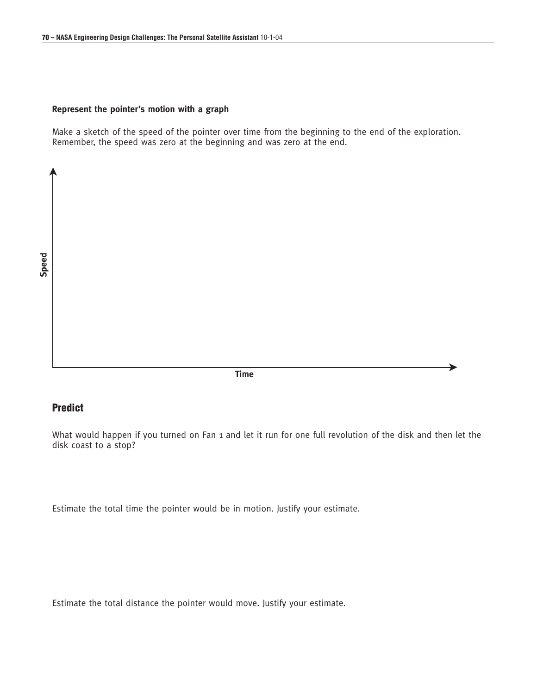#### **Represent the pointer's motion with a graph**

Make a sketch of the speed of the pointer over time from the beginning to the end of the exploration. Remember, the speed was zero at the beginning and was zero at the end.

**Speed**

➤

**Time**

### **Predict**

What would happen if you turned on Fan 1 and let it run for one full revolution of the disk and then let the disk coast to a stop?

➤

Estimate the total time the pointer would be in motion. Justify your estimate.

Estimate the total distance the pointer would move. Justify your estimate.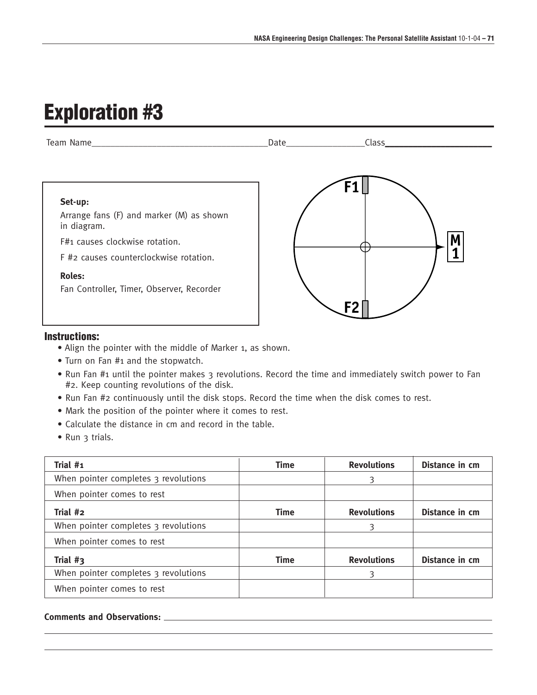# **Exploration #3**



### **Instructions:**

- Align the pointer with the middle of Marker 1, as shown.
- Turn on Fan #1 and the stopwatch.
- Run Fan #1 until the pointer makes 3 revolutions. Record the time and immediately switch power to Fan #2. Keep counting revolutions of the disk.
- Run Fan #2 continuously until the disk stops. Record the time when the disk comes to rest.
- Mark the position of the pointer where it comes to rest.
- Calculate the distance in cm and record in the table.
- Run 3 trials.

| Trial #1                             | Time        | <b>Revolutions</b> | Distance in cm |
|--------------------------------------|-------------|--------------------|----------------|
| When pointer completes 3 revolutions |             | 3                  |                |
| When pointer comes to rest           |             |                    |                |
| Trial #2                             | <b>Time</b> | <b>Revolutions</b> | Distance in cm |
| When pointer completes 3 revolutions |             | 3                  |                |
| When pointer comes to rest           |             |                    |                |
| Trial $#_3$                          | <b>Time</b> | <b>Revolutions</b> | Distance in cm |
| When pointer completes 3 revolutions |             | 3                  |                |
| When pointer comes to rest           |             |                    |                |

### **Comments and Observations:**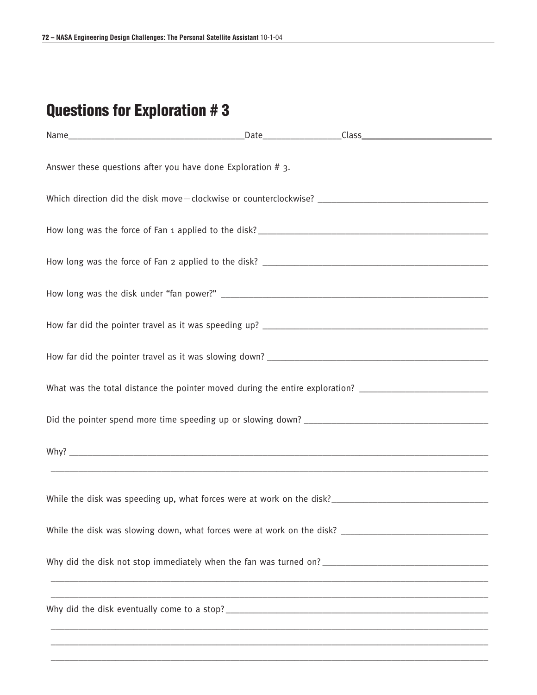# **Questions for Exploration # 3**

| Answer these questions after you have done Exploration #3.                                                     |  |  |
|----------------------------------------------------------------------------------------------------------------|--|--|
|                                                                                                                |  |  |
|                                                                                                                |  |  |
|                                                                                                                |  |  |
|                                                                                                                |  |  |
|                                                                                                                |  |  |
|                                                                                                                |  |  |
| What was the total distance the pointer moved during the entire exploration? _________________________________ |  |  |
|                                                                                                                |  |  |
|                                                                                                                |  |  |
|                                                                                                                |  |  |
|                                                                                                                |  |  |
|                                                                                                                |  |  |
|                                                                                                                |  |  |
|                                                                                                                |  |  |

\_\_\_\_\_\_\_\_\_\_\_\_\_\_\_\_\_\_\_\_\_\_\_\_\_\_\_\_\_\_\_\_\_\_\_\_\_\_\_\_\_\_\_\_\_\_\_\_\_\_\_\_\_\_\_\_\_\_\_\_\_\_\_\_\_\_\_\_\_\_\_\_\_\_\_\_\_\_\_\_\_\_\_\_\_\_\_\_\_\_\_\_\_\_\_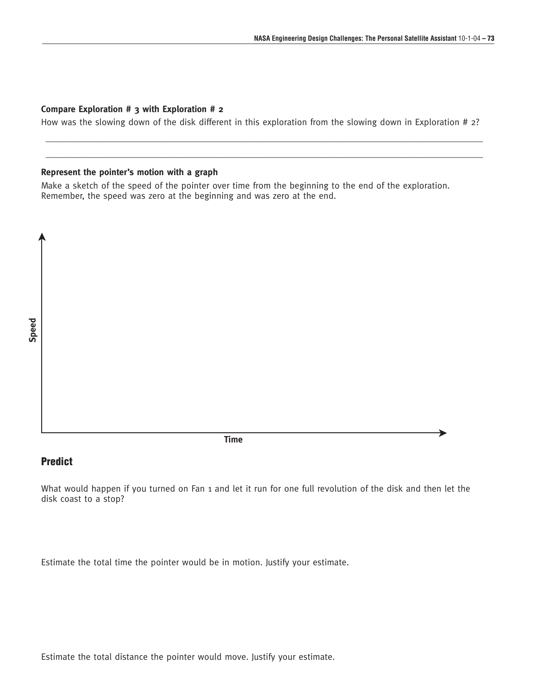#### **Compare Exploration # 3 with Exploration # 2**

How was the slowing down of the disk different in this exploration from the slowing down in Exploration # 2?

\_\_\_\_\_\_\_\_\_\_\_\_\_\_\_\_\_\_\_\_\_\_\_\_\_\_\_\_\_\_\_\_\_\_\_\_\_\_\_\_\_\_\_\_\_\_\_\_\_\_\_\_\_\_\_\_\_\_\_\_\_\_\_\_\_\_\_\_\_\_\_\_\_\_\_\_\_\_\_\_\_\_\_\_\_\_\_\_\_\_\_\_\_\_\_ \_\_\_\_\_\_\_\_\_\_\_\_\_\_\_\_\_\_\_\_\_\_\_\_\_\_\_\_\_\_\_\_\_\_\_\_\_\_\_\_\_\_\_\_\_\_\_\_\_\_\_\_\_\_\_\_\_\_\_\_\_\_\_\_\_\_\_\_\_\_\_\_\_\_\_\_\_\_\_\_\_\_\_\_\_\_\_\_\_\_\_\_\_\_\_

#### **Represent the pointer's motion with a graph**

Make a sketch of the speed of the pointer over time from the beginning to the end of the exploration. Remember, the speed was zero at the beginning and was zero at the end.

➤

**Time** ਨਾਲ ਕੀਤਾ ਗਿਆ ਅਤੇ ਸ਼ਾਹਿਬ ਵਿੱਚ ਸ਼ਾਹਿਬ ਵਿੱਚ ਸ਼ਾਹਿਬ ਵਿੱਚ ਸ਼ਾਹਿਬ ਵਿੱਚ ਸ਼ਾਹਿਬ ਵਿੱਚ ਸ਼ਾਹਿਬ ਵਿੱਚ ਸ਼ਾਹਿਬ ਵਿੱਚ ਸ਼ਾਹਿਬ ਵਿੱਚ ਸ਼ਾਹਿਬ ਵਿੱਚ ਸ਼ਾਹਿਬ ਵਿੱਚ ਸ਼ਾਹਿਬ ਵਿੱਚ ਸ਼ਾਹਿਬ ਵਿੱਚ ਸ਼ਾਹਿਬ ਵਿੱਚ ਸ਼ਾਹਿਬ ਵਿੱਚ ਸ਼ਾਹਿਬ ਵਿੱਚ ਸ਼ਾਹਿਬ ਵਿੱਚ ਸ਼ਾਹਿ

#### **Predict**

What would happen if you turned on Fan 1 and let it run for one full revolution of the disk and then let the disk coast to a stop?

Estimate the total time the pointer would be in motion. Justify your estimate.

Estimate the total distance the pointer would move. Justify your estimate.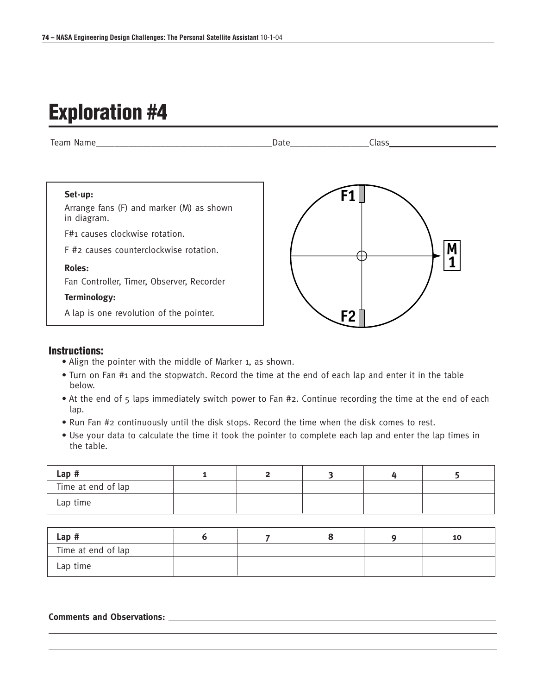### **Exploration #4**



#### **Instructions:**

- Align the pointer with the middle of Marker 1, as shown.
- Turn on Fan #1 and the stopwatch. Record the time at the end of each lap and enter it in the table below.
- At the end of 5 laps immediately switch power to Fan #2. Continue recording the time at the end of each lap.
- Run Fan #2 continuously until the disk stops. Record the time when the disk comes to rest.
- Use your data to calculate the time it took the pointer to complete each lap and enter the lap times in the table.

| Lap#               |  |  |  |
|--------------------|--|--|--|
| Time at end of lap |  |  |  |
| Lap time           |  |  |  |

| Lap#               |  |  | 10 |
|--------------------|--|--|----|
| Time at end of lap |  |  |    |
| Lap time           |  |  |    |

#### **Comments and Observations:**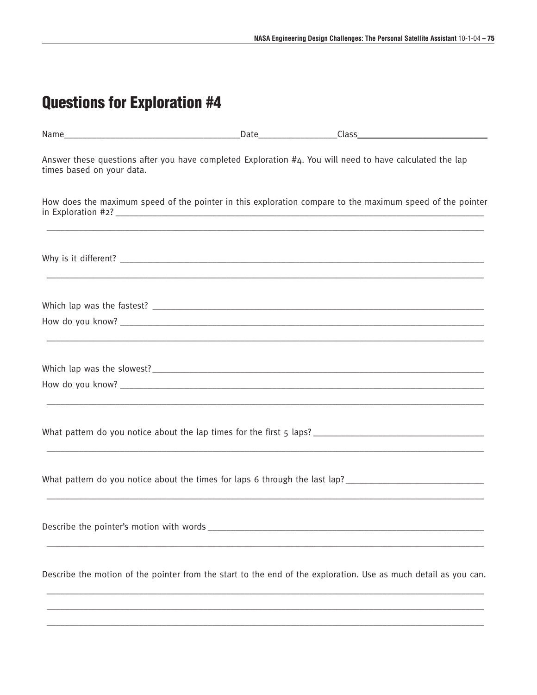| Answer these questions after you have completed Exploration #4. You will need to have calculated the lap<br>times based on your data.                                                                                                                                             |  |  |
|-----------------------------------------------------------------------------------------------------------------------------------------------------------------------------------------------------------------------------------------------------------------------------------|--|--|
| How does the maximum speed of the pointer in this exploration compare to the maximum speed of the pointer<br>,我们就会在这里的人,我们就会在这里的人,我们就会在这里的人,我们就会在这里的人,我们就会在这里的人,我们就会在这里的人,我们就会在这里的人,我们就会在这里,我<br>第251章 我们的人,我们就会在这里的人,我们就会在这里的人,我们就会在这里的人,我们就会在这里的人,我们就会在这里的人,我们就会在这里的人,我们就会在这里,我 |  |  |
|                                                                                                                                                                                                                                                                                   |  |  |
|                                                                                                                                                                                                                                                                                   |  |  |
|                                                                                                                                                                                                                                                                                   |  |  |
|                                                                                                                                                                                                                                                                                   |  |  |
|                                                                                                                                                                                                                                                                                   |  |  |
|                                                                                                                                                                                                                                                                                   |  |  |
| What pattern do you notice about the times for laps 6 through the last lap?                                                                                                                                                                                                       |  |  |
|                                                                                                                                                                                                                                                                                   |  |  |
| Describe the motion of the pointer from the start to the end of the exploration. Use as much detail as you can.                                                                                                                                                                   |  |  |
|                                                                                                                                                                                                                                                                                   |  |  |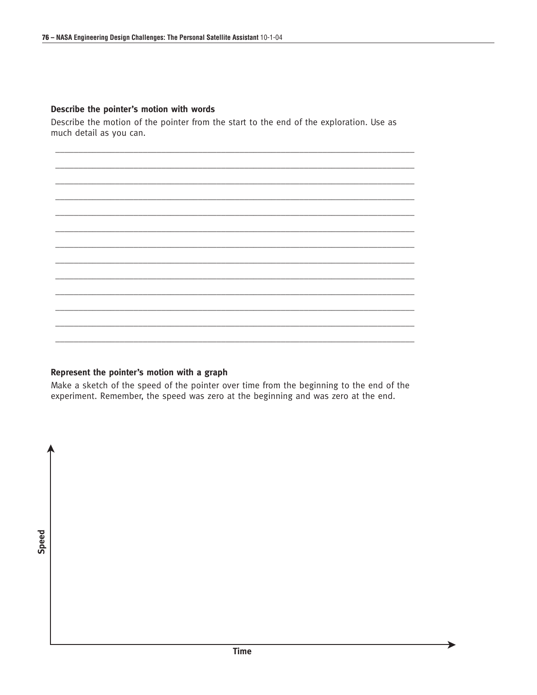#### Describe the pointer's motion with words

Describe the motion of the pointer from the start to the end of the exploration. Use as much detail as you can.

Represent the pointer's motion with a graph

Make a sketch of the speed of the pointer over time from the beginning to the end of the experiment. Remember, the speed was zero at the beginning and was zero at the end.

Speed

ъ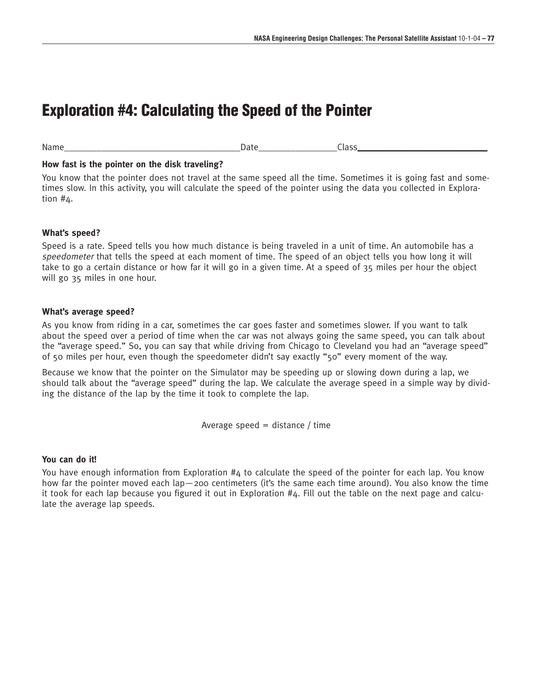### **Exploration #4: Calculating the Speed of the Pointer**

Name\_\_\_\_\_\_\_\_\_\_\_\_\_\_\_\_\_\_\_\_\_\_\_\_\_\_\_\_\_\_\_\_\_\_\_\_\_\_Date\_\_\_\_\_\_\_\_\_\_\_\_\_\_\_\_\_Class\_\_\_\_\_\_\_\_\_\_\_\_\_\_\_\_\_\_\_\_\_\_\_\_\_\_\_\_

#### **How fast is the pointer on the disk traveling?**

You know that the pointer does not travel at the same speed all the time. Sometimes it is going fast and sometimes slow. In this activity, you will calculate the speed of the pointer using the data you collected in Exploration #4.

#### **What's speed?**

Speed is a rate. Speed tells you how much distance is being traveled in a unit of time. An automobile has a speedometer that tells the speed at each moment of time. The speed of an object tells you how long it will take to go a certain distance or how far it will go in a given time. At a speed of 35 miles per hour the object will go 35 miles in one hour.

#### **What's average speed?**

As you know from riding in a car, sometimes the car goes faster and sometimes slower. If you want to talk about the speed over a period of time when the car was not always going the same speed, you can talk about the "average speed." So, you can say that while driving from Chicago to Cleveland you had an "average speed" of 50 miles per hour, even though the speedometer didn't say exactly "50" every moment of the way.

Because we know that the pointer on the Simulator may be speeding up or slowing down during a lap, we should talk about the "average speed" during the lap. We calculate the average speed in a simple way by dividing the distance of the lap by the time it took to complete the lap.

Average speed  $=$  distance / time

#### **You can do it!**

You have enough information from Exploration #4 to calculate the speed of the pointer for each lap. You know how far the pointer moved each lap—200 centimeters (it's the same each time around). You also know the time it took for each lap because you figured it out in Exploration #4. Fill out the table on the next page and calculate the average lap speeds.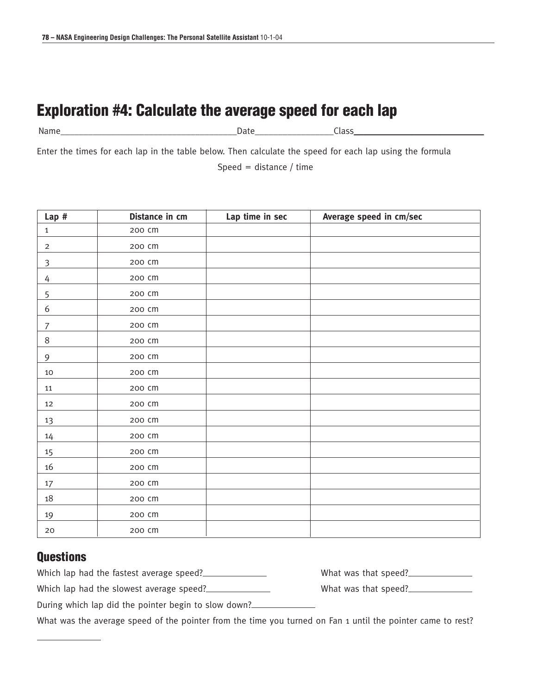### **Exploration #4: Calculate the average speed for each lap**

Name **Name Name name is a set of the set of the set of the set of the Set of the Set of the Set of the Set of the Set of the Set of the Set of the Set of the Set of the Set of the Set of the Set of the Set of the Set o** 

Enter the times for each lap in the table below. Then calculate the speed for each lap using the formula

Speed = distance / time

| $Lap$ #        | Distance in cm | Lap time in sec | Average speed in cm/sec |
|----------------|----------------|-----------------|-------------------------|
| $\mathbf{1}$   | 200 cm         |                 |                         |
| $\overline{2}$ | 200 cm         |                 |                         |
| $\mathfrak{Z}$ | 200 cm         |                 |                         |
| 4              | 200 cm         |                 |                         |
| 5              | 200 cm         |                 |                         |
| 6              | 200 cm         |                 |                         |
| $\overline{7}$ | 200 cm         |                 |                         |
| $\,8\,$        | 200 cm         |                 |                         |
| 9              | 200 cm         |                 |                         |
| 10             | 200 cm         |                 |                         |
| 11             | 200 cm         |                 |                         |
| 12             | 200 cm         |                 |                         |
| 13             | 200 cm         |                 |                         |
| $14\,$         | 200 cm         |                 |                         |
| $15\,$         | 200 cm         |                 |                         |
| 16             | 200 cm         |                 |                         |
| $17 \,$        | 200 cm         |                 |                         |
| $18\,$         | 200 cm         |                 |                         |
| 19             | 200 cm         |                 |                         |
| 20             | 200 CM         |                 |                         |

#### **Questions**

Which lap had the fastest average speed?<br>
What was that speed?

Which lap had the slowest average speed? What was that speed?

|  | wildt was tildt speed:. |  |
|--|-------------------------|--|
|  | What was that speed?    |  |

During which lap did the pointer begin to slow down?

What was the average speed of the pointer from the time you turned on Fan 1 until the pointer came to rest?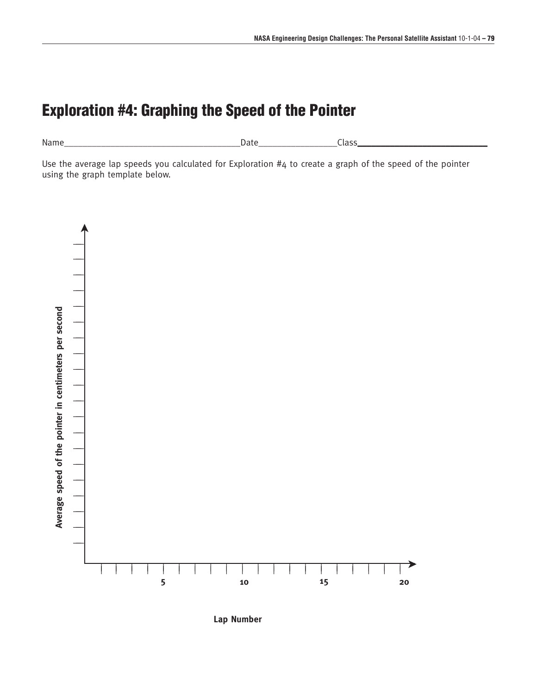### **Exploration #4: Graphing the Speed of the Pointer**

Name\_\_\_\_\_\_\_\_\_\_\_\_\_\_\_\_\_\_\_\_\_\_\_\_\_\_\_\_\_\_\_\_\_\_\_\_\_\_Date\_\_\_\_\_\_\_\_\_\_\_\_\_\_\_\_\_Class\_\_\_\_\_\_\_\_\_\_\_\_\_\_\_\_\_\_\_\_\_\_\_\_\_\_\_\_

Use the average lap speeds you calculated for Exploration #4 to create a graph of the speed of the pointer using the graph template below.



**Lap Number**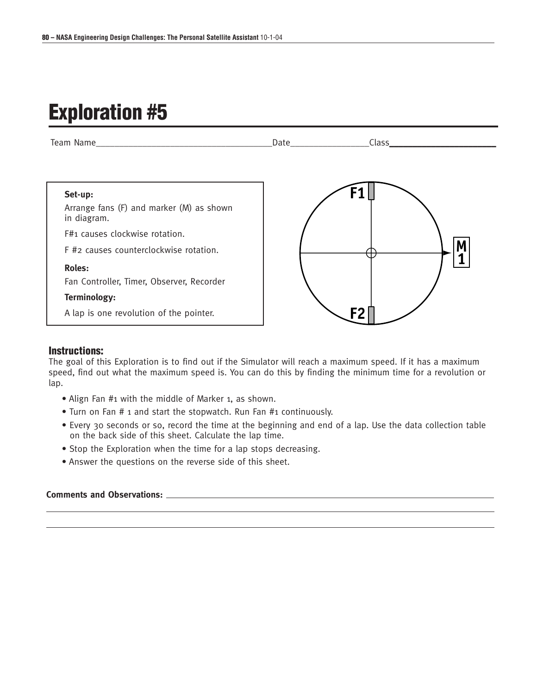## **Exploration #5**



#### **Instructions:**

The goal of this Exploration is to find out if the Simulator will reach a maximum speed. If it has a maximum speed, find out what the maximum speed is. You can do this by finding the minimum time for a revolution or lap.

- Align Fan #1 with the middle of Marker 1, as shown.
- Turn on Fan # 1 and start the stopwatch. Run Fan #1 continuously.
- Every 30 seconds or so, record the time at the beginning and end of a lap. Use the data collection table on the back side of this sheet. Calculate the lap time.
- Stop the Exploration when the time for a lap stops decreasing.
- Answer the questions on the reverse side of this sheet.

#### **Comments and Observations:**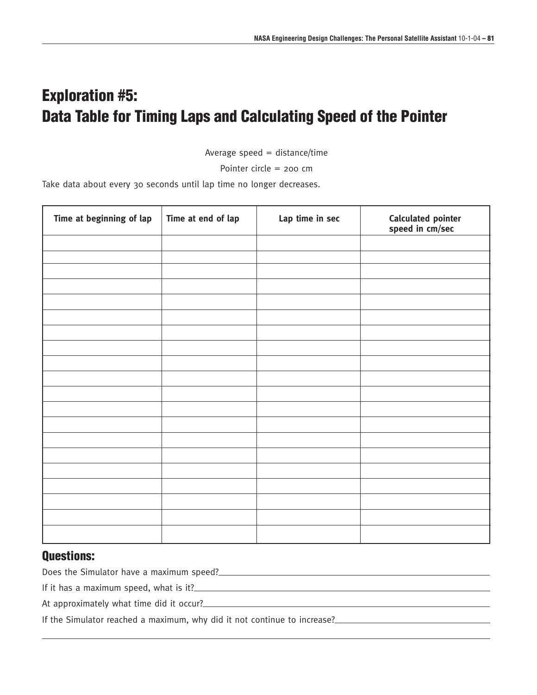### **Exploration #5: Data Table for Timing Laps and Calculating Speed of the Pointer**

Average speed  $=$  distance/time

Pointer circle = 200 cm

Take data about every 30 seconds until lap time no longer decreases.

| Time at beginning of lap | Time at end of lap | Lap time in sec | Calculated pointer<br>speed in cm/sec |
|--------------------------|--------------------|-----------------|---------------------------------------|
|                          |                    |                 |                                       |
|                          |                    |                 |                                       |
|                          |                    |                 |                                       |
|                          |                    |                 |                                       |
|                          |                    |                 |                                       |
|                          |                    |                 |                                       |
|                          |                    |                 |                                       |
|                          |                    |                 |                                       |
|                          |                    |                 |                                       |
|                          |                    |                 |                                       |
|                          |                    |                 |                                       |
|                          |                    |                 |                                       |
|                          |                    |                 |                                       |
|                          |                    |                 |                                       |
|                          |                    |                 |                                       |
|                          |                    |                 |                                       |
|                          |                    |                 |                                       |
|                          |                    |                 |                                       |
|                          |                    |                 |                                       |
|                          |                    |                 |                                       |

#### **Questions:**

Does the Simulator have a maximum speed?<br>
<u>Does the Simulator have a maximum speed?</u>

If it has a maximum speed, what is it?

At approximately what time did it occur?

If the Simulator reached a maximum, why did it not continue to increase?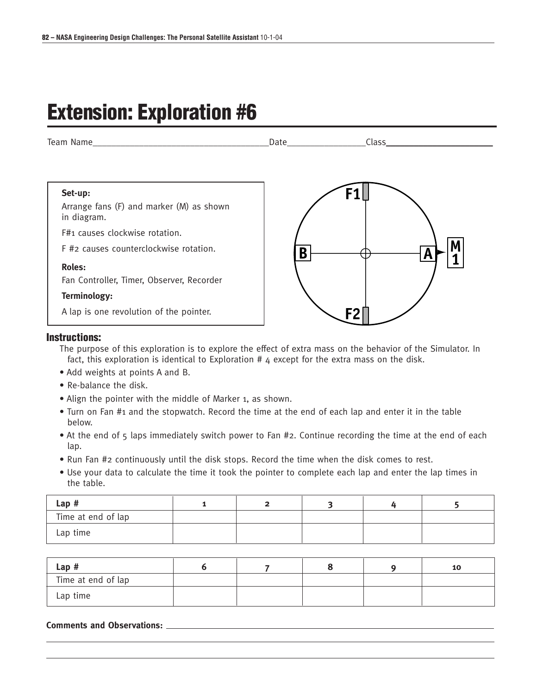# **Extension: Exploration #6**



#### **Instructions:**

The purpose of this exploration is to explore the effect of extra mass on the behavior of the Simulator. In fact, this exploration is identical to Exploration # 4 except for the extra mass on the disk.

- Add weights at points A and B.
- Re-balance the disk.
- Align the pointer with the middle of Marker 1, as shown.
- Turn on Fan #1 and the stopwatch. Record the time at the end of each lap and enter it in the table below.
- At the end of 5 laps immediately switch power to Fan #2. Continue recording the time at the end of each lap.
- Run Fan #2 continuously until the disk stops. Record the time when the disk comes to rest.
- Use your data to calculate the time it took the pointer to complete each lap and enter the lap times in the table.

| Lap#               |  |  |  |
|--------------------|--|--|--|
| Time at end of lap |  |  |  |
| Lap time           |  |  |  |

| Lap#               |  |  | 10 |
|--------------------|--|--|----|
| Time at end of lap |  |  |    |
| Lap time           |  |  |    |

#### **Comments and Observations:**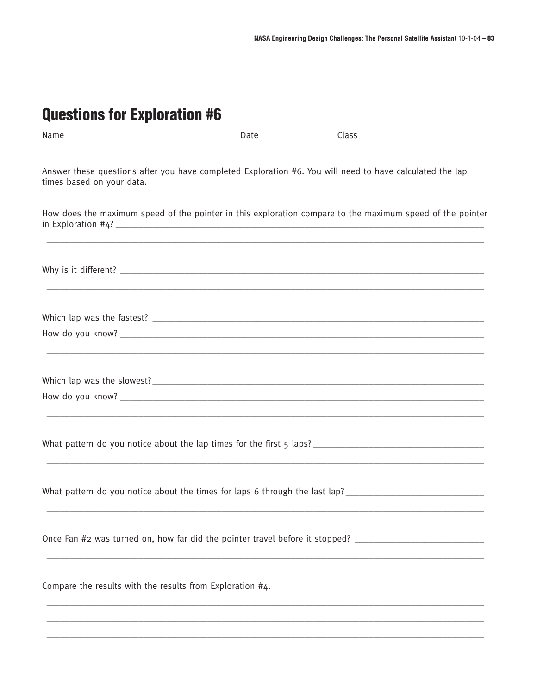| <b>Questions for Exploration #6</b>                                                                                                   |  |  |
|---------------------------------------------------------------------------------------------------------------------------------------|--|--|
|                                                                                                                                       |  |  |
| Answer these questions after you have completed Exploration #6. You will need to have calculated the lap<br>times based on your data. |  |  |
| How does the maximum speed of the pointer in this exploration compare to the maximum speed of the pointer                             |  |  |
|                                                                                                                                       |  |  |
|                                                                                                                                       |  |  |
|                                                                                                                                       |  |  |
|                                                                                                                                       |  |  |
|                                                                                                                                       |  |  |
|                                                                                                                                       |  |  |
| What pattern do you notice about the times for laps 6 through the last lap? __________________________________                        |  |  |
| Once Fan #2 was turned on, how far did the pointer travel before it stopped? _______________________                                  |  |  |
| Compare the results with the results from Exploration #4.                                                                             |  |  |
|                                                                                                                                       |  |  |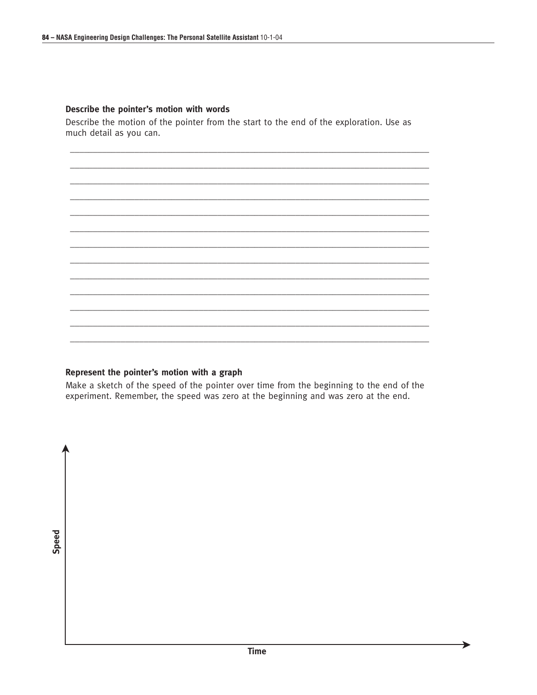#### Describe the pointer's motion with words

Describe the motion of the pointer from the start to the end of the exploration. Use as much detail as you can.

Represent the pointer's motion with a graph

Make a sketch of the speed of the pointer over time from the beginning to the end of the experiment. Remember, the speed was zero at the beginning and was zero at the end.

Speed

▶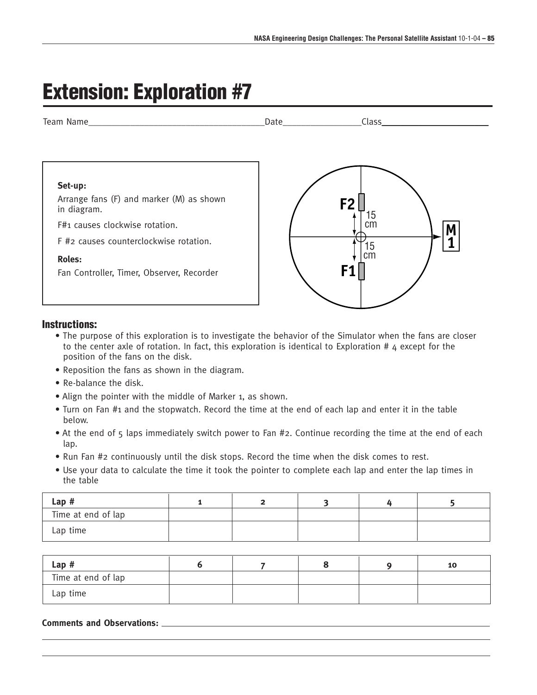# **Extension: Exploration #7**



#### **Instructions:**

- The purpose of this exploration is to investigate the behavior of the Simulator when the fans are closer to the center axle of rotation. In fact, this exploration is identical to Exploration #  $4$  except for the position of the fans on the disk.
- Reposition the fans as shown in the diagram.
- Re-balance the disk.
- Align the pointer with the middle of Marker 1, as shown.
- Turn on Fan #1 and the stopwatch. Record the time at the end of each lap and enter it in the table below.
- At the end of 5 laps immediately switch power to Fan #2. Continue recording the time at the end of each lap.
- Run Fan #2 continuously until the disk stops. Record the time when the disk comes to rest.
- Use your data to calculate the time it took the pointer to complete each lap and enter the lap times in the table

| Lap#               |  |  |  |
|--------------------|--|--|--|
| Time at end of lap |  |  |  |
| Lap time           |  |  |  |

| Lap#               |  |  | 10 |
|--------------------|--|--|----|
| Time at end of lap |  |  |    |
| Lap time           |  |  |    |

**Comments and Observations:**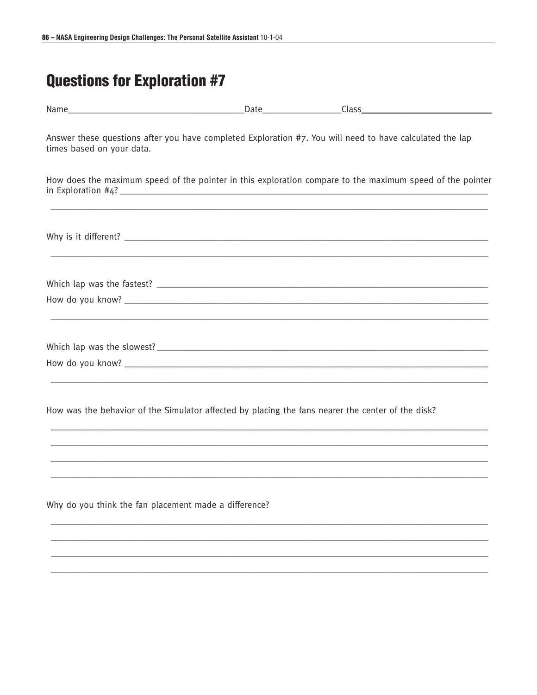| times based on your data.                             | Answer these questions after you have completed Exploration #7. You will need to have calculated the lap                            |
|-------------------------------------------------------|-------------------------------------------------------------------------------------------------------------------------------------|
|                                                       | How does the maximum speed of the pointer in this exploration compare to the maximum speed of the pointer<br>in Exploration $\#4$ ? |
|                                                       |                                                                                                                                     |
|                                                       |                                                                                                                                     |
|                                                       |                                                                                                                                     |
|                                                       |                                                                                                                                     |
|                                                       |                                                                                                                                     |
|                                                       | How was the behavior of the Simulator affected by placing the fans nearer the center of the disk?                                   |
|                                                       |                                                                                                                                     |
|                                                       |                                                                                                                                     |
| Why do you think the fan placement made a difference? |                                                                                                                                     |
|                                                       |                                                                                                                                     |
|                                                       |                                                                                                                                     |
|                                                       |                                                                                                                                     |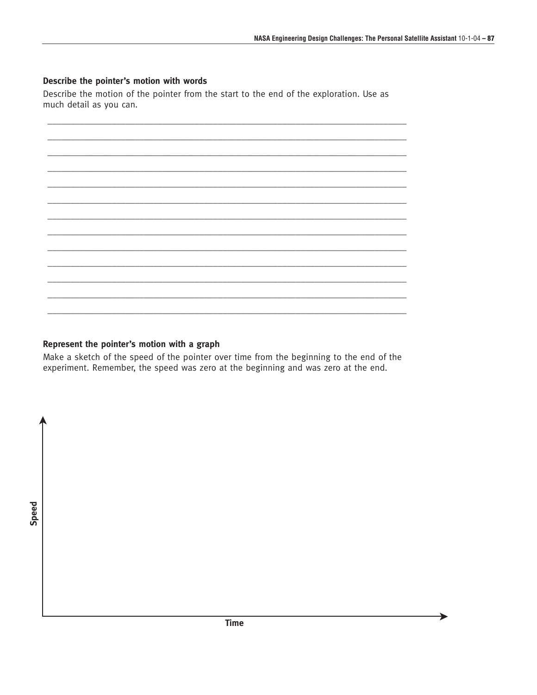▶

#### Describe the pointer's motion with words

Describe the motion of the pointer from the start to the end of the exploration. Use as much detail as you can.

#### Represent the pointer's motion with a graph

Make a sketch of the speed of the pointer over time from the beginning to the end of the experiment. Remember, the speed was zero at the beginning and was zero at the end.

Speed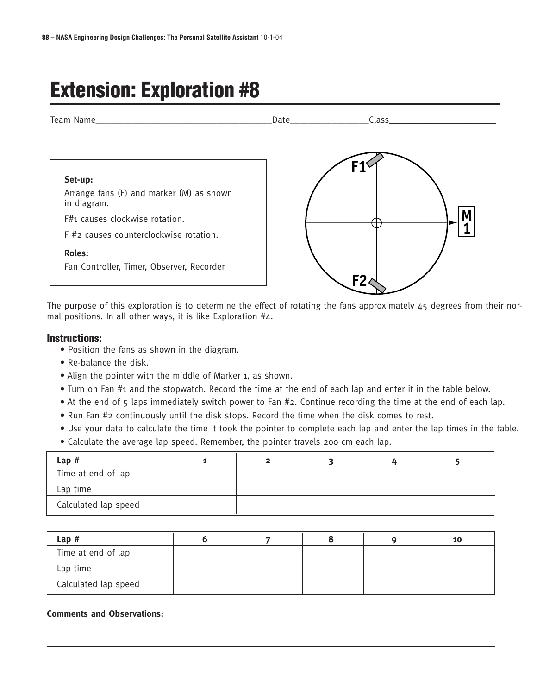# **Extension: Exploration #8**



The purpose of this exploration is to determine the effect of rotating the fans approximately 45 degrees from their normal positions. In all other ways, it is like Exploration #4.

#### **Instructions:**

- Position the fans as shown in the diagram.
- Re-balance the disk.
- Align the pointer with the middle of Marker 1, as shown.
- Turn on Fan #1 and the stopwatch. Record the time at the end of each lap and enter it in the table below.
- At the end of 5 laps immediately switch power to Fan #2. Continue recording the time at the end of each lap.
- Run Fan #2 continuously until the disk stops. Record the time when the disk comes to rest.
- Use your data to calculate the time it took the pointer to complete each lap and enter the lap times in the table.
- Calculate the average lap speed. Remember, the pointer travels 200 cm each lap.

| Lap#                 |  |  |  |
|----------------------|--|--|--|
| Time at end of lap   |  |  |  |
| Lap time             |  |  |  |
| Calculated lap speed |  |  |  |

| $Lap$ #              |  |  | 10 |
|----------------------|--|--|----|
| Time at end of lap   |  |  |    |
| Lap time             |  |  |    |
| Calculated lap speed |  |  |    |

#### **Comments and Observations:**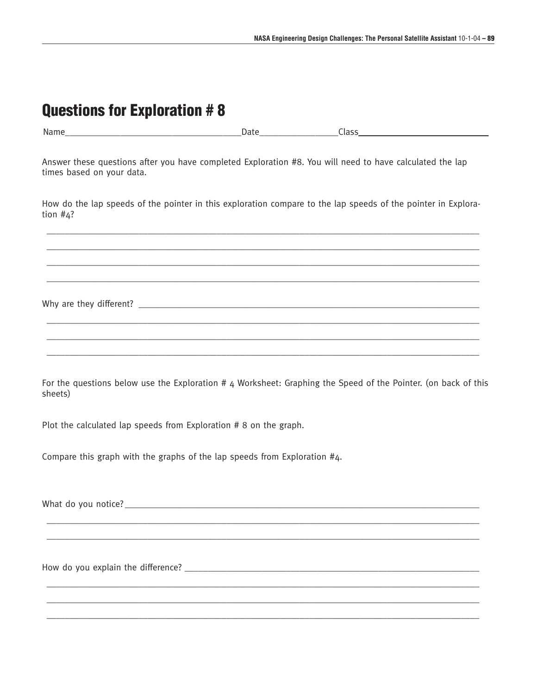| Questions for Exploration # 8                                                                                                         |  |  |
|---------------------------------------------------------------------------------------------------------------------------------------|--|--|
|                                                                                                                                       |  |  |
| Answer these questions after you have completed Exploration #8. You will need to have calculated the lap<br>times based on your data. |  |  |
| How do the lap speeds of the pointer in this exploration compare to the lap speeds of the pointer in Explora-<br>tion $#4$ ?          |  |  |
|                                                                                                                                       |  |  |
|                                                                                                                                       |  |  |
| For the questions below use the Exploration # 4 Worksheet: Graphing the Speed of the Pointer. (on back of this<br>sheets)             |  |  |
| Plot the calculated lap speeds from Exploration # 8 on the graph.                                                                     |  |  |
| Compare this graph with the graphs of the lap speeds from Exploration #4.                                                             |  |  |
|                                                                                                                                       |  |  |
|                                                                                                                                       |  |  |
|                                                                                                                                       |  |  |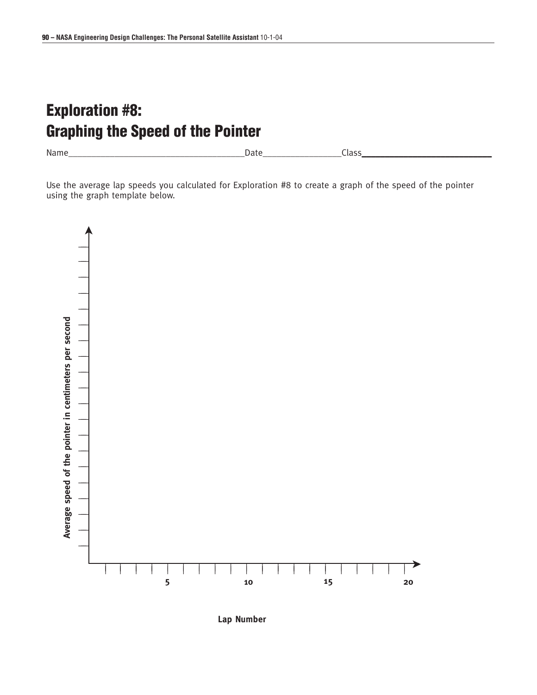### **Exploration #8: Graphing the Speed of the Pointer**

Name\_\_\_\_\_\_\_\_\_\_\_\_\_\_\_\_\_\_\_\_\_\_\_\_\_\_\_\_\_\_\_\_\_\_\_\_\_\_Date\_\_\_\_\_\_\_\_\_\_\_\_\_\_\_\_\_Class\_\_\_\_\_\_\_\_\_\_\_\_\_\_\_\_\_\_\_\_\_\_\_\_\_\_\_\_

Use the average lap speeds you calculated for Exploration #8 to create a graph of the speed of the pointer using the graph template below.



**Lap Number**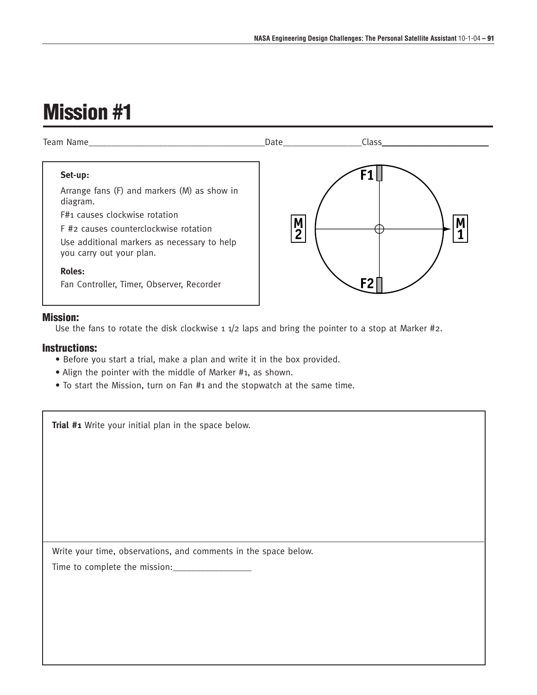

#### **Mission:**

Use the fans to rotate the disk clockwise 1 1/2 laps and bring the pointer to a stop at Marker #2.

#### **Instructions:**

- Before you start a trial, make a plan and write it in the box provided.
- Align the pointer with the middle of Marker #1, as shown.
- To start the Mission, turn on Fan #1 and the stopwatch at the same time.

| Trial #1 Write your initial plan in the space below.            |
|-----------------------------------------------------------------|
|                                                                 |
|                                                                 |
|                                                                 |
|                                                                 |
|                                                                 |
|                                                                 |
|                                                                 |
| Write your time, observations, and comments in the space below. |
|                                                                 |
|                                                                 |
|                                                                 |
|                                                                 |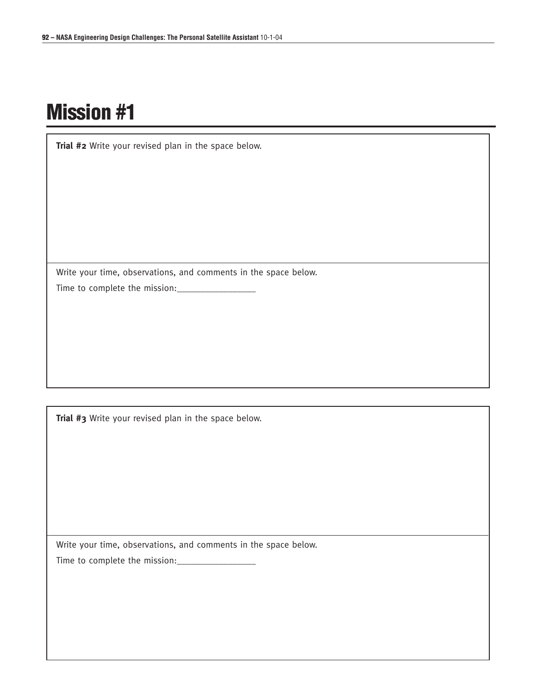**Trial #2** Write your revised plan in the space below.

Write your time, observations, and comments in the space below. Time to complete the mission:\_\_\_\_\_\_\_\_\_\_\_\_\_\_\_\_\_

**Trial #3** Write your revised plan in the space below.

Write your time, observations, and comments in the space below.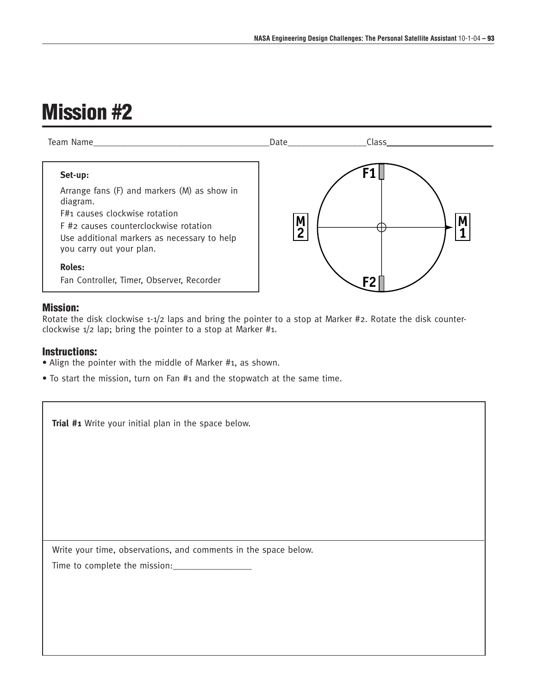

#### **Mission:**

Rotate the disk clockwise 1-1/2 laps and bring the pointer to a stop at Marker #2. Rotate the disk counterclockwise 1/2 lap; bring the pointer to a stop at Marker #1.

#### **Instructions:**

- Align the pointer with the middle of Marker #1, as shown.
- To start the mission, turn on Fan #1 and the stopwatch at the same time.

| Trial #1 Write your initial plan in the space below.            |
|-----------------------------------------------------------------|
|                                                                 |
|                                                                 |
|                                                                 |
|                                                                 |
|                                                                 |
| Write your time, observations, and comments in the space below. |
|                                                                 |
|                                                                 |
|                                                                 |
|                                                                 |
|                                                                 |
|                                                                 |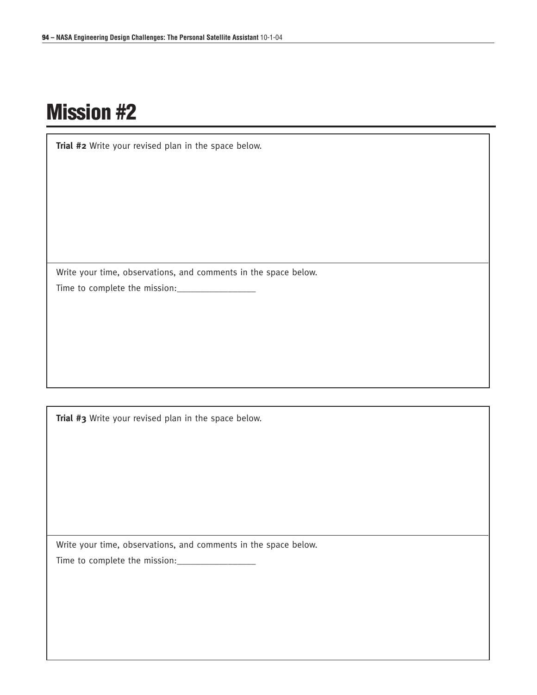**Trial #2** Write your revised plan in the space below.

Write your time, observations, and comments in the space below. Time to complete the mission:\_\_\_\_\_\_\_\_\_\_\_\_\_\_\_\_\_

**Trial #3** Write your revised plan in the space below.

Write your time, observations, and comments in the space below.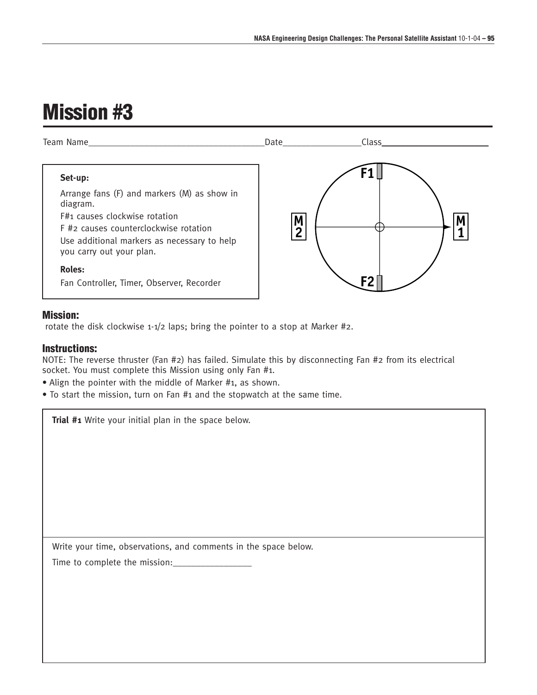

#### **Mission:**

rotate the disk clockwise 1-1/2 laps; bring the pointer to a stop at Marker #2.

#### **Instructions:**

NOTE: The reverse thruster (Fan #2) has failed. Simulate this by disconnecting Fan #2 from its electrical socket. You must complete this Mission using only Fan #1.

- Align the pointer with the middle of Marker #1, as shown.
- To start the mission, turn on Fan #1 and the stopwatch at the same time.

**Trial #1** Write your initial plan in the space below.

Write your time, observations, and comments in the space below.

Time to complete the mission:\_\_\_\_\_\_\_\_\_\_\_\_\_\_\_\_\_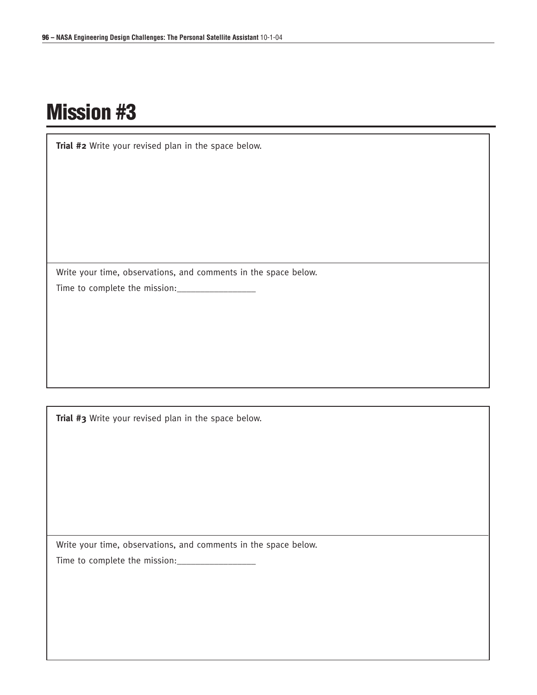**Trial #2** Write your revised plan in the space below.

Write your time, observations, and comments in the space below. Time to complete the mission:\_\_\_\_\_\_\_\_\_\_\_\_\_\_\_\_\_

**Trial #3** Write your revised plan in the space below.

Write your time, observations, and comments in the space below.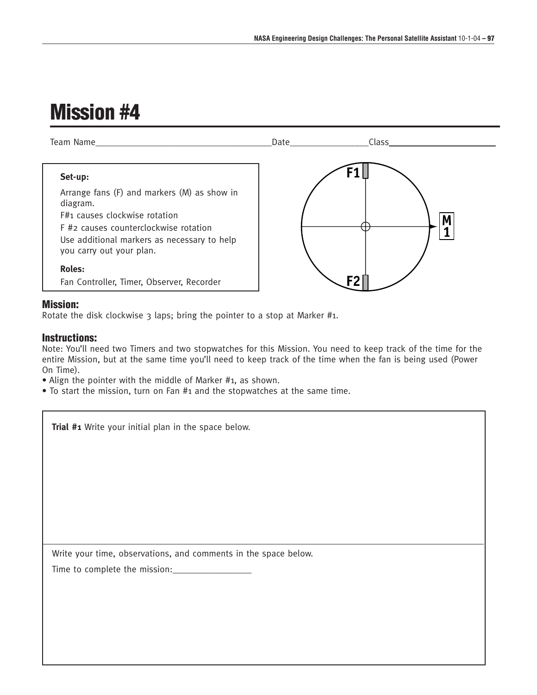

#### **Mission:**

Rotate the disk clockwise 3 laps; bring the pointer to a stop at Marker #1.

#### **Instructions:**

Note: You'll need two Timers and two stopwatches for this Mission. You need to keep track of the time for the entire Mission, but at the same time you'll need to keep track of the time when the fan is being used (Power On Time).

• Align the pointer with the middle of Marker #1, as shown.

• To start the mission, turn on Fan #1 and the stopwatches at the same time.

**Trial #1** Write your initial plan in the space below.

Write your time, observations, and comments in the space below.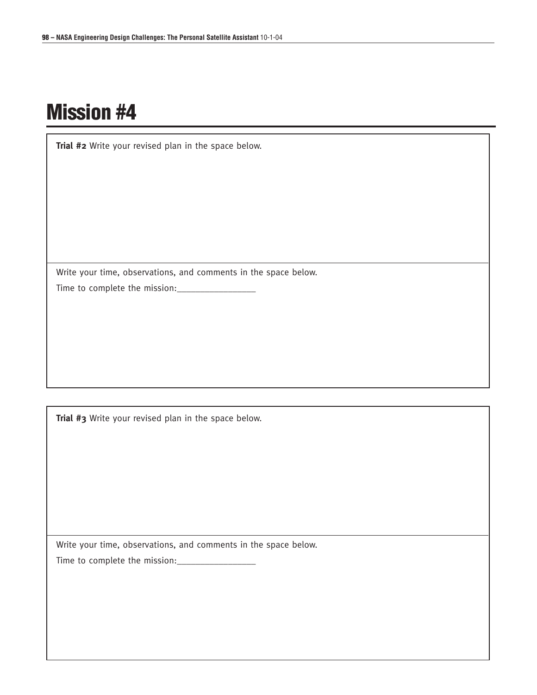**Trial #2** Write your revised plan in the space below.

Write your time, observations, and comments in the space below. Time to complete the mission:\_\_\_\_\_\_\_\_\_\_\_\_\_\_\_\_\_

**Trial #3** Write your revised plan in the space below.

Write your time, observations, and comments in the space below.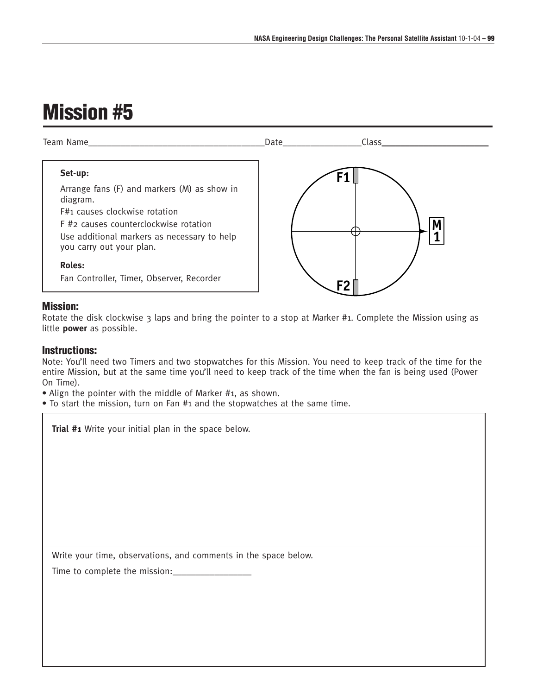

#### **Mission:**

Rotate the disk clockwise  $3$  laps and bring the pointer to a stop at Marker #1. Complete the Mission using as little **power** as possible.

#### **Instructions:**

Note: You'll need two Timers and two stopwatches for this Mission. You need to keep track of the time for the entire Mission, but at the same time you'll need to keep track of the time when the fan is being used (Power On Time).

• Align the pointer with the middle of Marker #1, as shown.

• To start the mission, turn on Fan #1 and the stopwatches at the same time.

**Trial #1** Write your initial plan in the space below.

Write your time, observations, and comments in the space below.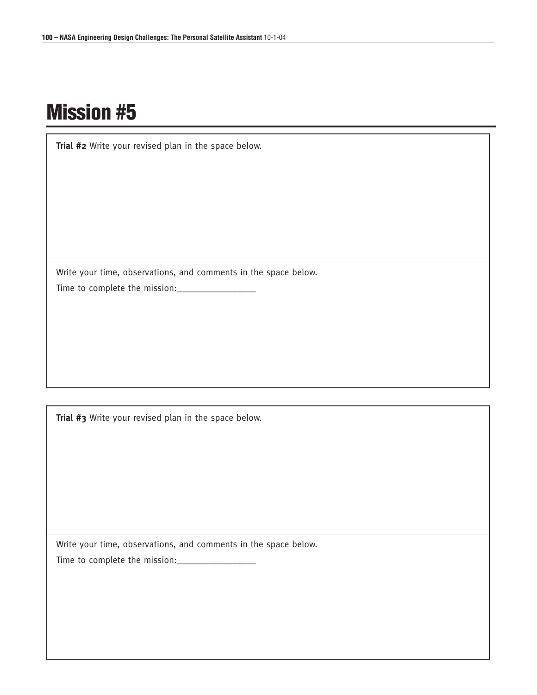**Trial #2** Write your revised plan in the space below.

Write your time, observations, and comments in the space below. Time to complete the mission:\_\_\_\_\_\_\_\_\_\_\_\_\_\_\_\_\_

**Trial #3** Write your revised plan in the space below.

Write your time, observations, and comments in the space below.

Time to complete the mission:\_\_\_\_\_\_\_\_\_\_\_\_\_\_\_\_\_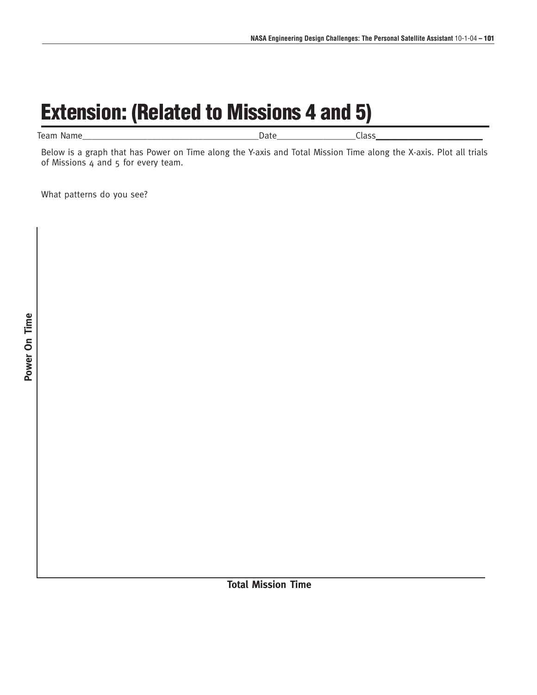# **Extension: (Related to Missions 4 and 5)**

| leam<br>Name | лате -<br>$\sim$<br>້ |  |  |
|--------------|-----------------------|--|--|
|--------------|-----------------------|--|--|

Below is a graph that has Power on Time along the Y-axis and Total Mission Time along the X-axis. Plot all trials of Missions  $4$  and  $5$  for every team.

What patterns do you see?

**Total Mission Time**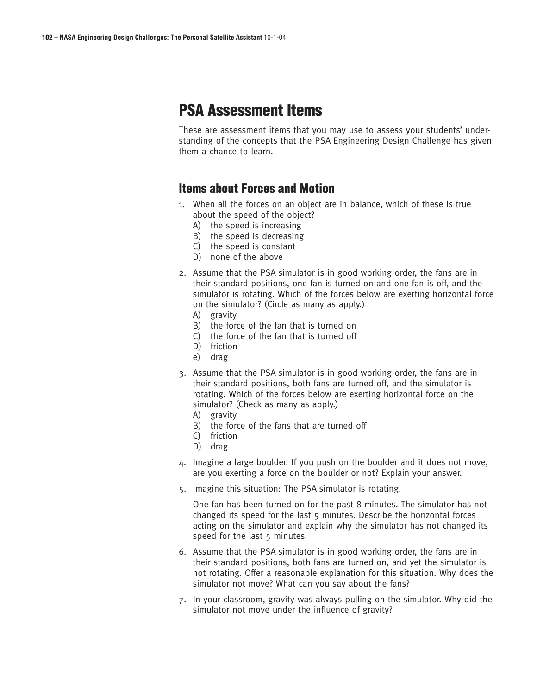### **PSA Assessment Items**

These are assessment items that you may use to assess your students' understanding of the concepts that the PSA Engineering Design Challenge has given them a chance to learn.

#### **Items about Forces and Motion**

- 1. When all the forces on an object are in balance, which of these is true about the speed of the object?
	- A) the speed is increasing
	- B) the speed is decreasing
	- C) the speed is constant
	- D) none of the above
- 2. Assume that the PSA simulator is in good working order, the fans are in their standard positions, one fan is turned on and one fan is off, and the simulator is rotating. Which of the forces below are exerting horizontal force on the simulator? (Circle as many as apply.)
	- A) gravity
	- B) the force of the fan that is turned on
	- C) the force of the fan that is turned off
	- D) friction
	- e) drag
- 3. Assume that the PSA simulator is in good working order, the fans are in their standard positions, both fans are turned off, and the simulator is rotating. Which of the forces below are exerting horizontal force on the simulator? (Check as many as apply.)
	- A) gravity
	- B) the force of the fans that are turned off
	- C) friction
	- D) drag
- 4. Imagine a large boulder. If you push on the boulder and it does not move, are you exerting a force on the boulder or not? Explain your answer.
- 5. Imagine this situation: The PSA simulator is rotating.

One fan has been turned on for the past 8 minutes. The simulator has not changed its speed for the last 5 minutes. Describe the horizontal forces acting on the simulator and explain why the simulator has not changed its speed for the last 5 minutes.

- 6. Assume that the PSA simulator is in good working order, the fans are in their standard positions, both fans are turned on, and yet the simulator is not rotating. Offer a reasonable explanation for this situation. Why does the simulator not move? What can you say about the fans?
- 7. In your classroom, gravity was always pulling on the simulator. Why did the simulator not move under the influence of gravity?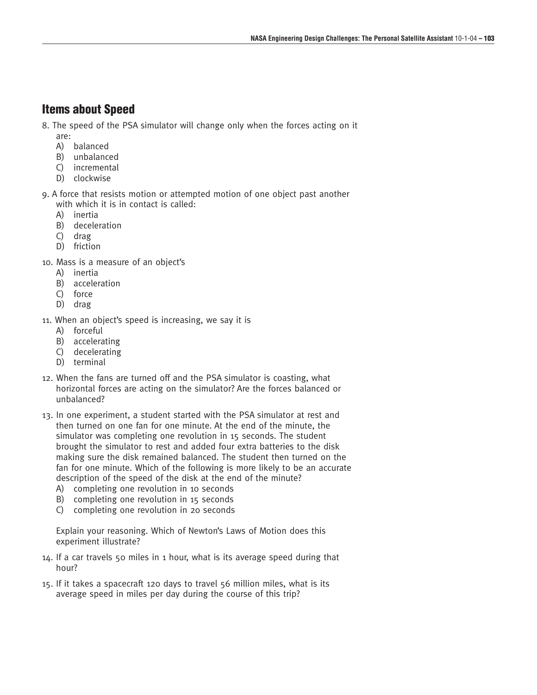#### **Items about Speed**

- 8. The speed of the PSA simulator will change only when the forces acting on it are:
	- A) balanced
	- B) unbalanced
	- C) incremental
	- D) clockwise

9. A force that resists motion or attempted motion of one object past another with which it is in contact is called:

- A) inertia
- B) deceleration
- C) drag
- D) friction
- 10. Mass is a measure of an object's
	- A) inertia
	- B) acceleration
	- C) force
	- D) drag
- 11. When an object's speed is increasing, we say it is
	- A) forceful
	- B) accelerating
	- C) decelerating
	- D) terminal
- 12. When the fans are turned off and the PSA simulator is coasting, what horizontal forces are acting on the simulator? Are the forces balanced or unbalanced?
- 13. In one experiment, a student started with the PSA simulator at rest and then turned on one fan for one minute. At the end of the minute, the simulator was completing one revolution in 15 seconds. The student brought the simulator to rest and added four extra batteries to the disk making sure the disk remained balanced. The student then turned on the fan for one minute. Which of the following is more likely to be an accurate description of the speed of the disk at the end of the minute?
	- A) completing one revolution in 10 seconds
	- B) completing one revolution in 15 seconds
	- C) completing one revolution in 20 seconds

Explain your reasoning. Which of Newton's Laws of Motion does this experiment illustrate?

- 14. If a car travels 50 miles in 1 hour, what is its average speed during that hour?
- 15. If it takes a spacecraft 120 days to travel 56 million miles, what is its average speed in miles per day during the course of this trip?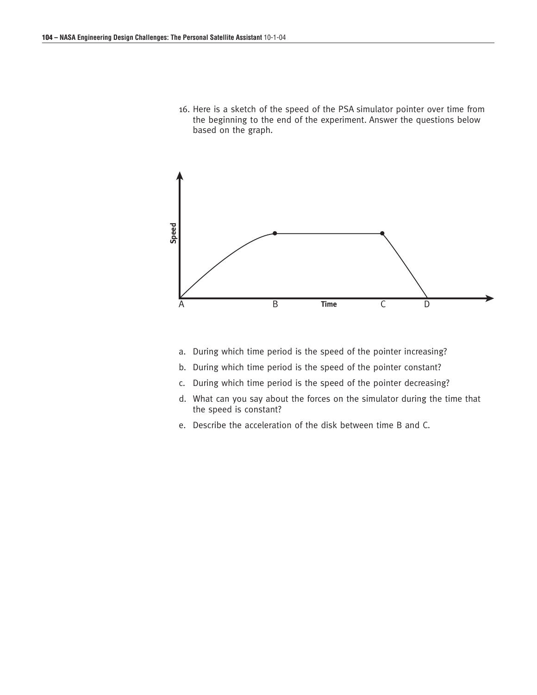16. Here is a sketch of the speed of the PSA simulator pointer over time from the beginning to the end of the experiment. Answer the questions below based on the graph.



- a. During which time period is the speed of the pointer increasing?
- b. During which time period is the speed of the pointer constant?
- c. During which time period is the speed of the pointer decreasing?
- d. What can you say about the forces on the simulator during the time that the speed is constant?
- e. Describe the acceleration of the disk between time B and C.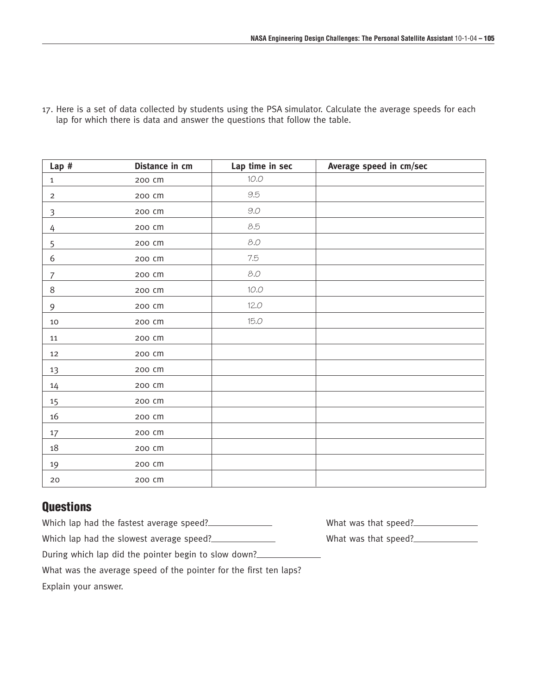| Lap#             | Distance in cm | Lap time in sec | Average speed in cm/sec |
|------------------|----------------|-----------------|-------------------------|
| $\mathbf{1}$     | 200 cm         | 10.0            |                         |
| $\overline{2}$   | 200 cm         | 9.5             |                         |
| $\mathfrak{Z}$   | 200 CM         | $9.0\,$         |                         |
| 4                | 200 cm         | 8.5             |                         |
| 5                | 200 cm         | 8.0             |                         |
| 6                | 200 CM         | 7.5             |                         |
| $\boldsymbol{7}$ | 200 cm         | 8.0             |                         |
| $\,8\,$          | 200 cm         | 10.0            |                         |
| 9                | 200 CM         | 12.0            |                         |
| 10               | 200 CM         | 15.0            |                         |
| 11               | 200 CM         |                 |                         |
| 12               | 200 CM         |                 |                         |
| 13               | 200 cm         |                 |                         |
| $14\,$           | 200 cm         |                 |                         |
| 15               | 200 cm         |                 |                         |
| $16\,$           | 200 CM         |                 |                         |
| $17\,$           | 200 CM         |                 |                         |
| $18\,$           | 200 cm         |                 |                         |
| 19               | 200 cm         |                 |                         |
| 20               | 200 CM         |                 |                         |

17. Here is a set of data collected by students using the PSA simulator. Calculate the average speeds for each lap for which there is data and answer the questions that follow the table.

### **Questions**

| Which lap had the fastest average speed?                          | What was that speed? |
|-------------------------------------------------------------------|----------------------|
| Which lap had the slowest average speed?                          | What was that speed? |
| During which lap did the pointer begin to slow down?              |                      |
| What was the average speed of the pointer for the first ten laps? |                      |
| Explain your answer.                                              |                      |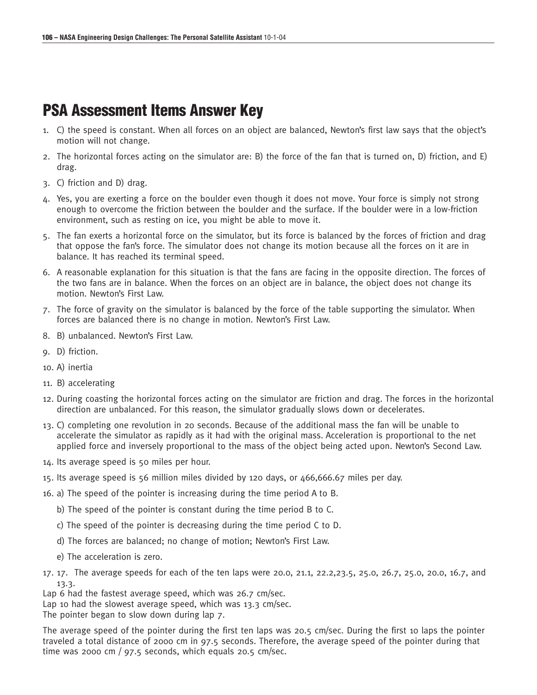### **PSA Assessment Items Answer Key**

- 1. C) the speed is constant. When all forces on an object are balanced, Newton's first law says that the object's motion will not change.
- 2. The horizontal forces acting on the simulator are: B) the force of the fan that is turned on, D) friction, and E) drag.
- 3. C) friction and D) drag.
- 4. Yes, you are exerting a force on the boulder even though it does not move. Your force is simply not strong enough to overcome the friction between the boulder and the surface. If the boulder were in a low-friction environment, such as resting on ice, you might be able to move it.
- 5. The fan exerts a horizontal force on the simulator, but its force is balanced by the forces of friction and drag that oppose the fan's force. The simulator does not change its motion because all the forces on it are in balance. It has reached its terminal speed.
- 6. A reasonable explanation for this situation is that the fans are facing in the opposite direction. The forces of the two fans are in balance. When the forces on an object are in balance, the object does not change its motion. Newton's First Law.
- 7. The force of gravity on the simulator is balanced by the force of the table supporting the simulator. When forces are balanced there is no change in motion. Newton's First Law.
- 8. B) unbalanced. Newton's First Law.
- 9. D) friction.
- 10. A) inertia
- 11. B) accelerating
- 12. During coasting the horizontal forces acting on the simulator are friction and drag. The forces in the horizontal direction are unbalanced. For this reason, the simulator gradually slows down or decelerates.
- 13. C) completing one revolution in 20 seconds. Because of the additional mass the fan will be unable to accelerate the simulator as rapidly as it had with the original mass. Acceleration is proportional to the net applied force and inversely proportional to the mass of the object being acted upon. Newton's Second Law.
- 14. Its average speed is 50 miles per hour.
- 15. Its average speed is 56 million miles divided by 120 days, or 466,666.67 miles per day.
- 16. a) The speed of the pointer is increasing during the time period A to B.
	- b) The speed of the pointer is constant during the time period B to C.
	- c) The speed of the pointer is decreasing during the time period C to D.
	- d) The forces are balanced; no change of motion; Newton's First Law.
	- e) The acceleration is zero.
- 17. 17. The average speeds for each of the ten laps were 20.0, 21.1, 22.2,23.5, 25.0, 26.7, 25.0, 20.0, 16.7, and 13.3.
- Lap 6 had the fastest average speed, which was 26.7 cm/sec.
- Lap 10 had the slowest average speed, which was 13.3 cm/sec.
- The pointer began to slow down during lap 7.

The average speed of the pointer during the first ten laps was 20.5 cm/sec. During the first 10 laps the pointer traveled a total distance of 2000 cm in 97.5 seconds. Therefore, the average speed of the pointer during that time was 2000 cm /  $97.5$  seconds, which equals 20.5 cm/sec.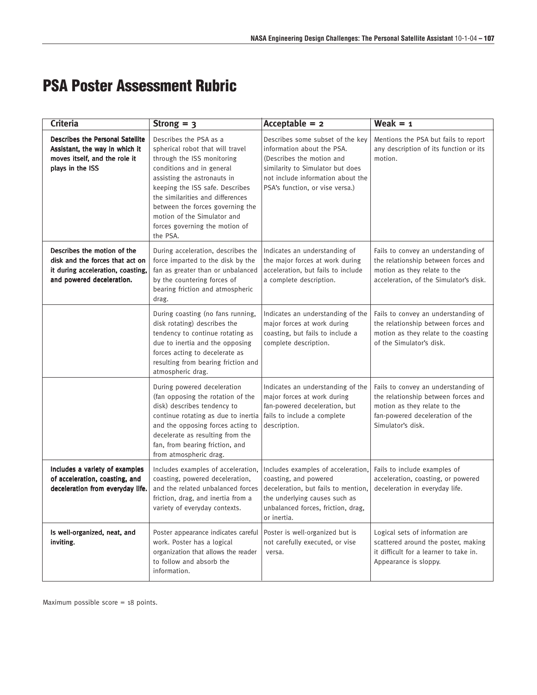### **PSA Poster Assessment Rubric**

| <b>Criteria</b>                                                                                                                  | Strong $=$ 3                                                                                                                                                                                                                                                                                                                                 | Acceptable $= 2$                                                                                                                                                                                        | Weak $= 1$                                                                                                                                                         |
|----------------------------------------------------------------------------------------------------------------------------------|----------------------------------------------------------------------------------------------------------------------------------------------------------------------------------------------------------------------------------------------------------------------------------------------------------------------------------------------|---------------------------------------------------------------------------------------------------------------------------------------------------------------------------------------------------------|--------------------------------------------------------------------------------------------------------------------------------------------------------------------|
| Describes the Personal Satellite<br>Assistant, the way in which it<br>moves itself, and the role it<br>plays in the ISS          | Describes the PSA as a<br>spherical robot that will travel<br>through the ISS monitoring<br>conditions and in general<br>assisting the astronauts in<br>keeping the ISS safe. Describes<br>the similarities and differences<br>between the forces governing the<br>motion of the Simulator and<br>forces governing the motion of<br>the PSA. | Describes some subset of the key<br>information about the PSA.<br>(Describes the motion and<br>similarity to Simulator but does<br>not include information about the<br>PSA's function, or vise versa.) | Mentions the PSA but fails to report<br>any description of its function or its<br>motion.                                                                          |
| Describes the motion of the<br>disk and the forces that act on<br>it during acceleration, coasting,<br>and powered deceleration. | During acceleration, describes the<br>force imparted to the disk by the<br>fan as greater than or unbalanced<br>by the countering forces of<br>bearing friction and atmospheric<br>drag.                                                                                                                                                     | Indicates an understanding of<br>the major forces at work during<br>acceleration, but fails to include<br>a complete description.                                                                       | Fails to convey an understanding of<br>the relationship between forces and<br>motion as they relate to the<br>acceleration, of the Simulator's disk.               |
|                                                                                                                                  | During coasting (no fans running,<br>disk rotating) describes the<br>tendency to continue rotating as<br>due to inertia and the opposing<br>forces acting to decelerate as<br>resulting from bearing friction and<br>atmospheric drag.                                                                                                       | Indicates an understanding of the<br>major forces at work during<br>coasting, but fails to include a<br>complete description.                                                                           | Fails to convey an understanding of<br>the relationship between forces and<br>motion as they relate to the coasting<br>of the Simulator's disk.                    |
|                                                                                                                                  | During powered deceleration<br>(fan opposing the rotation of the<br>disk) describes tendency to<br>continue rotating as due to inertia<br>and the opposing forces acting to<br>decelerate as resulting from the<br>fan, from bearing friction, and<br>from atmospheric drag.                                                                 | Indicates an understanding of the<br>major forces at work during<br>fan-powered deceleration, but<br>fails to include a complete<br>description.                                                        | Fails to convey an understanding of<br>the relationship between forces and<br>motion as they relate to the<br>fan-powered deceleration of the<br>Simulator's disk. |
| Includes a variety of examples<br>of acceleration, coasting, and<br>deceleration from everyday life.                             | Includes examples of acceleration,<br>coasting, powered deceleration,<br>and the related unbalanced forces<br>friction, drag, and inertia from a<br>variety of everyday contexts.                                                                                                                                                            | Includes examples of acceleration,<br>coasting, and powered<br>deceleration, but fails to mention,<br>the underlying causes such as<br>unbalanced forces, friction, drag,<br>or inertia.                | Fails to include examples of<br>acceleration, coasting, or powered<br>deceleration in everyday life.                                                               |
| Is well-organized, neat, and<br>inviting.                                                                                        | Poster appearance indicates careful<br>work. Poster has a logical<br>organization that allows the reader<br>to follow and absorb the<br>information.                                                                                                                                                                                         | Poster is well-organized but is<br>not carefully executed, or vise<br>versa.                                                                                                                            | Logical sets of information are<br>scattered around the poster, making<br>it difficult for a learner to take in.<br>Appearance is sloppy.                          |

Maximum possible score = 18 points.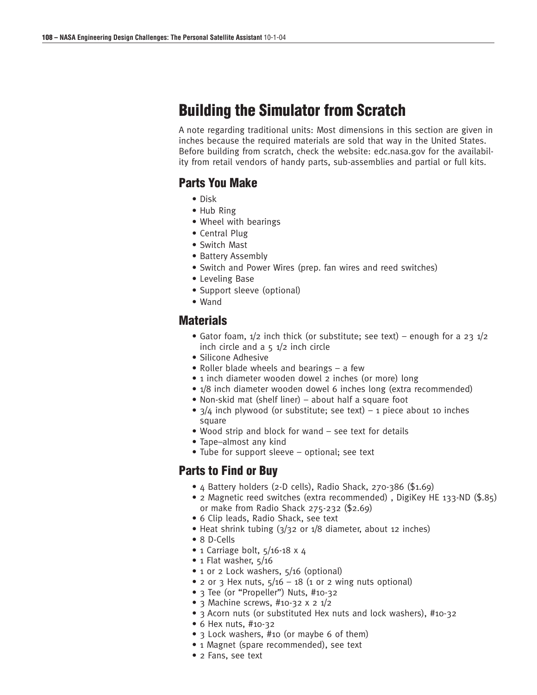### **Building the Simulator from Scratch**

A note regarding traditional units: Most dimensions in this section are given in inches because the required materials are sold that way in the United States. Before building from scratch, check the website: edc.nasa.gov for the availability from retail vendors of handy parts, sub-assemblies and partial or full kits.

#### **Parts You Make**

- Disk
- Hub Ring
- Wheel with bearings
- Central Plug
- Switch Mast
- Battery Assembly
- Switch and Power Wires (prep. fan wires and reed switches)
- Leveling Base
- Support sleeve (optional)
- Wand

#### **Materials**

- Gator foam,  $1/2$  inch thick (or substitute; see text) enough for a 23  $1/2$ inch circle and  $a$   $5$   $1/2$  inch circle
- Silicone Adhesive
- Roller blade wheels and bearings a few
- 1 inch diameter wooden dowel 2 inches (or more) long
- 1/8 inch diameter wooden dowel 6 inches long (extra recommended)
- Non-skid mat (shelf liner) about half a square foot
- $3/4$  inch plywood (or substitute; see text) 1 piece about 10 inches square
- Wood strip and block for wand see text for details
- Tape–almost any kind
- Tube for support sleeve optional; see text

#### **Parts to Find or Buy**

- 4 Battery holders (2-D cells), Radio Shack, 270-386 (\$1.69)
- 2 Magnetic reed switches (extra recommended) , DigiKey HE 133-ND (\$.85) or make from Radio Shack 275-232 (\$2.69)
- 6 Clip leads, Radio Shack, see text
- Heat shrink tubing (3/32 or 1/8 diameter, about 12 inches)
- 8 D-Cells
- 1 Carriage bolt,  $5/16-18 \times 4$
- 1 Flat washer,  $5/16$
- 1 or 2 Lock washers, 5/16 (optional)
- 2 or 3 Hex nuts,  $5/16 18$  (1 or 2 wing nuts optional)
- 3 Tee (or "Propeller") Nuts, #10-32
- 3 Machine screws,  $\#$ 10-32 x 2 1/2
- 3 Acorn nuts (or substituted Hex nuts and lock washers), #10-32
- 6 Hex nuts, #10-32
- 3 Lock washers, #10 (or maybe 6 of them)
- 1 Magnet (spare recommended), see text
- 2 Fans, see text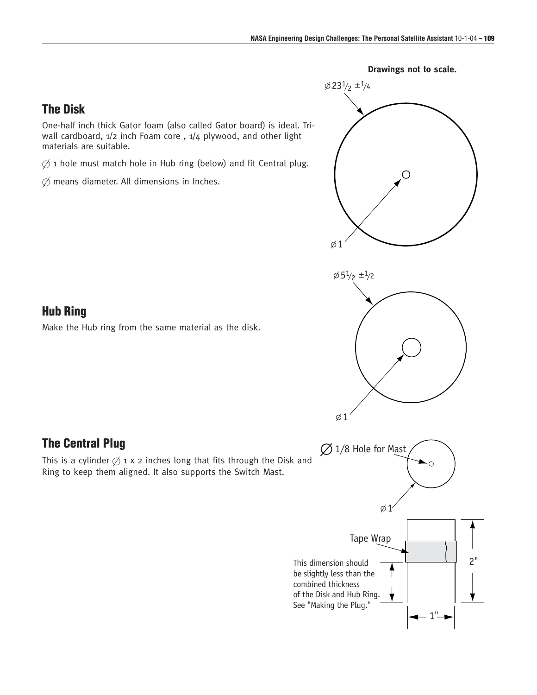

#### **Drawings not to scale.**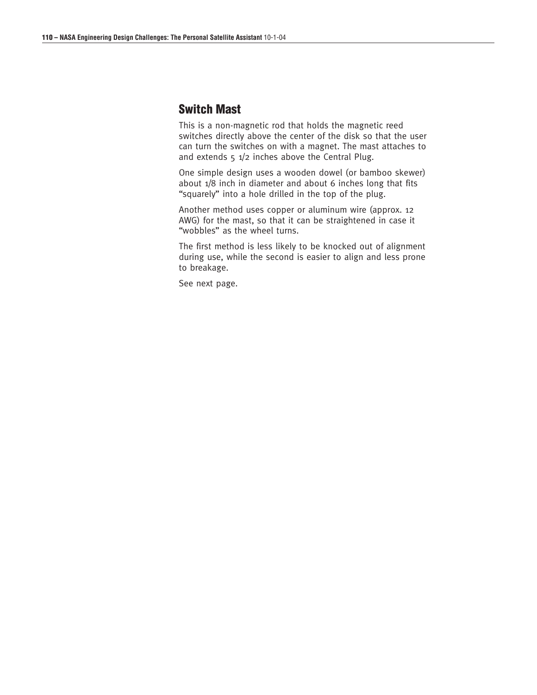# **Switch Mast**

This is a non-magnetic rod that holds the magnetic reed switches directly above the center of the disk so that the user can turn the switches on with a magnet. The mast attaches to and extends  $5 \frac{1}{2}$  inches above the Central Plug.

One simple design uses a wooden dowel (or bamboo skewer) about 1/8 inch in diameter and about 6 inches long that fits "squarely" into a hole drilled in the top of the plug.

Another method uses copper or aluminum wire (approx. 12 AWG) for the mast, so that it can be straightened in case it "wobbles" as the wheel turns.

The first method is less likely to be knocked out of alignment during use, while the second is easier to align and less prone to breakage.

See next page.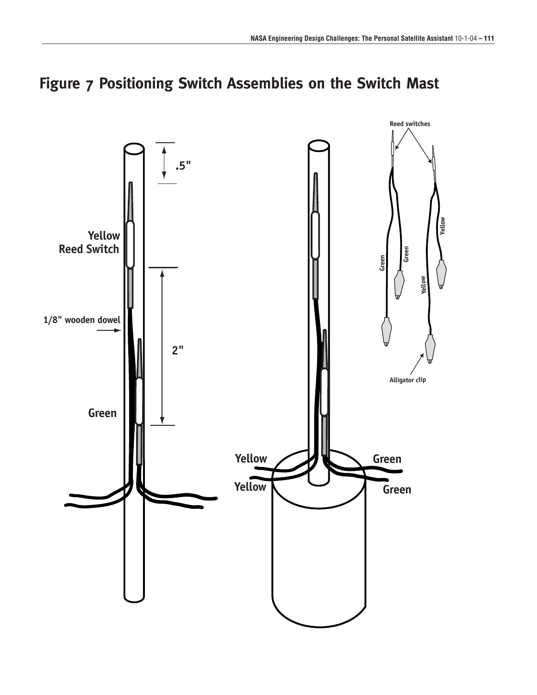

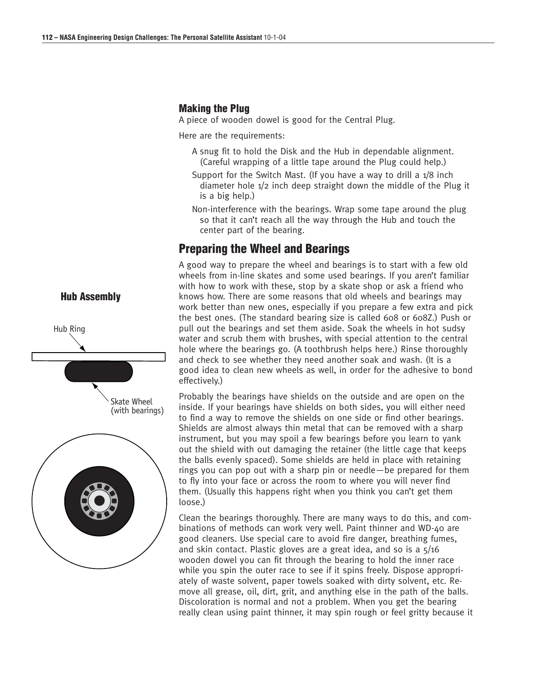#### **Making the Plug**

A piece of wooden dowel is good for the Central Plug.

Here are the requirements:

- A snug fit to hold the Disk and the Hub in dependable alignment. (Careful wrapping of a little tape around the Plug could help.)
- Support for the Switch Mast. (If you have a way to drill a 1/8 inch diameter hole 1/2 inch deep straight down the middle of the Plug it is a big help.)
- Non-interference with the bearings. Wrap some tape around the plug so that it can't reach all the way through the Hub and touch the center part of the bearing.

# **Preparing the Wheel and Bearings**

A good way to prepare the wheel and bearings is to start with a few old wheels from in-line skates and some used bearings. If you aren't familiar with how to work with these, stop by a skate shop or ask a friend who knows how. There are some reasons that old wheels and bearings may work better than new ones, especially if you prepare a few extra and pick the best ones. (The standard bearing size is called 608 or 608Z.) Push or pull out the bearings and set them aside. Soak the wheels in hot sudsy water and scrub them with brushes, with special attention to the central hole where the bearings go. (A toothbrush helps here.) Rinse thoroughly and check to see whether they need another soak and wash. (It is a good idea to clean new wheels as well, in order for the adhesive to bond effectively.)

Probably the bearings have shields on the outside and are open on the inside. If your bearings have shields on both sides, you will either need to find a way to remove the shields on one side or find other bearings. Shields are almost always thin metal that can be removed with a sharp instrument, but you may spoil a few bearings before you learn to yank out the shield with out damaging the retainer (the little cage that keeps the balls evenly spaced). Some shields are held in place with retaining rings you can pop out with a sharp pin or needle—be prepared for them to fly into your face or across the room to where you will never find them. (Usually this happens right when you think you can't get them loose.)

Clean the bearings thoroughly. There are many ways to do this, and combinations of methods can work very well. Paint thinner and WD-40 are good cleaners. Use special care to avoid fire danger, breathing fumes, and skin contact. Plastic gloves are a great idea, and so is a 5/16 wooden dowel you can fit through the bearing to hold the inner race while you spin the outer race to see if it spins freely. Dispose appropriately of waste solvent, paper towels soaked with dirty solvent, etc. Remove all grease, oil, dirt, grit, and anything else in the path of the balls. Discoloration is normal and not a problem. When you get the bearing really clean using paint thinner, it may spin rough or feel gritty because it



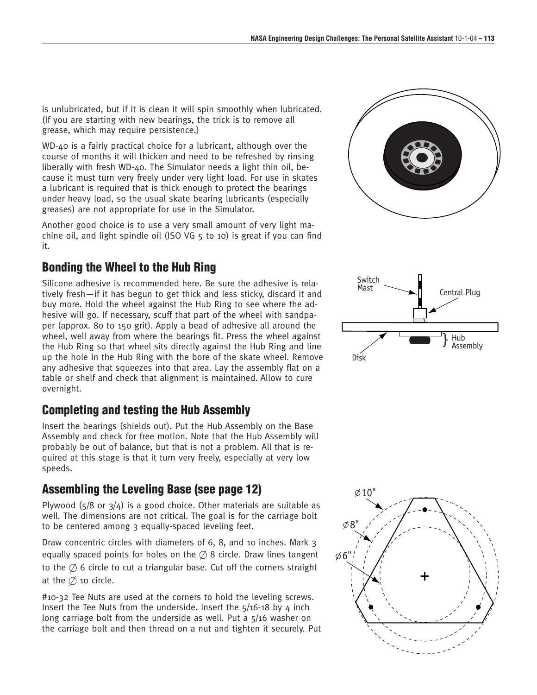is unlubricated, but if it is clean it will spin smoothly when lubricated. (If you are starting with new bearings, the trick is to remove all grease, which may require persistence.)

WD-40 is a fairly practical choice for a lubricant, although over the course of months it will thicken and need to be refreshed by rinsing liberally with fresh WD-40. The Simulator needs a light thin oil, because it must turn very freely under very light load. For use in skates a lubricant is required that is thick enough to protect the bearings under heavy load, so the usual skate bearing lubricants (especially greases) are not appropriate for use in the Simulator.

Another good choice is to use a very small amount of very light machine oil, and light spindle oil (ISO VG 5 to 10) is great if you can find it.

# **Bonding the Wheel to the Hub Ring**

Silicone adhesive is recommended here. Be sure the adhesive is relatively fresh—if it has begun to get thick and less sticky, discard it and buy more. Hold the wheel against the Hub Ring to see where the adhesive will go. If necessary, scuff that part of the wheel with sandpaper (approx. 80 to 150 grit). Apply a bead of adhesive all around the wheel, well away from where the bearings fit. Press the wheel against the Hub Ring so that wheel sits directly against the Hub Ring and line up the hole in the Hub Ring with the bore of the skate wheel. Remove any adhesive that squeezes into that area. Lay the assembly flat on a table or shelf and check that alignment is maintained. Allow to cure overnight.

# **Completing and testing the Hub Assembly**

Insert the bearings (shields out). Put the Hub Assembly on the Base Assembly and check for free motion. Note that the Hub Assembly will probably be out of balance, but that is not a problem. All that is required at this stage is that it turn very freely, especially at very low speeds.

# **Assembling the Leveling Base (see page 12)**

Plywood  $(5/8$  or  $3/4$ ) is a good choice. Other materials are suitable as well. The dimensions are not critical. The goal is for the carriage bolt to be centered among 3 equally-spaced leveling feet.

Draw concentric circles with diameters of 6, 8, and 10 inches. Mark 3 equally spaced points for holes on the  $\emptyset$  8 circle. Draw lines tangent to the  $\emptyset$  6 circle to cut a triangular base. Cut off the corners straight at the  $\emptyset$  10 circle.

#10-32 Tee Nuts are used at the corners to hold the leveling screws. Insert the Tee Nuts from the underside. Insert the  $5/16-18$  by 4 inch long carriage bolt from the underside as well. Put a 5/16 washer on the carriage bolt and then thread on a nut and tighten it securely. Put





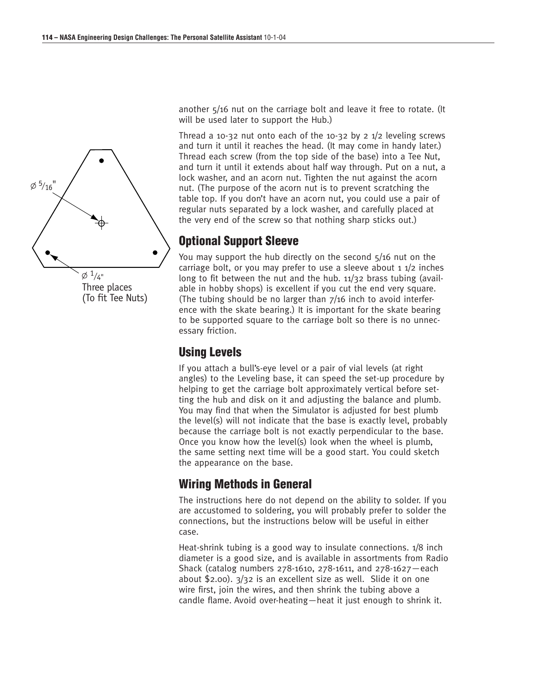

another 5/16 nut on the carriage bolt and leave it free to rotate. (It will be used later to support the Hub.)

Thread a 10-32 nut onto each of the 10-32 by 2  $1/2$  leveling screws and turn it until it reaches the head. (It may come in handy later.) Thread each screw (from the top side of the base) into a Tee Nut, and turn it until it extends about half way through. Put on a nut, a lock washer, and an acorn nut. Tighten the nut against the acorn nut. (The purpose of the acorn nut is to prevent scratching the table top. If you don't have an acorn nut, you could use a pair of regular nuts separated by a lock washer, and carefully placed at the very end of the screw so that nothing sharp sticks out.)

# **Optional Support Sleeve**

You may support the hub directly on the second  $5/16$  nut on the carriage bolt, or you may prefer to use a sleeve about  $1/2$  inches long to fit between the nut and the hub. 11/32 brass tubing (available in hobby shops) is excellent if you cut the end very square. (The tubing should be no larger than 7/16 inch to avoid interference with the skate bearing.) It is important for the skate bearing to be supported square to the carriage bolt so there is no unnecessary friction.

# **Using Levels**

If you attach a bull's-eye level or a pair of vial levels (at right angles) to the Leveling base, it can speed the set-up procedure by helping to get the carriage bolt approximately vertical before setting the hub and disk on it and adjusting the balance and plumb. You may find that when the Simulator is adjusted for best plumb the level(s) will not indicate that the base is exactly level, probably because the carriage bolt is not exactly perpendicular to the base. Once you know how the level(s) look when the wheel is plumb, the same setting next time will be a good start. You could sketch the appearance on the base.

# **Wiring Methods in General**

The instructions here do not depend on the ability to solder. If you are accustomed to soldering, you will probably prefer to solder the connections, but the instructions below will be useful in either case.

Heat-shrink tubing is a good way to insulate connections. 1/8 inch diameter is a good size, and is available in assortments from Radio Shack (catalog numbers 278-1610, 278-1611, and 278-1627—each about \$2.00). 3/32 is an excellent size as well. Slide it on one wire first, join the wires, and then shrink the tubing above a candle flame. Avoid over-heating—heat it just enough to shrink it.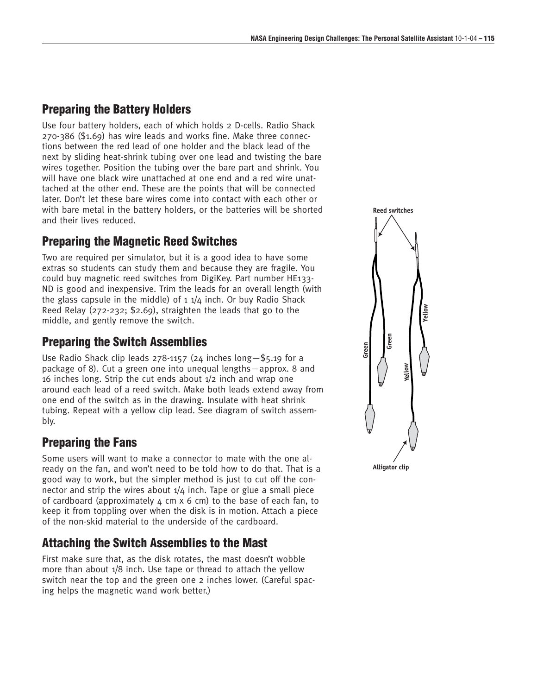# **Preparing the Battery Holders**

Use four battery holders, each of which holds 2 D-cells. Radio Shack 270-386 (\$1.69) has wire leads and works fine. Make three connections between the red lead of one holder and the black lead of the next by sliding heat-shrink tubing over one lead and twisting the bare wires together. Position the tubing over the bare part and shrink. You will have one black wire unattached at one end and a red wire unattached at the other end. These are the points that will be connected later. Don't let these bare wires come into contact with each other or with bare metal in the battery holders, or the batteries will be shorted and their lives reduced.

# **Preparing the Magnetic Reed Switches**

Two are required per simulator, but it is a good idea to have some extras so students can study them and because they are fragile. You could buy magnetic reed switches from DigiKey. Part number HE133- ND is good and inexpensive. Trim the leads for an overall length (with the glass capsule in the middle) of  $1.1/4$  inch. Or buy Radio Shack Reed Relay (272-232; \$2.69), straighten the leads that go to the middle, and gently remove the switch.

# **Preparing the Switch Assemblies**

Use Radio Shack clip leads 278-1157 (24 inches long—\$5.19 for a package of 8). Cut a green one into unequal lengths—approx. 8 and 16 inches long. Strip the cut ends about 1/2 inch and wrap one around each lead of a reed switch. Make both leads extend away from one end of the switch as in the drawing. Insulate with heat shrink tubing. Repeat with a yellow clip lead. See diagram of switch assembly.

# **Preparing the Fans**

Some users will want to make a connector to mate with the one already on the fan, and won't need to be told how to do that. That is a good way to work, but the simpler method is just to cut off the connector and strip the wires about  $1/4$  inch. Tape or glue a small piece of cardboard (approximately  $\mu$  cm x 6 cm) to the base of each fan, to keep it from toppling over when the disk is in motion. Attach a piece of the non-skid material to the underside of the cardboard.

# **Attaching the Switch Assemblies to the Mast**

First make sure that, as the disk rotates, the mast doesn't wobble more than about 1/8 inch. Use tape or thread to attach the yellow switch near the top and the green one 2 inches lower. (Careful spacing helps the magnetic wand work better.)